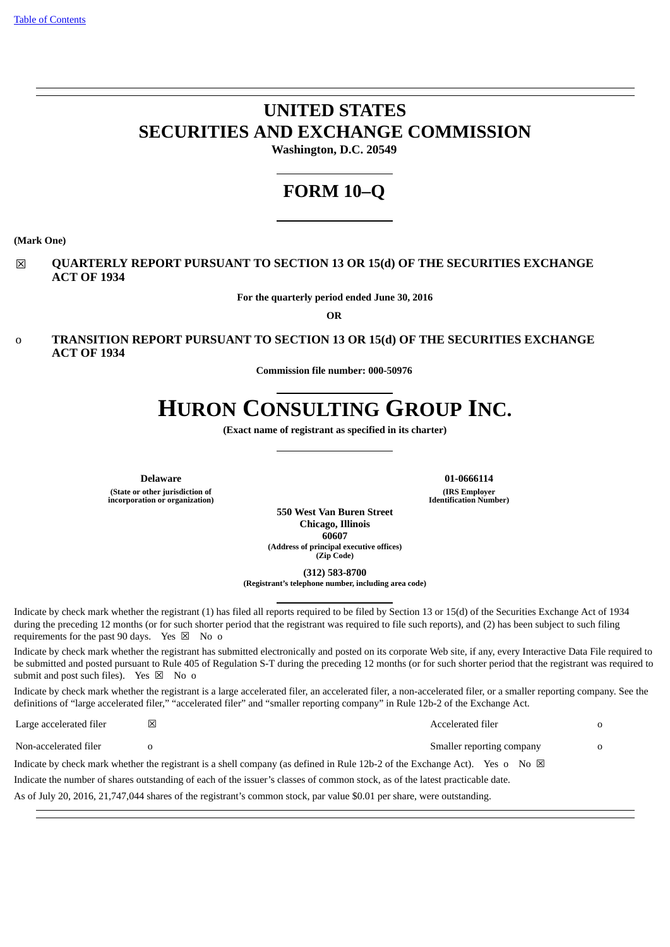# **UNITED STATES SECURITIES AND EXCHANGE COMMISSION**

**Washington, D.C. 20549**

## **FORM 10–Q**

**(Mark One)**

## ☒ **QUARTERLY REPORT PURSUANT TO SECTION 13 OR 15(d) OF THE SECURITIES EXCHANGE ACT OF 1934**

**For the quarterly period ended June 30, 2016**

**OR**

o **TRANSITION REPORT PURSUANT TO SECTION 13 OR 15(d) OF THE SECURITIES EXCHANGE ACT OF 1934**

**Commission file number: 000-50976**

# **HURON CONSULTING GROUP INC.**

**(Exact name of registrant as specified in its charter)**

**(State or other jurisdiction of incorporation or organization)**

**Delaware 01-0666114**

**(IRS Employer Identification Number)**

**550 West Van Buren Street Chicago, Illinois 60607 (Address of principal executive offices) (Zip Code)**

**(312) 583-8700**

**(Registrant's telephone number, including area code)**

Indicate by check mark whether the registrant (1) has filed all reports required to be filed by Section 13 or 15(d) of the Securities Exchange Act of 1934 during the preceding 12 months (or for such shorter period that the registrant was required to file such reports), and (2) has been subject to such filing requirements for the past 90 days. Yes  $\boxtimes$  No o

Indicate by check mark whether the registrant has submitted electronically and posted on its corporate Web site, if any, every Interactive Data File required to be submitted and posted pursuant to Rule 405 of Regulation S-T during the preceding 12 months (or for such shorter period that the registrant was required to submit and post such files). Yes  $\boxtimes$  No o

Indicate by check mark whether the registrant is a large accelerated filer, an accelerated filer, a non-accelerated filer, or a smaller reporting company. See the definitions of "large accelerated filer," "accelerated filer" and "smaller reporting company" in Rule 12b-2 of the Exchange Act.

| Large accelerated filer | ⊠                                                                                                                                     | Accelerated filer         |          |
|-------------------------|---------------------------------------------------------------------------------------------------------------------------------------|---------------------------|----------|
| Non-accelerated filer   |                                                                                                                                       | Smaller reporting company | $\Omega$ |
|                         | Indicate by check mark whether the registrant is a shell company (as defined in Rule 12b-2 of the Exchange Act). Yes o No $\boxtimes$ |                           |          |
|                         | Indicate the number of shares outstanding of each of the issuer's classes of common stock, as of the latest practicable date.         |                           |          |
|                         | As of July 20, 2016, 21,747,044 shares of the registrant's common stock, par value \$0.01 per share, were outstanding.                |                           |          |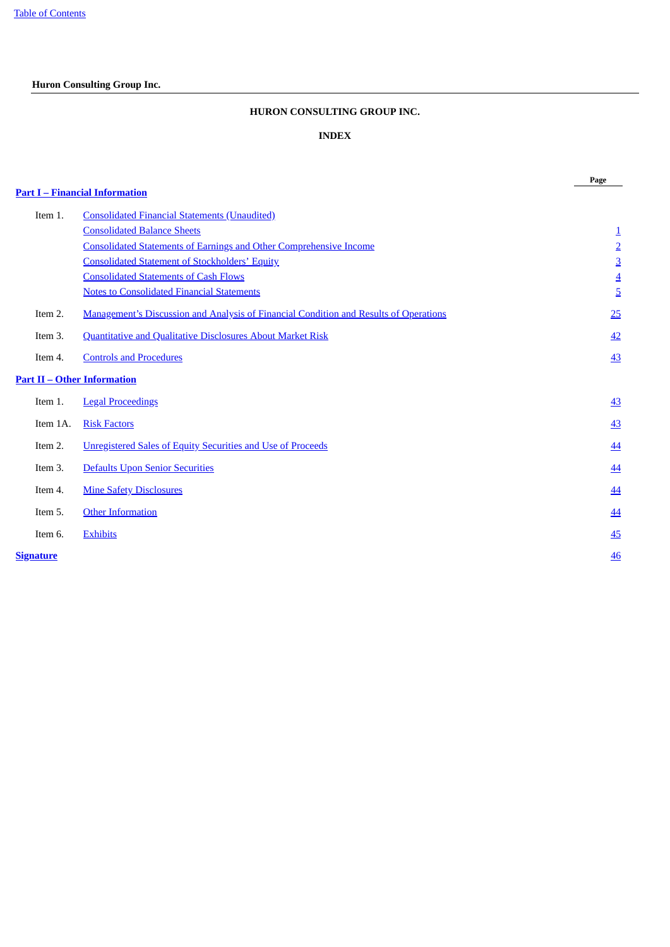## <span id="page-1-0"></span>**Huron Consulting Group Inc.**

## **HURON CONSULTING GROUP INC.**

## **INDEX**

**Page**

|           | <b>Part I – Financial Information</b>                                                        |                  |
|-----------|----------------------------------------------------------------------------------------------|------------------|
| Item 1.   | <b>Consolidated Financial Statements (Unaudited)</b>                                         |                  |
|           | <b>Consolidated Balance Sheets</b>                                                           | $\overline{1}$   |
|           | <b>Consolidated Statements of Earnings and Other Comprehensive Income</b>                    | $\overline{2}$   |
|           | <b>Consolidated Statement of Stockholders' Equity</b>                                        | $\overline{3}$   |
|           | <b>Consolidated Statements of Cash Flows</b>                                                 | $\overline{4}$   |
|           | <b>Notes to Consolidated Financial Statements</b>                                            | $\overline{5}$   |
| Item 2.   | <b>Management's Discussion and Analysis of Financial Condition and Results of Operations</b> | 25               |
| Item 3.   | <b>Quantitative and Qualitative Disclosures About Market Risk</b>                            | 42               |
| Item 4.   | <b>Controls and Procedures</b>                                                               | 43               |
|           | <u> Part II – Other Information</u>                                                          |                  |
| Item 1.   | <b>Legal Proceedings</b>                                                                     | $\underline{43}$ |
| Item 1A.  | <b>Risk Factors</b>                                                                          | $\overline{43}$  |
| Item 2.   | <b>Unregistered Sales of Equity Securities and Use of Proceeds</b>                           | 44               |
| Item 3.   | <b>Defaults Upon Senior Securities</b>                                                       | 44               |
| Item 4.   | <b>Mine Safety Disclosures</b>                                                               | <u>44</u>        |
| Item 5.   | <b>Other Information</b>                                                                     | $\frac{44}{1}$   |
| Item 6.   | <b>Exhibits</b>                                                                              | 45               |
| Signature |                                                                                              | 46               |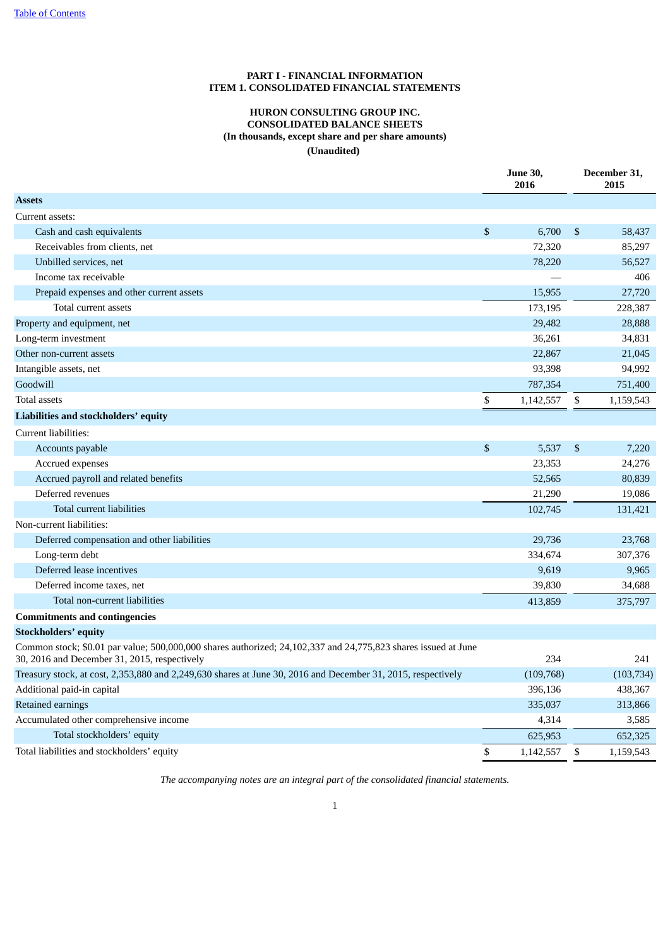## **PART I - FINANCIAL INFORMATION ITEM 1. CONSOLIDATED FINANCIAL STATEMENTS**

## **HURON CONSULTING GROUP INC. CONSOLIDATED BALANCE SHEETS (In thousands, except share and per share amounts) (Unaudited)**

<span id="page-2-2"></span><span id="page-2-1"></span><span id="page-2-0"></span>

|                                                                                                                                                                | <b>June 30,</b><br>2016 |            |                | December 31,<br>2015 |
|----------------------------------------------------------------------------------------------------------------------------------------------------------------|-------------------------|------------|----------------|----------------------|
| <b>Assets</b>                                                                                                                                                  |                         |            |                |                      |
| Current assets:                                                                                                                                                |                         |            |                |                      |
| Cash and cash equivalents                                                                                                                                      | $\$$                    | 6,700      | $\mathfrak{S}$ | 58,437               |
| Receivables from clients, net                                                                                                                                  |                         | 72,320     |                | 85,297               |
| Unbilled services, net                                                                                                                                         |                         | 78,220     |                | 56,527               |
| Income tax receivable                                                                                                                                          |                         |            |                | 406                  |
| Prepaid expenses and other current assets                                                                                                                      |                         | 15,955     |                | 27,720               |
| Total current assets                                                                                                                                           |                         | 173,195    |                | 228,387              |
| Property and equipment, net                                                                                                                                    |                         | 29,482     |                | 28,888               |
| Long-term investment                                                                                                                                           |                         | 36,261     |                | 34,831               |
| Other non-current assets                                                                                                                                       |                         | 22,867     |                | 21,045               |
| Intangible assets, net                                                                                                                                         |                         | 93,398     |                | 94,992               |
| Goodwill                                                                                                                                                       |                         | 787,354    |                | 751,400              |
| Total assets                                                                                                                                                   | \$                      | 1,142,557  | \$             | 1,159,543            |
| Liabilities and stockholders' equity                                                                                                                           |                         |            |                |                      |
| Current liabilities:                                                                                                                                           |                         |            |                |                      |
| Accounts payable                                                                                                                                               | \$                      | 5,537      | $\mathfrak{S}$ | 7,220                |
| Accrued expenses                                                                                                                                               |                         | 23,353     |                | 24,276               |
| Accrued payroll and related benefits                                                                                                                           |                         | 52,565     |                | 80,839               |
| Deferred revenues                                                                                                                                              |                         | 21,290     |                | 19,086               |
| Total current liabilities                                                                                                                                      |                         | 102,745    |                | 131,421              |
| Non-current liabilities:                                                                                                                                       |                         |            |                |                      |
| Deferred compensation and other liabilities                                                                                                                    |                         | 29,736     |                | 23,768               |
| Long-term debt                                                                                                                                                 |                         | 334,674    |                | 307,376              |
| Deferred lease incentives                                                                                                                                      |                         | 9,619      |                | 9,965                |
| Deferred income taxes, net                                                                                                                                     |                         | 39,830     |                | 34,688               |
| Total non-current liabilities                                                                                                                                  |                         | 413,859    |                | 375,797              |
| <b>Commitments and contingencies</b>                                                                                                                           |                         |            |                |                      |
| <b>Stockholders' equity</b>                                                                                                                                    |                         |            |                |                      |
| Common stock; \$0.01 par value; 500,000,000 shares authorized; 24,102,337 and 24,775,823 shares issued at June<br>30, 2016 and December 31, 2015, respectively |                         | 234        |                | 241                  |
| Treasury stock, at cost, 2,353,880 and 2,249,630 shares at June 30, 2016 and December 31, 2015, respectively                                                   |                         | (109, 768) |                | (103, 734)           |
| Additional paid-in capital                                                                                                                                     |                         | 396,136    |                | 438,367              |
| Retained earnings                                                                                                                                              |                         | 335,037    |                | 313,866              |
| Accumulated other comprehensive income                                                                                                                         |                         | 4,314      |                | 3,585                |
| Total stockholders' equity                                                                                                                                     |                         | 625,953    |                | 652,325              |
| Total liabilities and stockholders' equity                                                                                                                     | \$                      | 1,142,557  | \$             | 1,159,543            |

*The accompanying notes are an integral part of the consolidated financial statements.*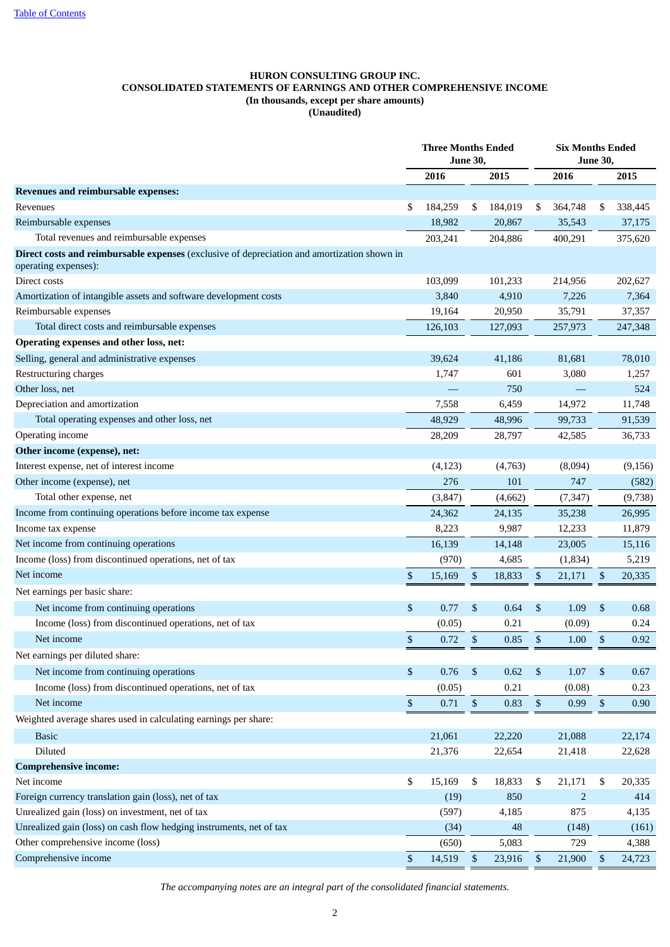## <span id="page-3-0"></span>**HURON CONSULTING GROUP INC. CONSOLIDATED STATEMENTS OF EARNINGS AND OTHER COMPREHENSIVE INCOME (In thousands, except per share amounts) (Unaudited)**

|                                                                                                                     | <b>Three Months Ended</b><br><b>June 30.</b> |          |                           |         | <b>Six Months Ended</b><br><b>June 30,</b> |                |              |          |
|---------------------------------------------------------------------------------------------------------------------|----------------------------------------------|----------|---------------------------|---------|--------------------------------------------|----------------|--------------|----------|
|                                                                                                                     |                                              | 2016     |                           | 2015    |                                            | 2016           |              | 2015     |
| <b>Revenues and reimbursable expenses:</b>                                                                          |                                              |          |                           |         |                                            |                |              |          |
| Revenues                                                                                                            | \$                                           | 184,259  | \$                        | 184,019 | \$                                         | 364,748        | \$           | 338,445  |
| Reimbursable expenses                                                                                               |                                              | 18,982   |                           | 20,867  |                                            | 35,543         |              | 37,175   |
| Total revenues and reimbursable expenses                                                                            |                                              | 203,241  |                           | 204,886 |                                            | 400,291        |              | 375,620  |
| Direct costs and reimbursable expenses (exclusive of depreciation and amortization shown in<br>operating expenses): |                                              |          |                           |         |                                            |                |              |          |
| Direct costs                                                                                                        |                                              | 103,099  |                           | 101,233 |                                            | 214,956        |              | 202,627  |
| Amortization of intangible assets and software development costs                                                    |                                              | 3,840    |                           | 4,910   |                                            | 7,226          |              | 7,364    |
| Reimbursable expenses                                                                                               |                                              | 19,164   |                           | 20,950  |                                            | 35,791         |              | 37,357   |
| Total direct costs and reimbursable expenses                                                                        |                                              | 126,103  |                           | 127,093 |                                            | 257,973        |              | 247,348  |
| Operating expenses and other loss, net:                                                                             |                                              |          |                           |         |                                            |                |              |          |
| Selling, general and administrative expenses                                                                        |                                              | 39,624   |                           | 41,186  |                                            | 81,681         |              | 78,010   |
| Restructuring charges                                                                                               |                                              | 1,747    |                           | 601     |                                            | 3,080          |              | 1,257    |
| Other loss, net                                                                                                     |                                              |          |                           | 750     |                                            |                |              | 524      |
| Depreciation and amortization                                                                                       |                                              | 7,558    |                           | 6,459   |                                            | 14,972         |              | 11,748   |
| Total operating expenses and other loss, net                                                                        |                                              | 48,929   |                           | 48,996  |                                            | 99,733         |              | 91,539   |
| Operating income                                                                                                    |                                              | 28,209   |                           | 28,797  |                                            | 42,585         |              | 36,733   |
| Other income (expense), net:                                                                                        |                                              |          |                           |         |                                            |                |              |          |
| Interest expense, net of interest income                                                                            |                                              | (4, 123) |                           | (4,763) |                                            | (8,094)        |              | (9, 156) |
| Other income (expense), net                                                                                         |                                              | 276      |                           | 101     |                                            | 747            |              | (582)    |
| Total other expense, net                                                                                            |                                              | (3, 847) |                           | (4,662) |                                            | (7, 347)       |              | (9,738)  |
| Income from continuing operations before income tax expense                                                         |                                              | 24,362   |                           | 24,135  |                                            | 35,238         |              | 26,995   |
| Income tax expense                                                                                                  |                                              | 8,223    |                           | 9,987   |                                            | 12,233         |              | 11,879   |
| Net income from continuing operations                                                                               |                                              | 16,139   |                           | 14,148  |                                            | 23,005         |              | 15,116   |
| Income (loss) from discontinued operations, net of tax                                                              |                                              | (970)    |                           | 4,685   |                                            | (1,834)        |              | 5,219    |
| Net income                                                                                                          | $\$$                                         | 15,169   | $\$$                      | 18,833  | \$                                         | 21,171         | $\mathbb{S}$ | 20,335   |
| Net earnings per basic share:                                                                                       |                                              |          |                           |         |                                            |                |              |          |
| Net income from continuing operations                                                                               | \$                                           | 0.77     | \$                        | 0.64    | \$                                         | 1.09           | \$           | 0.68     |
| Income (loss) from discontinued operations, net of tax                                                              |                                              | (0.05)   |                           | 0.21    |                                            | (0.09)         |              | 0.24     |
| Net income                                                                                                          | $\boldsymbol{\mathsf{S}}$                    | 0.72     | $\boldsymbol{\mathsf{S}}$ | 0.85    | \$                                         | 1.00           | \$           | 0.92     |
| Net earnings per diluted share:                                                                                     |                                              |          |                           |         |                                            |                |              |          |
| Net income from continuing operations                                                                               | \$                                           | 0.76     | \$                        | 0.62    | \$                                         | 1.07           | \$           | 0.67     |
| Income (loss) from discontinued operations, net of tax                                                              |                                              | (0.05)   |                           | 0.21    |                                            | (0.08)         |              | 0.23     |
| Net income                                                                                                          | \$                                           | 0.71     | $\mathbb S$               | 0.83    | $\$$                                       | 0.99           | $\mathbb{S}$ | 0.90     |
| Weighted average shares used in calculating earnings per share:                                                     |                                              |          |                           |         |                                            |                |              |          |
| <b>Basic</b>                                                                                                        |                                              | 21,061   |                           | 22,220  |                                            | 21,088         |              | 22,174   |
| Diluted                                                                                                             |                                              | 21,376   |                           | 22,654  |                                            | 21,418         |              | 22,628   |
| <b>Comprehensive income:</b>                                                                                        |                                              |          |                           |         |                                            |                |              |          |
| Net income                                                                                                          | \$                                           | 15,169   | \$                        | 18,833  | \$                                         | 21,171         | \$           | 20,335   |
| Foreign currency translation gain (loss), net of tax                                                                |                                              | (19)     |                           | 850     |                                            | $\overline{2}$ |              | 414      |
| Unrealized gain (loss) on investment, net of tax                                                                    |                                              | (597)    |                           | 4,185   |                                            | 875            |              | 4,135    |
| Unrealized gain (loss) on cash flow hedging instruments, net of tax                                                 |                                              | (34)     |                           | 48      |                                            | (148)          |              | (161)    |
| Other comprehensive income (loss)                                                                                   |                                              | (650)    |                           | 5,083   |                                            | 729            |              | 4,388    |
| Comprehensive income                                                                                                | ${\mathbb S}$                                | 14,519   | $\mathbb{S}$              | 23,916  | $\mathbb{S}$                               | 21,900         | $\$$         | 24,723   |

*The accompanying notes are an integral part of the consolidated financial statements.*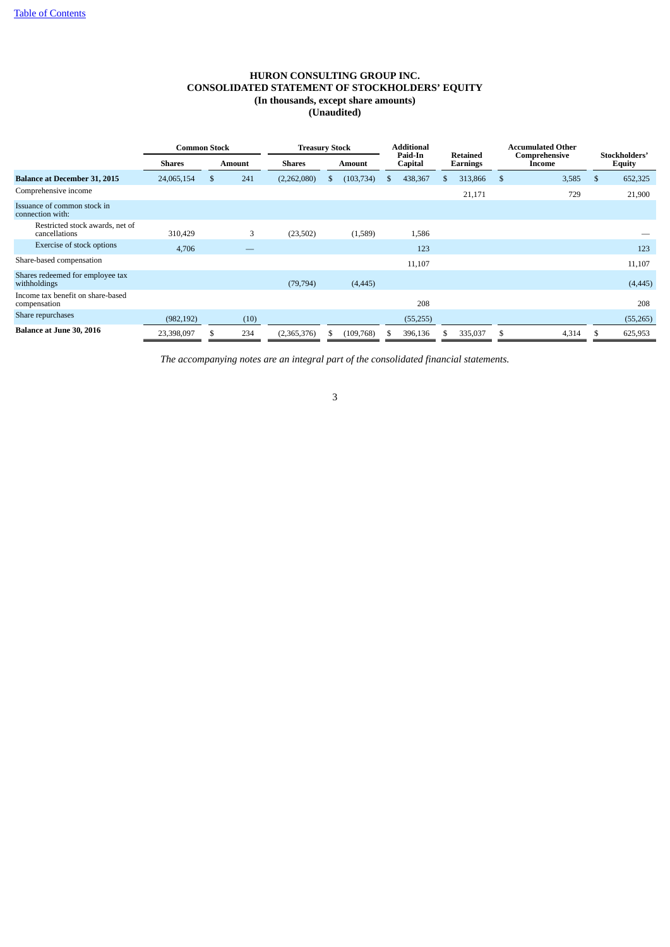## **HURON CONSULTING GROUP INC. CONSOLIDATED STATEMENT OF STOCKHOLDERS' EQUITY (In thousands, except share amounts) (Unaudited)**

<span id="page-4-0"></span>

|                                                   | <b>Common Stock</b> |    |        | <b>Treasury Stock</b> |               |            | <b>Additional</b> |     | <b>Retained</b><br><b>Earnings</b> |     |       |   |          |  |  |  | <b>Accumulated Other</b> |  |                         |
|---------------------------------------------------|---------------------|----|--------|-----------------------|---------------|------------|-------------------|-----|------------------------------------|-----|-------|---|----------|--|--|--|--------------------------|--|-------------------------|
|                                                   | <b>Shares</b>       |    | Amount | <b>Shares</b>         | <b>Amount</b> |            |                   |     |                                    |     |       |   |          |  |  |  | Paid-In<br>Capital       |  | Comprehensive<br>Income |
| <b>Balance at December 31, 2015</b>               | 24,065,154          | -S | 241    | (2,262,080)           | \$.           | (103, 734) | 438,367           | \$. | 313,866                            | \$. | 3,585 | S | 652,325  |  |  |  |                          |  |                         |
| Comprehensive income                              |                     |    |        |                       |               |            |                   |     | 21,171                             |     | 729   |   | 21,900   |  |  |  |                          |  |                         |
| Issuance of common stock in<br>connection with:   |                     |    |        |                       |               |            |                   |     |                                    |     |       |   |          |  |  |  |                          |  |                         |
| Restricted stock awards, net of<br>cancellations  | 310,429             |    | 3      | (23,502)              |               | (1,589)    | 1,586             |     |                                    |     |       |   |          |  |  |  |                          |  |                         |
| Exercise of stock options                         | 4,706               |    |        |                       |               |            | 123               |     |                                    |     |       |   | 123      |  |  |  |                          |  |                         |
| Share-based compensation                          |                     |    |        |                       |               |            | 11,107            |     |                                    |     |       |   | 11,107   |  |  |  |                          |  |                         |
| Shares redeemed for employee tax<br>withholdings  |                     |    |        | (79, 794)             |               | (4, 445)   |                   |     |                                    |     |       |   | (4, 445) |  |  |  |                          |  |                         |
| Income tax benefit on share-based<br>compensation |                     |    |        |                       |               |            | 208               |     |                                    |     |       |   | 208      |  |  |  |                          |  |                         |
| Share repurchases                                 | (982, 192)          |    | (10)   |                       |               |            | (55, 255)         |     |                                    |     |       |   | (55,265) |  |  |  |                          |  |                         |
| Balance at June 30, 2016                          | 23,398,097          |    | 234    | (2,365,376)           | S.            | (109, 768) | 396,136           |     | 335,037                            | S   | 4,314 |   | 625,953  |  |  |  |                          |  |                         |

*The accompanying notes are an integral part of the consolidated financial statements.*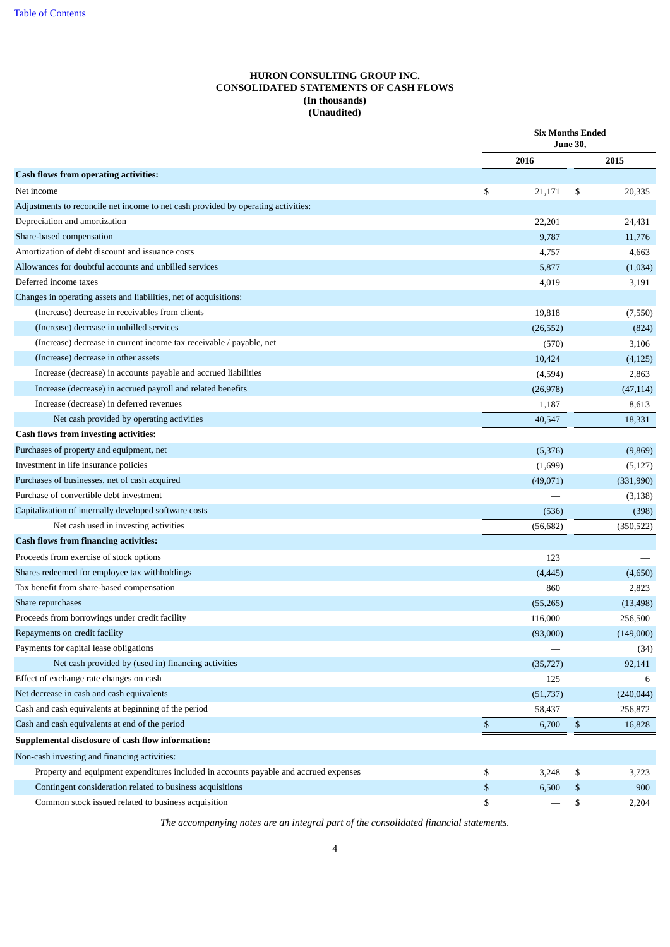## **HURON CONSULTING GROUP INC. CONSOLIDATED STATEMENTS OF CASH FLOWS (In thousands) (Unaudited)**

<span id="page-5-0"></span>

|                                                                                       | <b>Six Months Ended</b><br>June 30, |    |            |
|---------------------------------------------------------------------------------------|-------------------------------------|----|------------|
|                                                                                       | 2016                                |    | 2015       |
| <b>Cash flows from operating activities:</b>                                          |                                     |    |            |
| Net income                                                                            | \$<br>21,171                        | \$ | 20,335     |
| Adjustments to reconcile net income to net cash provided by operating activities:     |                                     |    |            |
| Depreciation and amortization                                                         | 22,201                              |    | 24,431     |
| Share-based compensation                                                              | 9,787                               |    | 11,776     |
| Amortization of debt discount and issuance costs                                      | 4,757                               |    | 4,663      |
| Allowances for doubtful accounts and unbilled services                                | 5,877                               |    | (1,034)    |
| Deferred income taxes                                                                 | 4,019                               |    | 3,191      |
| Changes in operating assets and liabilities, net of acquisitions:                     |                                     |    |            |
| (Increase) decrease in receivables from clients                                       | 19,818                              |    | (7,550)    |
| (Increase) decrease in unbilled services                                              | (26, 552)                           |    | (824)      |
| (Increase) decrease in current income tax receivable / payable, net                   | (570)                               |    | 3,106      |
| (Increase) decrease in other assets                                                   | 10,424                              |    | (4, 125)   |
| Increase (decrease) in accounts payable and accrued liabilities                       | (4,594)                             |    | 2,863      |
| Increase (decrease) in accrued payroll and related benefits                           | (26,978)                            |    | (47, 114)  |
| Increase (decrease) in deferred revenues                                              | 1,187                               |    | 8,613      |
| Net cash provided by operating activities                                             | 40,547                              |    | 18,331     |
| <b>Cash flows from investing activities:</b>                                          |                                     |    |            |
| Purchases of property and equipment, net                                              | (5,376)                             |    | (9,869)    |
| Investment in life insurance policies                                                 | (1,699)                             |    | (5, 127)   |
| Purchases of businesses, net of cash acquired                                         | (49,071)                            |    | (331,990)  |
| Purchase of convertible debt investment                                               |                                     |    | (3, 138)   |
| Capitalization of internally developed software costs                                 | (536)                               |    | (398)      |
| Net cash used in investing activities                                                 | (56, 682)                           |    | (350, 522) |
| <b>Cash flows from financing activities:</b>                                          |                                     |    |            |
| Proceeds from exercise of stock options                                               | 123                                 |    |            |
| Shares redeemed for employee tax withholdings                                         | (4, 445)                            |    | (4,650)    |
| Tax benefit from share-based compensation                                             | 860                                 |    | 2,823      |
| Share repurchases                                                                     | (55, 265)                           |    | (13, 498)  |
| Proceeds from borrowings under credit facility                                        | 116,000                             |    | 256,500    |
| Repayments on credit facility                                                         | (93,000)                            |    | (149,000)  |
| Payments for capital lease obligations                                                |                                     |    | (34)       |
| Net cash provided by (used in) financing activities                                   | (35, 727)                           |    | 92,141     |
| Effect of exchange rate changes on cash                                               | 125                                 |    | 6          |
| Net decrease in cash and cash equivalents                                             | (51, 737)                           |    | (240, 044) |
| Cash and cash equivalents at beginning of the period                                  | 58,437                              |    | 256,872    |
| Cash and cash equivalents at end of the period                                        | \$<br>6,700                         | \$ | 16,828     |
| Supplemental disclosure of cash flow information:                                     |                                     |    |            |
| Non-cash investing and financing activities:                                          |                                     |    |            |
| Property and equipment expenditures included in accounts payable and accrued expenses | \$<br>3,248                         | \$ | 3,723      |
| Contingent consideration related to business acquisitions                             | \$<br>6,500                         | \$ | 900        |
| Common stock issued related to business acquisition                                   | \$                                  | \$ | 2,204      |

*The accompanying notes are an integral part of the consolidated financial statements.*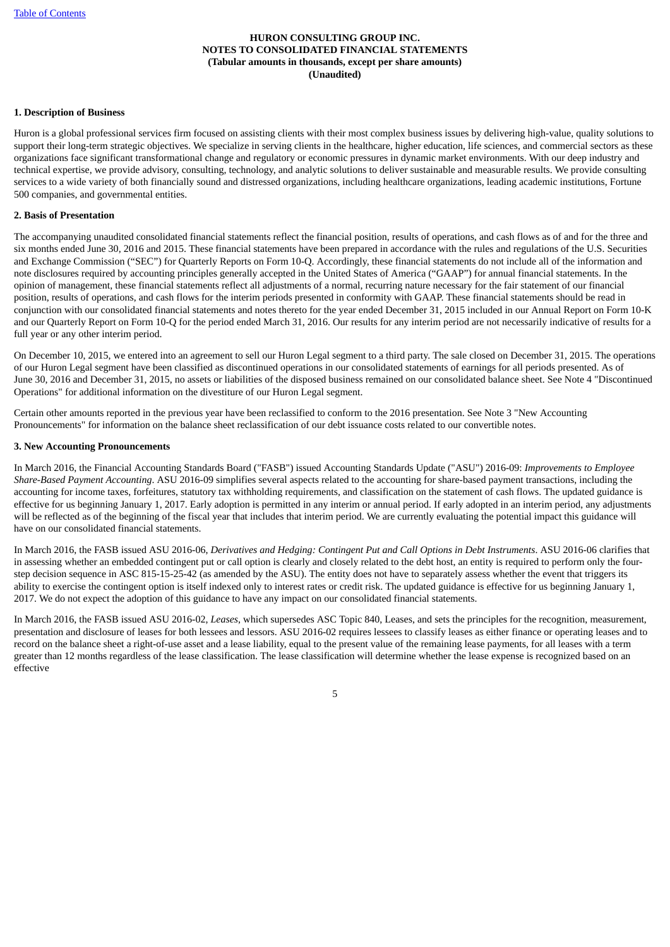#### <span id="page-6-0"></span>**1. Description of Business**

Huron is a global professional services firm focused on assisting clients with their most complex business issues by delivering high-value, quality solutions to support their long-term strategic objectives. We specialize in serving clients in the healthcare, higher education, life sciences, and commercial sectors as these organizations face significant transformational change and regulatory or economic pressures in dynamic market environments. With our deep industry and technical expertise, we provide advisory, consulting, technology, and analytic solutions to deliver sustainable and measurable results. We provide consulting services to a wide variety of both financially sound and distressed organizations, including healthcare organizations, leading academic institutions, Fortune 500 companies, and governmental entities.

## **2. Basis of Presentation**

The accompanying unaudited consolidated financial statements reflect the financial position, results of operations, and cash flows as of and for the three and six months ended June 30, 2016 and 2015. These financial statements have been prepared in accordance with the rules and regulations of the U.S. Securities and Exchange Commission ("SEC") for Quarterly Reports on Form 10-Q. Accordingly, these financial statements do not include all of the information and note disclosures required by accounting principles generally accepted in the United States of America ("GAAP") for annual financial statements. In the opinion of management, these financial statements reflect all adjustments of a normal, recurring nature necessary for the fair statement of our financial position, results of operations, and cash flows for the interim periods presented in conformity with GAAP. These financial statements should be read in conjunction with our consolidated financial statements and notes thereto for the year ended December 31, 2015 included in our Annual Report on Form 10-K and our Quarterly Report on Form 10-Q for the period ended March 31, 2016. Our results for any interim period are not necessarily indicative of results for a full year or any other interim period.

On December 10, 2015, we entered into an agreement to sell our Huron Legal segment to a third party. The sale closed on December 31, 2015. The operations of our Huron Legal segment have been classified as discontinued operations in our consolidated statements of earnings for all periods presented. As of June 30, 2016 and December 31, 2015, no assets or liabilities of the disposed business remained on our consolidated balance sheet. See Note 4 "Discontinued Operations" for additional information on the divestiture of our Huron Legal segment.

Certain other amounts reported in the previous year have been reclassified to conform to the 2016 presentation. See Note 3 "New Accounting Pronouncements" for information on the balance sheet reclassification of our debt issuance costs related to our convertible notes.

#### **3. New Accounting Pronouncements**

In March 2016, the Financial Accounting Standards Board ("FASB") issued Accounting Standards Update ("ASU") 2016-09: *Improvements to Employee Share-Based Payment Accounting*. ASU 2016-09 simplifies several aspects related to the accounting for share-based payment transactions, including the accounting for income taxes, forfeitures, statutory tax withholding requirements, and classification on the statement of cash flows. The updated guidance is effective for us beginning January 1, 2017. Early adoption is permitted in any interim or annual period. If early adopted in an interim period, any adjustments will be reflected as of the beginning of the fiscal year that includes that interim period. We are currently evaluating the potential impact this guidance will have on our consolidated financial statements.

In March 2016, the FASB issued ASU 2016-06, Derivatives and Hedaing: Contingent Put and Call Options in Debt Instruments. ASU 2016-06 clarifies that in assessing whether an embedded contingent put or call option is clearly and closely related to the debt host, an entity is required to perform only the fourstep decision sequence in ASC 815-15-25-42 (as amended by the ASU). The entity does not have to separately assess whether the event that triggers its ability to exercise the contingent option is itself indexed only to interest rates or credit risk. The updated guidance is effective for us beginning January 1, 2017. We do not expect the adoption of this guidance to have any impact on our consolidated financial statements.

In March 2016, the FASB issued ASU 2016-02, *Leases*, which supersedes ASC Topic 840, Leases, and sets the principles for the recognition, measurement, presentation and disclosure of leases for both lessees and lessors. ASU 2016-02 requires lessees to classify leases as either finance or operating leases and to record on the balance sheet a right-of-use asset and a lease liability, equal to the present value of the remaining lease payments, for all leases with a term greater than 12 months regardless of the lease classification. The lease classification will determine whether the lease expense is recognized based on an effective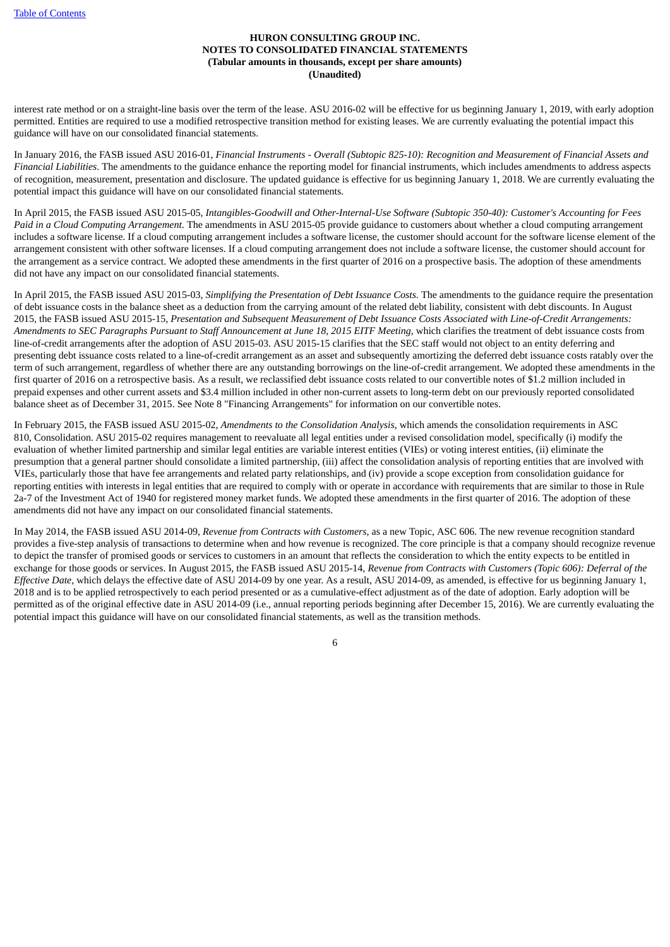interest rate method or on a straight-line basis over the term of the lease. ASU 2016-02 will be effective for us beginning January 1, 2019, with early adoption permitted. Entities are required to use a modified retrospective transition method for existing leases. We are currently evaluating the potential impact this guidance will have on our consolidated financial statements.

In January 2016, the FASB issued ASU 2016-01, Financial Instruments - Overall (Subtopic 825-10): Recognition and Measurement of Financial Assets and *Financial Liabilities*. The amendments to the guidance enhance the reporting model for financial instruments, which includes amendments to address aspects of recognition, measurement, presentation and disclosure. The updated guidance is effective for us beginning January 1, 2018. We are currently evaluating the potential impact this guidance will have on our consolidated financial statements.

In April 2015, the FASB issued ASU 2015-05, *Intangibles-Goodwill and Other-Internal-Use Software (Subtopic 350-40): Customer's Accounting for Fees Paid in a Cloud Computing Arrangement*. The amendments in ASU 2015-05 provide guidance to customers about whether a cloud computing arrangement includes a software license. If a cloud computing arrangement includes a software license, the customer should account for the software license element of the arrangement consistent with other software licenses. If a cloud computing arrangement does not include a software license, the customer should account for the arrangement as a service contract. We adopted these amendments in the first quarter of 2016 on a prospective basis. The adoption of these amendments did not have any impact on our consolidated financial statements.

In April 2015, the FASB issued ASU 2015-03, *Simplifying the Presentation of Debt Issuance Costs*. The amendments to the guidance require the presentation of debt issuance costs in the balance sheet as a deduction from the carrying amount of the related debt liability, consistent with debt discounts. In August 2015, the FASB issued ASU 2015-15, Presentation and Subsequent Measurement of Debt Issuance Costs Associated with Line-of-Credit Arrangements: Amendments to SEC Paragraphs Pursuant to Staff Announcement at June 18, 2015 EITF Meeting, which clarifies the treatment of debt issuance costs from line-of-credit arrangements after the adoption of ASU 2015-03. ASU 2015-15 clarifies that the SEC staff would not object to an entity deferring and presenting debt issuance costs related to a line-of-credit arrangement as an asset and subsequently amortizing the deferred debt issuance costs ratably over the term of such arrangement, regardless of whether there are any outstanding borrowings on the line-of-credit arrangement. We adopted these amendments in the first quarter of 2016 on a retrospective basis. As a result, we reclassified debt issuance costs related to our convertible notes of \$1.2 million included in prepaid expenses and other current assets and \$3.4 million included in other non-current assets to long-term debt on our previously reported consolidated balance sheet as of December 31, 2015. See Note 8 "Financing Arrangements" for information on our convertible notes.

In February 2015, the FASB issued ASU 2015-02, *Amendments to the Consolidation Analysis*, which amends the consolidation requirements in ASC 810, Consolidation. ASU 2015-02 requires management to reevaluate all legal entities under a revised consolidation model, specifically (i) modify the evaluation of whether limited partnership and similar legal entities are variable interest entities (VIEs) or voting interest entities, (ii) eliminate the presumption that a general partner should consolidate a limited partnership, (iii) affect the consolidation analysis of reporting entities that are involved with VIEs, particularly those that have fee arrangements and related party relationships, and (iv) provide a scope exception from consolidation guidance for reporting entities with interests in legal entities that are required to comply with or operate in accordance with requirements that are similar to those in Rule 2a-7 of the Investment Act of 1940 for registered money market funds. We adopted these amendments in the first quarter of 2016. The adoption of these amendments did not have any impact on our consolidated financial statements.

In May 2014, the FASB issued ASU 2014-09, *Revenue from Contracts with Customers*, as a new Topic, ASC 606. The new revenue recognition standard provides a five-step analysis of transactions to determine when and how revenue is recognized. The core principle is that a company should recognize revenue to depict the transfer of promised goods or services to customers in an amount that reflects the consideration to which the entity expects to be entitled in exchange for those goods or services. In August 2015, the FASB issued ASU 2015-14, *Revenue from Contracts with Customers (Topic 606): Deferral of the Effective Date*, which delays the effective date of ASU 2014-09 by one year. As a result, ASU 2014-09, as amended, is effective for us beginning January 1, 2018 and is to be applied retrospectively to each period presented or as a cumulative-effect adjustment as of the date of adoption. Early adoption will be permitted as of the original effective date in ASU 2014-09 (i.e., annual reporting periods beginning after December 15, 2016). We are currently evaluating the potential impact this guidance will have on our consolidated financial statements, as well as the transition methods.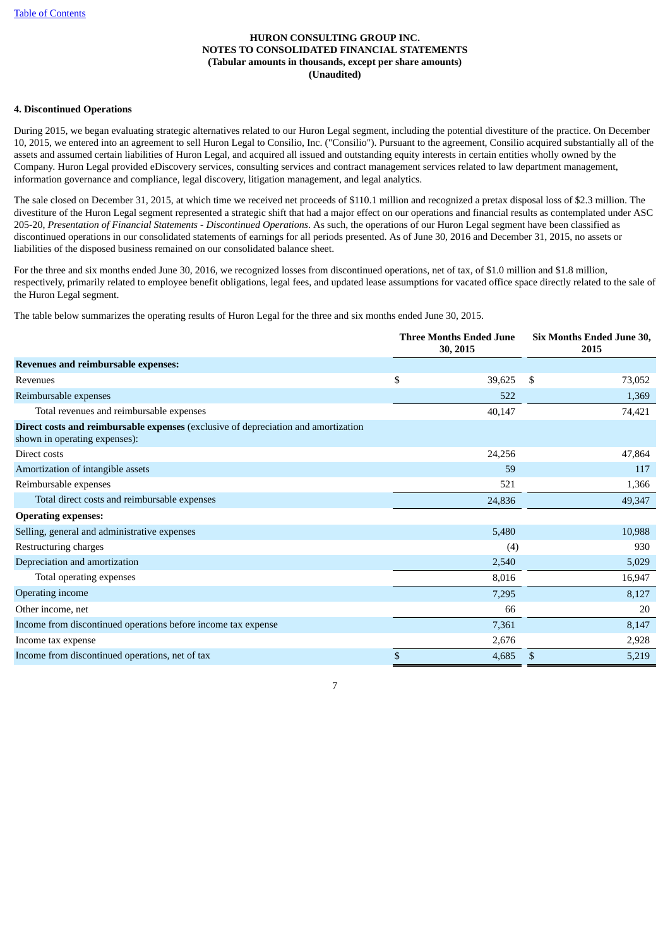## **4. Discontinued Operations**

During 2015, we began evaluating strategic alternatives related to our Huron Legal segment, including the potential divestiture of the practice. On December 10, 2015, we entered into an agreement to sell Huron Legal to Consilio, Inc. ("Consilio"). Pursuant to the agreement, Consilio acquired substantially all of the assets and assumed certain liabilities of Huron Legal, and acquired all issued and outstanding equity interests in certain entities wholly owned by the Company. Huron Legal provided eDiscovery services, consulting services and contract management services related to law department management, information governance and compliance, legal discovery, litigation management, and legal analytics.

The sale closed on December 31, 2015, at which time we received net proceeds of \$110.1 million and recognized a pretax disposal loss of \$2.3 million. The divestiture of the Huron Legal segment represented a strategic shift that had a major effect on our operations and financial results as contemplated under ASC 205-20, *Presentation of Financial Statements - Discontinued Operations*. As such, the operations of our Huron Legal segment have been classified as discontinued operations in our consolidated statements of earnings for all periods presented. As of June 30, 2016 and December 31, 2015, no assets or liabilities of the disposed business remained on our consolidated balance sheet.

For the three and six months ended June 30, 2016, we recognized losses from discontinued operations, net of tax, of \$1.0 million and \$1.8 million, respectively, primarily related to employee benefit obligations, legal fees, and updated lease assumptions for vacated office space directly related to the sale of the Huron Legal segment.

The table below summarizes the operating results of Huron Legal for the three and six months ended June 30, 2015.

|                                                                                                                     | <b>Three Months Ended June</b><br>30, 2015 | Six Months Ended June 30,<br>2015 |
|---------------------------------------------------------------------------------------------------------------------|--------------------------------------------|-----------------------------------|
| <b>Revenues and reimbursable expenses:</b>                                                                          |                                            |                                   |
| Revenues                                                                                                            | \$<br>39,625                               | \$<br>73,052                      |
| Reimbursable expenses                                                                                               | 522                                        | 1,369                             |
| Total revenues and reimbursable expenses                                                                            | 40,147                                     | 74,421                            |
| Direct costs and reimbursable expenses (exclusive of depreciation and amortization<br>shown in operating expenses): |                                            |                                   |
| Direct costs                                                                                                        | 24,256                                     | 47,864                            |
| Amortization of intangible assets                                                                                   | 59                                         | 117                               |
| Reimbursable expenses                                                                                               | 521                                        | 1,366                             |
| Total direct costs and reimbursable expenses                                                                        | 24,836                                     | 49,347                            |
| <b>Operating expenses:</b>                                                                                          |                                            |                                   |
| Selling, general and administrative expenses                                                                        | 5,480                                      | 10,988                            |
| Restructuring charges                                                                                               | (4)                                        | 930                               |
| Depreciation and amortization                                                                                       | 2,540                                      | 5,029                             |
| Total operating expenses                                                                                            | 8,016                                      | 16,947                            |
| Operating income                                                                                                    | 7,295                                      | 8,127                             |
| Other income, net                                                                                                   | 66                                         | 20                                |
| Income from discontinued operations before income tax expense                                                       | 7,361                                      | 8,147                             |
| Income tax expense                                                                                                  | 2,676                                      | 2,928                             |
| Income from discontinued operations, net of tax                                                                     | \$<br>4,685                                | 5,219<br>-S                       |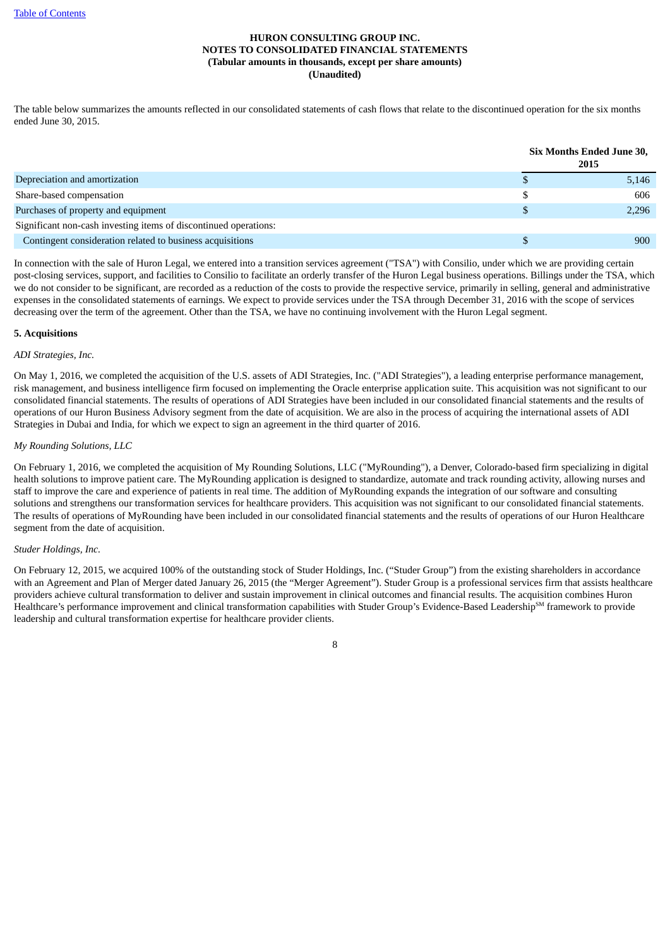The table below summarizes the amounts reflected in our consolidated statements of cash flows that relate to the discontinued operation for the six months ended June 30, 2015.

|                                                                  |     | Six Months Ended June 30,<br>2015 |
|------------------------------------------------------------------|-----|-----------------------------------|
| Depreciation and amortization                                    |     | 5,146                             |
| Share-based compensation                                         |     | 606                               |
| Purchases of property and equipment                              | \$. | 2,296                             |
| Significant non-cash investing items of discontinued operations: |     |                                   |
| Contingent consideration related to business acquisitions        |     | 900                               |

In connection with the sale of Huron Legal, we entered into a transition services agreement ("TSA") with Consilio, under which we are providing certain post-closing services, support, and facilities to Consilio to facilitate an orderly transfer of the Huron Legal business operations. Billings under the TSA, which we do not consider to be significant, are recorded as a reduction of the costs to provide the respective service, primarily in selling, general and administrative expenses in the consolidated statements of earnings. We expect to provide services under the TSA through December 31, 2016 with the scope of services decreasing over the term of the agreement. Other than the TSA, we have no continuing involvement with the Huron Legal segment.

#### **5. Acquisitions**

#### *ADI Strategies, Inc.*

On May 1, 2016, we completed the acquisition of the U.S. assets of ADI Strategies, Inc. ("ADI Strategies"), a leading enterprise performance management, risk management, and business intelligence firm focused on implementing the Oracle enterprise application suite. This acquisition was not significant to our consolidated financial statements. The results of operations of ADI Strategies have been included in our consolidated financial statements and the results of operations of our Huron Business Advisory segment from the date of acquisition. We are also in the process of acquiring the international assets of ADI Strategies in Dubai and India, for which we expect to sign an agreement in the third quarter of 2016.

## *My Rounding Solutions, LLC*

On February 1, 2016, we completed the acquisition of My Rounding Solutions, LLC ("MyRounding"), a Denver, Colorado-based firm specializing in digital health solutions to improve patient care. The MyRounding application is designed to standardize, automate and track rounding activity, allowing nurses and staff to improve the care and experience of patients in real time. The addition of MyRounding expands the integration of our software and consulting solutions and strengthens our transformation services for healthcare providers. This acquisition was not significant to our consolidated financial statements. The results of operations of MyRounding have been included in our consolidated financial statements and the results of operations of our Huron Healthcare segment from the date of acquisition.

## *Studer Holdings, Inc.*

On February 12, 2015, we acquired 100% of the outstanding stock of Studer Holdings, Inc. ("Studer Group") from the existing shareholders in accordance with an Agreement and Plan of Merger dated January 26, 2015 (the "Merger Agreement"). Studer Group is a professional services firm that assists healthcare providers achieve cultural transformation to deliver and sustain improvement in clinical outcomes and financial results. The acquisition combines Huron Healthcare's performance improvement and clinical transformation capabilities with Studer Group's Evidence-Based Leadership<sup>sM</sup> framework to provide leadership and cultural transformation expertise for healthcare provider clients.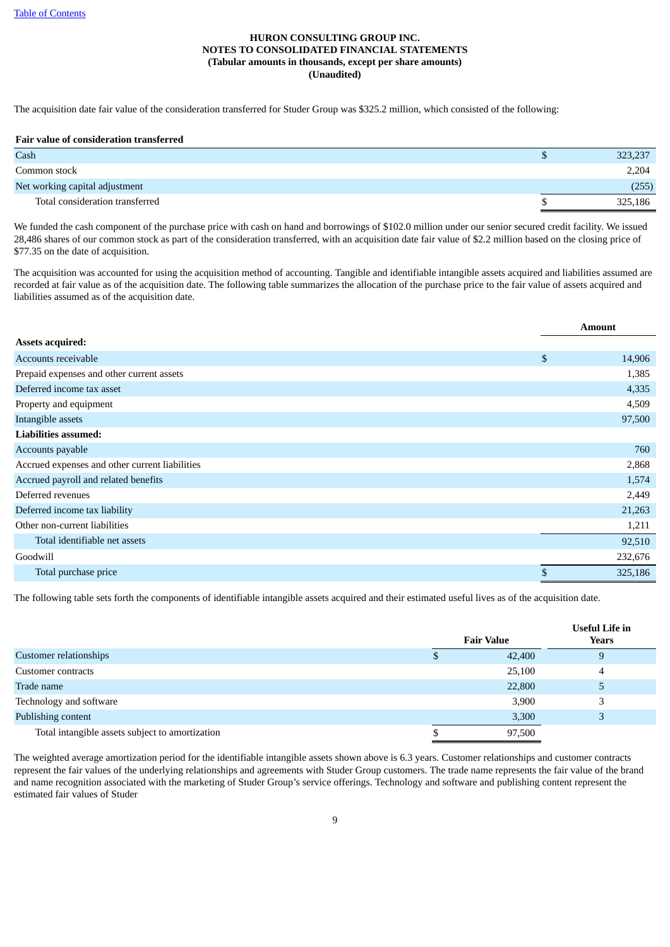The acquisition date fair value of the consideration transferred for Studer Group was \$325.2 million, which consisted of the following:

| Fair value of consideration transferred |         |
|-----------------------------------------|---------|
| Cash                                    | 323,237 |
| Common stock                            | 2,204   |
| Net working capital adjustment          | (255)   |
| Total consideration transferred         | 325,186 |

We funded the cash component of the purchase price with cash on hand and borrowings of \$102.0 million under our senior secured credit facility. We issued 28,486 shares of our common stock as part of the consideration transferred, with an acquisition date fair value of \$2.2 million based on the closing price of \$77.35 on the date of acquisition.

The acquisition was accounted for using the acquisition method of accounting. Tangible and identifiable intangible assets acquired and liabilities assumed are recorded at fair value as of the acquisition date. The following table summarizes the allocation of the purchase price to the fair value of assets acquired and liabilities assumed as of the acquisition date.

|                                                | <b>Amount</b> |         |
|------------------------------------------------|---------------|---------|
| <b>Assets acquired:</b>                        |               |         |
| Accounts receivable                            | \$            | 14,906  |
| Prepaid expenses and other current assets      |               | 1,385   |
| Deferred income tax asset                      |               | 4,335   |
| Property and equipment                         |               | 4,509   |
| Intangible assets                              |               | 97,500  |
| Liabilities assumed:                           |               |         |
| Accounts payable                               |               | 760     |
| Accrued expenses and other current liabilities |               | 2,868   |
| Accrued payroll and related benefits           |               | 1,574   |
| Deferred revenues                              |               | 2,449   |
| Deferred income tax liability                  |               | 21,263  |
| Other non-current liabilities                  |               | 1,211   |
| Total identifiable net assets                  |               | 92,510  |
| Goodwill                                       |               | 232,676 |
| Total purchase price                           | $\mathcal{S}$ | 325,186 |

The following table sets forth the components of identifiable intangible assets acquired and their estimated useful lives as of the acquisition date.

|                                                 | <b>Fair Value</b> | <b>Useful Life in</b><br><b>Years</b> |
|-------------------------------------------------|-------------------|---------------------------------------|
| Customer relationships                          | 42,400            | 9                                     |
| Customer contracts                              | 25,100            | 4                                     |
| Trade name                                      | 22,800            | 5                                     |
| Technology and software                         | 3,900             | 3                                     |
| Publishing content                              | 3,300             | 3                                     |
| Total intangible assets subject to amortization | 97,500            |                                       |

The weighted average amortization period for the identifiable intangible assets shown above is 6.3 years. Customer relationships and customer contracts represent the fair values of the underlying relationships and agreements with Studer Group customers. The trade name represents the fair value of the brand and name recognition associated with the marketing of Studer Group's service offerings. Technology and software and publishing content represent the estimated fair values of Studer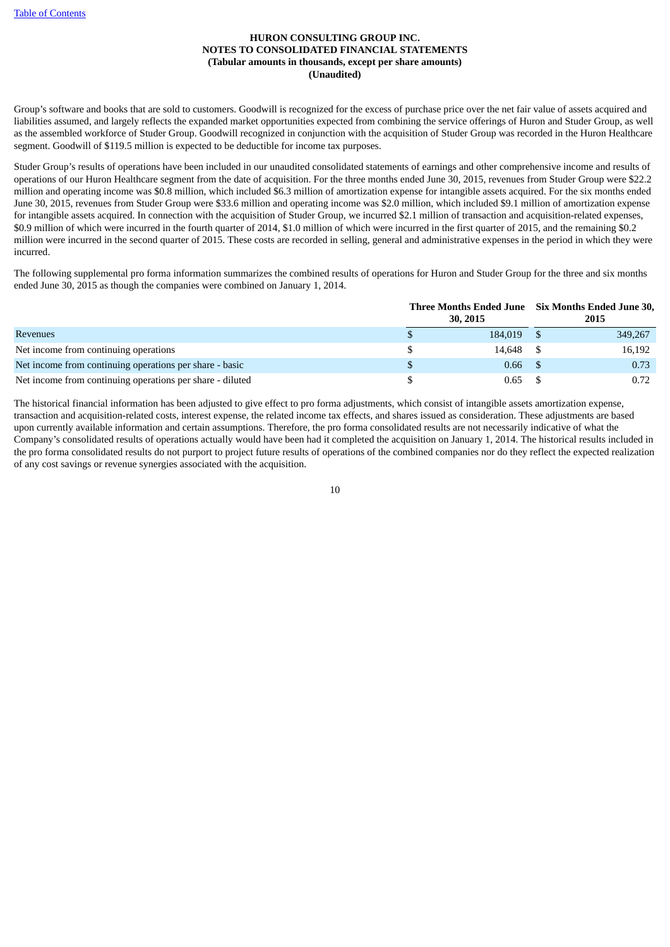Group's software and books that are sold to customers. Goodwill is recognized for the excess of purchase price over the net fair value of assets acquired and liabilities assumed, and largely reflects the expanded market opportunities expected from combining the service offerings of Huron and Studer Group, as well as the assembled workforce of Studer Group. Goodwill recognized in conjunction with the acquisition of Studer Group was recorded in the Huron Healthcare segment. Goodwill of \$119.5 million is expected to be deductible for income tax purposes.

Studer Group's results of operations have been included in our unaudited consolidated statements of earnings and other comprehensive income and results of operations of our Huron Healthcare segment from the date of acquisition. For the three months ended June 30, 2015, revenues from Studer Group were \$22.2 million and operating income was \$0.8 million, which included \$6.3 million of amortization expense for intangible assets acquired. For the six months ended June 30, 2015, revenues from Studer Group were \$33.6 million and operating income was \$2.0 million, which included \$9.1 million of amortization expense for intangible assets acquired. In connection with the acquisition of Studer Group, we incurred \$2.1 million of transaction and acquisition-related expenses, \$0.9 million of which were incurred in the fourth quarter of 2014, \$1.0 million of which were incurred in the first quarter of 2015, and the remaining \$0.2 million were incurred in the second quarter of 2015. These costs are recorded in selling, general and administrative expenses in the period in which they were incurred.

The following supplemental pro forma information summarizes the combined results of operations for Huron and Studer Group for the three and six months ended June 30, 2015 as though the companies were combined on January 1, 2014.

|                                                           |   | 30, 2015 | Three Months Ended June Six Months Ended June 30,<br>2015 |         |  |
|-----------------------------------------------------------|---|----------|-----------------------------------------------------------|---------|--|
| Revenues                                                  |   | 184,019  |                                                           | 349,267 |  |
| Net income from continuing operations                     |   | 14.648   |                                                           | 16.192  |  |
| Net income from continuing operations per share - basic   | S | 0.66     |                                                           | 0.73    |  |
| Net income from continuing operations per share - diluted |   | 0.65     |                                                           | 0.72    |  |

The historical financial information has been adjusted to give effect to pro forma adjustments, which consist of intangible assets amortization expense, transaction and acquisition-related costs, interest expense, the related income tax effects, and shares issued as consideration. These adjustments are based upon currently available information and certain assumptions. Therefore, the pro forma consolidated results are not necessarily indicative of what the Company's consolidated results of operations actually would have been had it completed the acquisition on January 1, 2014. The historical results included in the pro forma consolidated results do not purport to project future results of operations of the combined companies nor do they reflect the expected realization of any cost savings or revenue synergies associated with the acquisition.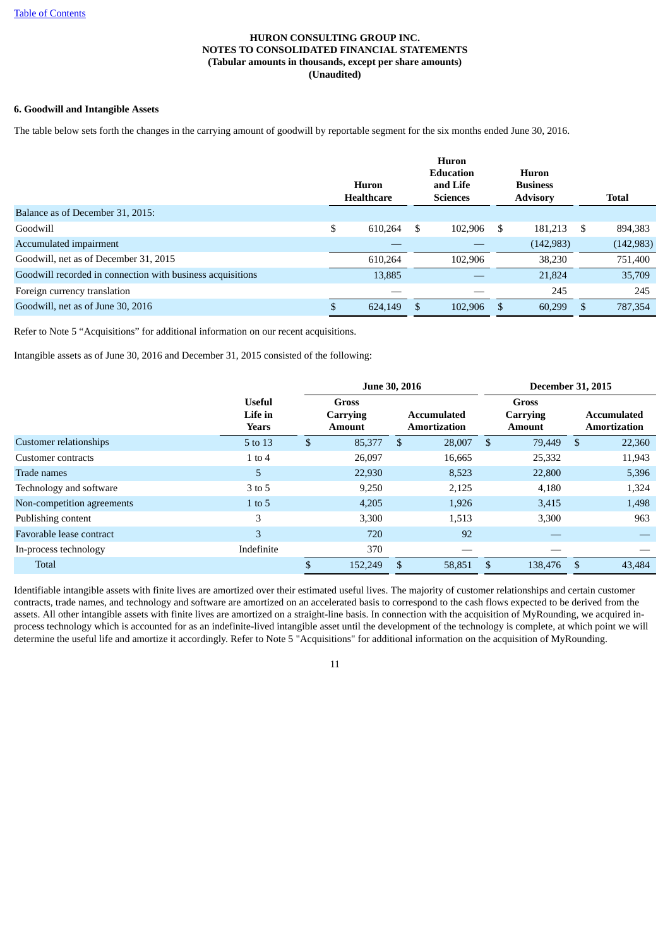## **6. Goodwill and Intangible Assets**

The table below sets forth the changes in the carrying amount of goodwill by reportable segment for the six months ended June 30, 2016.

|                                                            | <b>Huron</b><br><b>Healthcare</b> |    | <b>Huron</b><br><b>Education</b><br>and Life<br><b>Sciences</b> |      | <b>Huron</b><br><b>Business</b><br><b>Advisory</b> |    | <b>Total</b> |
|------------------------------------------------------------|-----------------------------------|----|-----------------------------------------------------------------|------|----------------------------------------------------|----|--------------|
| Balance as of December 31, 2015:                           |                                   |    |                                                                 |      |                                                    |    |              |
| Goodwill                                                   | \$<br>610.264                     | S  | 102,906                                                         | - \$ | 181,213                                            | S  | 894,383      |
| Accumulated impairment                                     |                                   |    |                                                                 |      | (142, 983)                                         |    | (142, 983)   |
| Goodwill, net as of December 31, 2015                      | 610.264                           |    | 102,906                                                         |      | 38,230                                             |    | 751,400      |
| Goodwill recorded in connection with business acquisitions | 13,885                            |    |                                                                 |      | 21,824                                             |    | 35,709       |
| Foreign currency translation                               |                                   |    |                                                                 |      | 245                                                |    | 245          |
| Goodwill, net as of June 30, 2016                          | 624,149                           | .S | 102,906                                                         |      | 60,299                                             | .S | 787,354      |

Refer to Note 5 "Acquisitions" for additional information on our recent acquisitions.

Intangible assets as of June 30, 2016 and December 31, 2015 consisted of the following:

|                            |                                   | <b>June 30, 2016</b> |                                    |    |                                           | <b>December 31, 2015</b> |                                           |     |                                           |
|----------------------------|-----------------------------------|----------------------|------------------------------------|----|-------------------------------------------|--------------------------|-------------------------------------------|-----|-------------------------------------------|
|                            | <b>Useful</b><br>Life in<br>Years |                      | Gross<br>Carrying<br><b>Amount</b> |    | <b>Accumulated</b><br><b>Amortization</b> |                          | <b>Gross</b><br>Carrying<br><b>Amount</b> |     | <b>Accumulated</b><br><b>Amortization</b> |
| Customer relationships     | 5 to 13                           | \$                   | 85,377                             | \$ | 28,007                                    | <sup>\$</sup>            | 79,449                                    | -S  | 22,360                                    |
| Customer contracts         | $1$ to $4$                        |                      | 26,097                             |    | 16,665                                    |                          | 25,332                                    |     | 11,943                                    |
| Trade names                | 5                                 |                      | 22,930                             |    | 8,523                                     |                          | 22,800                                    |     | 5,396                                     |
| Technology and software    | 3 to 5                            |                      | 9,250                              |    | 2,125                                     |                          | 4,180                                     |     | 1,324                                     |
| Non-competition agreements | $1$ to $5$                        |                      | 4,205                              |    | 1,926                                     |                          | 3,415                                     |     | 1,498                                     |
| Publishing content         | 3                                 |                      | 3,300                              |    | 1,513                                     |                          | 3,300                                     |     | 963                                       |
| Favorable lease contract   | 3                                 |                      | 720                                |    | 92                                        |                          |                                           |     |                                           |
| In-process technology      | Indefinite                        |                      | 370                                |    |                                           |                          |                                           |     |                                           |
| <b>Total</b>               |                                   | \$                   | 152,249                            | \$ | 58,851                                    | <sup>\$</sup>            | 138,476                                   | -\$ | 43,484                                    |

Identifiable intangible assets with finite lives are amortized over their estimated useful lives. The majority of customer relationships and certain customer contracts, trade names, and technology and software are amortized on an accelerated basis to correspond to the cash flows expected to be derived from the assets. All other intangible assets with finite lives are amortized on a straight-line basis. In connection with the acquisition of MyRounding, we acquired inprocess technology which is accounted for as an indefinite-lived intangible asset until the development of the technology is complete, at which point we will determine the useful life and amortize it accordingly. Refer to Note 5 "Acquisitions" for additional information on the acquisition of MyRounding.

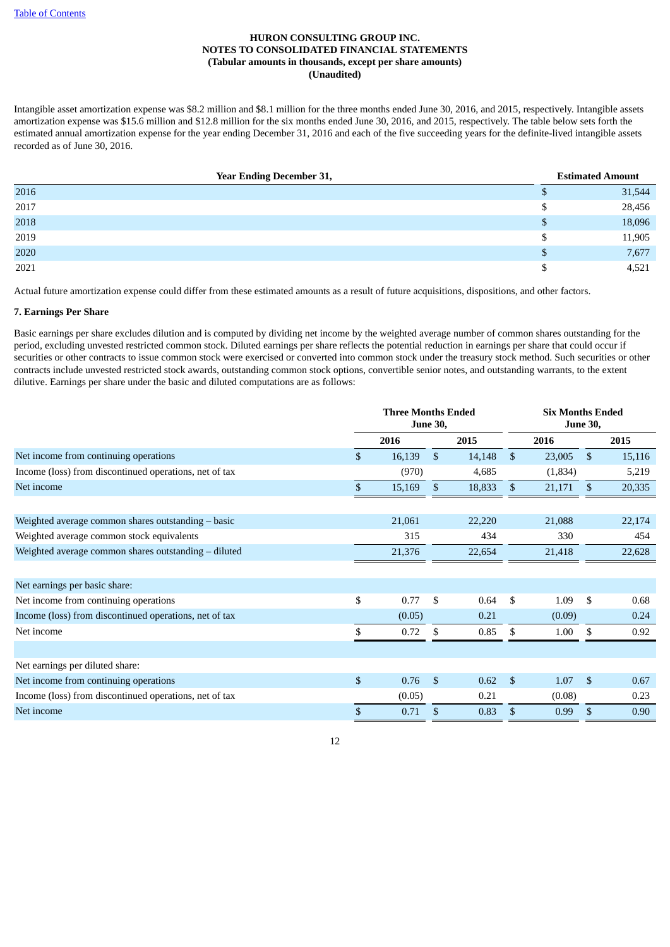Intangible asset amortization expense was \$8.2 million and \$8.1 million for the three months ended June 30, 2016, and 2015, respectively. Intangible assets amortization expense was \$15.6 million and \$12.8 million for the six months ended June 30, 2016, and 2015, respectively. The table below sets forth the estimated annual amortization expense for the year ending December 31, 2016 and each of the five succeeding years for the definite-lived intangible assets recorded as of June 30, 2016.

|      | <b>Year Ending December 31,</b> | <b>Estimated Amount</b> |
|------|---------------------------------|-------------------------|
| 2016 | Φ                               | 31,544                  |
| 2017 | Ľ                               | 28,456                  |
| 2018 |                                 | 18,096                  |
| 2019 |                                 | 11,905                  |
| 2020 | S                               | 7,677                   |
| 2021 |                                 | 4,521                   |

Actual future amortization expense could differ from these estimated amounts as a result of future acquisitions, dispositions, and other factors.

## **7. Earnings Per Share**

Basic earnings per share excludes dilution and is computed by dividing net income by the weighted average number of common shares outstanding for the period, excluding unvested restricted common stock. Diluted earnings per share reflects the potential reduction in earnings per share that could occur if securities or other contracts to issue common stock were exercised or converted into common stock under the treasury stock method. Such securities or other contracts include unvested restricted stock awards, outstanding common stock options, convertible senior notes, and outstanding warrants, to the extent dilutive. Earnings per share under the basic and diluted computations are as follows:

|                                                        | <b>Three Months Ended</b><br><b>June 30,</b> |        |                |        |                         |         | <b>June 30,</b> | <b>Six Months Ended</b> |  |
|--------------------------------------------------------|----------------------------------------------|--------|----------------|--------|-------------------------|---------|-----------------|-------------------------|--|
|                                                        |                                              | 2016   | 2015           |        |                         | 2016    |                 | 2015                    |  |
| Net income from continuing operations                  | \$                                           | 16,139 | $\mathfrak{S}$ | 14,148 | $\mathbb{S}$            | 23,005  | $\mathbb{S}$    | 15,116                  |  |
| Income (loss) from discontinued operations, net of tax |                                              | (970)  |                | 4,685  |                         | (1,834) |                 | 5,219                   |  |
| Net income                                             | \$                                           | 15,169 | \$             | 18,833 | \$                      | 21,171  | \$              | 20,335                  |  |
|                                                        |                                              |        |                |        |                         |         |                 |                         |  |
| Weighted average common shares outstanding $-$ basic   |                                              | 21,061 |                | 22,220 |                         | 21,088  |                 | 22,174                  |  |
| Weighted average common stock equivalents              |                                              | 315    |                | 434    |                         | 330     |                 | 454                     |  |
| Weighted average common shares outstanding - diluted   |                                              | 21,376 |                | 22,654 |                         | 21,418  |                 | 22,628                  |  |
|                                                        |                                              |        |                |        |                         |         |                 |                         |  |
| Net earnings per basic share:                          |                                              |        |                |        |                         |         |                 |                         |  |
| Net income from continuing operations                  | \$                                           | 0.77   | \$             | 0.64   | \$                      | 1.09    | \$              | 0.68                    |  |
| Income (loss) from discontinued operations, net of tax |                                              | (0.05) |                | 0.21   |                         | (0.09)  |                 | 0.24                    |  |
| Net income                                             | \$                                           | 0.72   | \$             | 0.85   | \$                      | 1.00    | \$              | 0.92                    |  |
|                                                        |                                              |        |                |        |                         |         |                 |                         |  |
| Net earnings per diluted share:                        |                                              |        |                |        |                         |         |                 |                         |  |
| Net income from continuing operations                  | \$                                           | 0.76   | $\mathfrak{L}$ | 0.62   | $\mathbf{\mathfrak{S}}$ | 1.07    | $\mathbb{S}$    | 0.67                    |  |
| Income (loss) from discontinued operations, net of tax |                                              | (0.05) |                | 0.21   |                         | (0.08)  |                 | 0.23                    |  |
| Net income                                             | \$                                           | 0.71   | \$             | 0.83   | \$                      | 0.99    | \$              | 0.90                    |  |

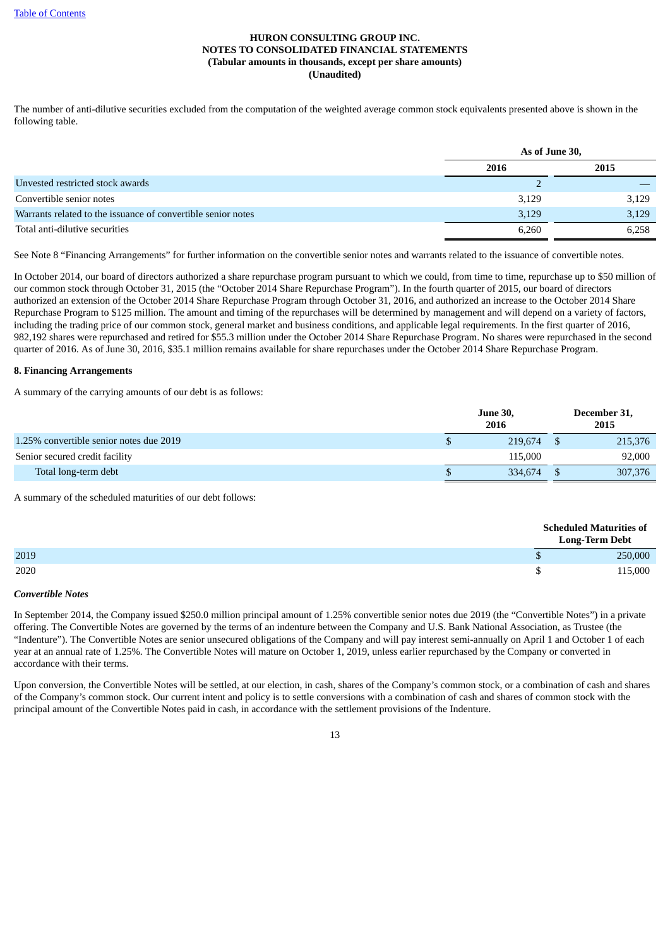The number of anti-dilutive securities excluded from the computation of the weighted average common stock equivalents presented above is shown in the following table.

|                                                              | As of June 30, |       |  |  |
|--------------------------------------------------------------|----------------|-------|--|--|
|                                                              | 2016           | 2015  |  |  |
| Unvested restricted stock awards                             |                |       |  |  |
| Convertible senior notes                                     | 3,129          | 3,129 |  |  |
| Warrants related to the issuance of convertible senior notes | 3,129          | 3,129 |  |  |
| Total anti-dilutive securities                               | 6.260          | 6,258 |  |  |

See Note 8 "Financing Arrangements" for further information on the convertible senior notes and warrants related to the issuance of convertible notes.

In October 2014, our board of directors authorized a share repurchase program pursuant to which we could, from time to time, repurchase up to \$50 million of our common stock through October 31, 2015 (the "October 2014 Share Repurchase Program"). In the fourth quarter of 2015, our board of directors authorized an extension of the October 2014 Share Repurchase Program through October 31, 2016, and authorized an increase to the October 2014 Share Repurchase Program to \$125 million. The amount and timing of the repurchases will be determined by management and will depend on a variety of factors, including the trading price of our common stock, general market and business conditions, and applicable legal requirements. In the first quarter of 2016, 982,192 shares were repurchased and retired for \$55.3 million under the October 2014 Share Repurchase Program. No shares were repurchased in the second quarter of 2016. As of June 30, 2016, \$35.1 million remains available for share repurchases under the October 2014 Share Repurchase Program.

#### **8. Financing Arrangements**

A summary of the carrying amounts of our debt is as follows:

|                                         | <b>June 30,</b><br>2016 | December 31,<br>2015 |
|-----------------------------------------|-------------------------|----------------------|
| 1.25% convertible senior notes due 2019 | 219,674                 | 215,376              |
| Senior secured credit facility          | 115,000                 | 92,000               |
| Total long-term debt                    | 334,674                 | 307,376              |

A summary of the scheduled maturities of our debt follows:

|      | <b>Scheduled Maturities of</b><br><b>Long-Term Debt</b> |
|------|---------------------------------------------------------|
| 2019 | 250,000                                                 |
| 2020 | 115,000                                                 |

#### *Convertible Notes*

In September 2014, the Company issued \$250.0 million principal amount of 1.25% convertible senior notes due 2019 (the "Convertible Notes") in a private offering. The Convertible Notes are governed by the terms of an indenture between the Company and U.S. Bank National Association, as Trustee (the "Indenture"). The Convertible Notes are senior unsecured obligations of the Company and will pay interest semi-annually on April 1 and October 1 of each year at an annual rate of 1.25%. The Convertible Notes will mature on October 1, 2019, unless earlier repurchased by the Company or converted in accordance with their terms.

Upon conversion, the Convertible Notes will be settled, at our election, in cash, shares of the Company's common stock, or a combination of cash and shares of the Company's common stock. Our current intent and policy is to settle conversions with a combination of cash and shares of common stock with the principal amount of the Convertible Notes paid in cash, in accordance with the settlement provisions of the Indenture.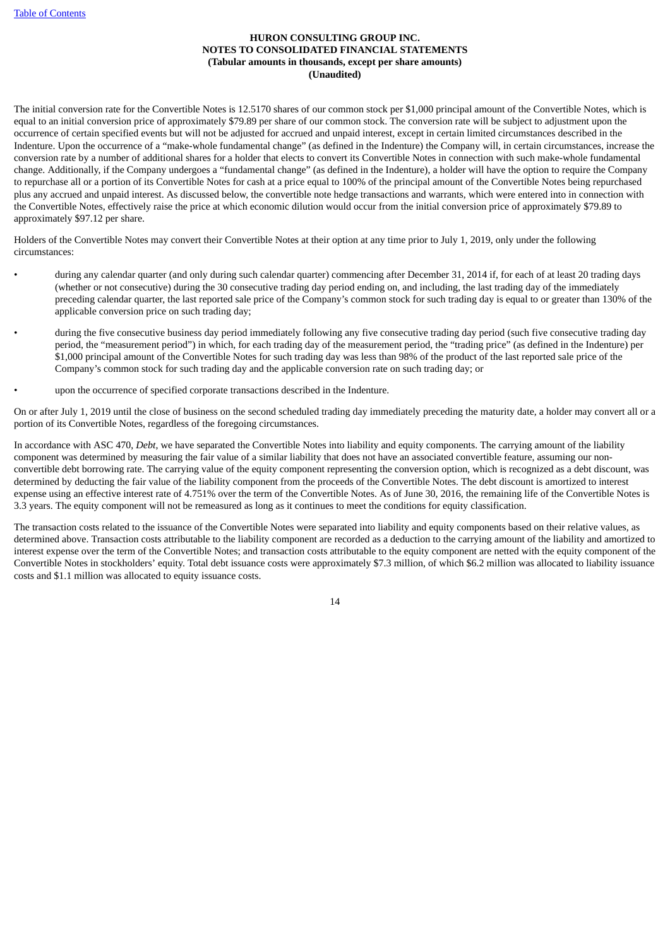The initial conversion rate for the Convertible Notes is 12.5170 shares of our common stock per \$1,000 principal amount of the Convertible Notes, which is equal to an initial conversion price of approximately \$79.89 per share of our common stock. The conversion rate will be subject to adjustment upon the occurrence of certain specified events but will not be adjusted for accrued and unpaid interest, except in certain limited circumstances described in the Indenture. Upon the occurrence of a "make-whole fundamental change" (as defined in the Indenture) the Company will, in certain circumstances, increase the conversion rate by a number of additional shares for a holder that elects to convert its Convertible Notes in connection with such make-whole fundamental change. Additionally, if the Company undergoes a "fundamental change" (as defined in the Indenture), a holder will have the option to require the Company to repurchase all or a portion of its Convertible Notes for cash at a price equal to 100% of the principal amount of the Convertible Notes being repurchased plus any accrued and unpaid interest. As discussed below, the convertible note hedge transactions and warrants, which were entered into in connection with the Convertible Notes, effectively raise the price at which economic dilution would occur from the initial conversion price of approximately \$79.89 to approximately \$97.12 per share.

Holders of the Convertible Notes may convert their Convertible Notes at their option at any time prior to July 1, 2019, only under the following circumstances:

- during any calendar quarter (and only during such calendar quarter) commencing after December 31, 2014 if, for each of at least 20 trading days (whether or not consecutive) during the 30 consecutive trading day period ending on, and including, the last trading day of the immediately preceding calendar quarter, the last reported sale price of the Company's common stock for such trading day is equal to or greater than 130% of the applicable conversion price on such trading day;
- during the five consecutive business day period immediately following any five consecutive trading day period (such five consecutive trading day period, the "measurement period") in which, for each trading day of the measurement period, the "trading price" (as defined in the Indenture) per \$1,000 principal amount of the Convertible Notes for such trading day was less than 98% of the product of the last reported sale price of the Company's common stock for such trading day and the applicable conversion rate on such trading day; or
- upon the occurrence of specified corporate transactions described in the Indenture.

On or after July 1, 2019 until the close of business on the second scheduled trading day immediately preceding the maturity date, a holder may convert all or a portion of its Convertible Notes, regardless of the foregoing circumstances.

In accordance with ASC 470, *Debt*, we have separated the Convertible Notes into liability and equity components. The carrying amount of the liability component was determined by measuring the fair value of a similar liability that does not have an associated convertible feature, assuming our nonconvertible debt borrowing rate. The carrying value of the equity component representing the conversion option, which is recognized as a debt discount, was determined by deducting the fair value of the liability component from the proceeds of the Convertible Notes. The debt discount is amortized to interest expense using an effective interest rate of 4.751% over the term of the Convertible Notes. As of June 30, 2016, the remaining life of the Convertible Notes is 3.3 years. The equity component will not be remeasured as long as it continues to meet the conditions for equity classification.

The transaction costs related to the issuance of the Convertible Notes were separated into liability and equity components based on their relative values, as determined above. Transaction costs attributable to the liability component are recorded as a deduction to the carrying amount of the liability and amortized to interest expense over the term of the Convertible Notes; and transaction costs attributable to the equity component are netted with the equity component of the Convertible Notes in stockholders' equity. Total debt issuance costs were approximately \$7.3 million, of which \$6.2 million was allocated to liability issuance costs and \$1.1 million was allocated to equity issuance costs.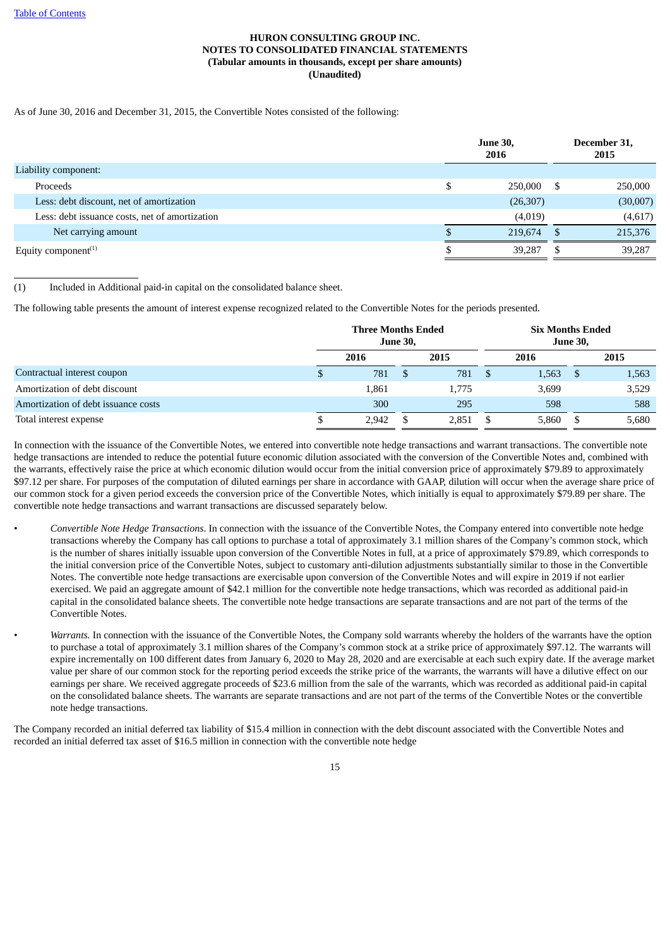As of June 30, 2016 and December 31, 2015, the Convertible Notes consisted of the following:

|                                                |    | <b>June 30,</b><br>2016 |    | December 31,<br>2015 |
|------------------------------------------------|----|-------------------------|----|----------------------|
| Liability component:                           |    |                         |    |                      |
| Proceeds                                       | ۰D | 250,000                 | S  | 250,000              |
| Less: debt discount, net of amortization       |    | (26, 307)               |    | (30,007)             |
| Less: debt issuance costs, net of amortization |    | (4,019)                 |    | (4,617)              |
| Net carrying amount                            |    | 219,674                 | -S | 215,376              |
| Equity component <sup><math>(1)</math></sup>   |    | 39,287                  |    | 39,287               |

(1) Included in Additional paid-in capital on the consolidated balance sheet.

The following table presents the amount of interest expense recognized related to the Convertible Notes for the periods presented.

|                                     | <b>Three Months Ended</b><br><b>June 30,</b> |  |       | <b>Six Months Ended</b><br><b>June 30,</b> |       |  |       |
|-------------------------------------|----------------------------------------------|--|-------|--------------------------------------------|-------|--|-------|
|                                     | 2016                                         |  | 2015  |                                            | 2016  |  | 2015  |
| Contractual interest coupon         | \$<br>781                                    |  | 781   | <sup>\$</sup>                              | 1,563 |  | 1,563 |
| Amortization of debt discount       | 1,861                                        |  | 1,775 |                                            | 3,699 |  | 3,529 |
| Amortization of debt issuance costs | 300                                          |  | 295   |                                            | 598   |  | 588   |
| Total interest expense              | 2,942                                        |  | 2,851 |                                            | 5,860 |  | 5,680 |

In connection with the issuance of the Convertible Notes, we entered into convertible note hedge transactions and warrant transactions. The convertible note hedge transactions are intended to reduce the potential future economic dilution associated with the conversion of the Convertible Notes and, combined with the warrants, effectively raise the price at which economic dilution would occur from the initial conversion price of approximately \$79.89 to approximately \$97.12 per share. For purposes of the computation of diluted earnings per share in accordance with GAAP, dilution will occur when the average share price of our common stock for a given period exceeds the conversion price of the Convertible Notes, which initially is equal to approximately \$79.89 per share. The convertible note hedge transactions and warrant transactions are discussed separately below.

- *Convertible Note Hedge Transactions*. In connection with the issuance of the Convertible Notes, the Company entered into convertible note hedge transactions whereby the Company has call options to purchase a total of approximately 3.1 million shares of the Company's common stock, which is the number of shares initially issuable upon conversion of the Convertible Notes in full, at a price of approximately \$79.89, which corresponds to the initial conversion price of the Convertible Notes, subject to customary anti-dilution adjustments substantially similar to those in the Convertible Notes. The convertible note hedge transactions are exercisable upon conversion of the Convertible Notes and will expire in 2019 if not earlier exercised. We paid an aggregate amount of \$42.1 million for the convertible note hedge transactions, which was recorded as additional paid-in capital in the consolidated balance sheets. The convertible note hedge transactions are separate transactions and are not part of the terms of the Convertible Notes.
	- *Warrants.* In connection with the issuance of the Convertible Notes, the Company sold warrants whereby the holders of the warrants have the option to purchase a total of approximately 3.1 million shares of the Company's common stock at a strike price of approximately \$97.12. The warrants will expire incrementally on 100 different dates from January 6, 2020 to May 28, 2020 and are exercisable at each such expiry date. If the average market value per share of our common stock for the reporting period exceeds the strike price of the warrants, the warrants will have a dilutive effect on our earnings per share. We received aggregate proceeds of \$23.6 million from the sale of the warrants, which was recorded as additional paid-in capital on the consolidated balance sheets. The warrants are separate transactions and are not part of the terms of the Convertible Notes or the convertible note hedge transactions.

The Company recorded an initial deferred tax liability of \$15.4 million in connection with the debt discount associated with the Convertible Notes and recorded an initial deferred tax asset of \$16.5 million in connection with the convertible note hedge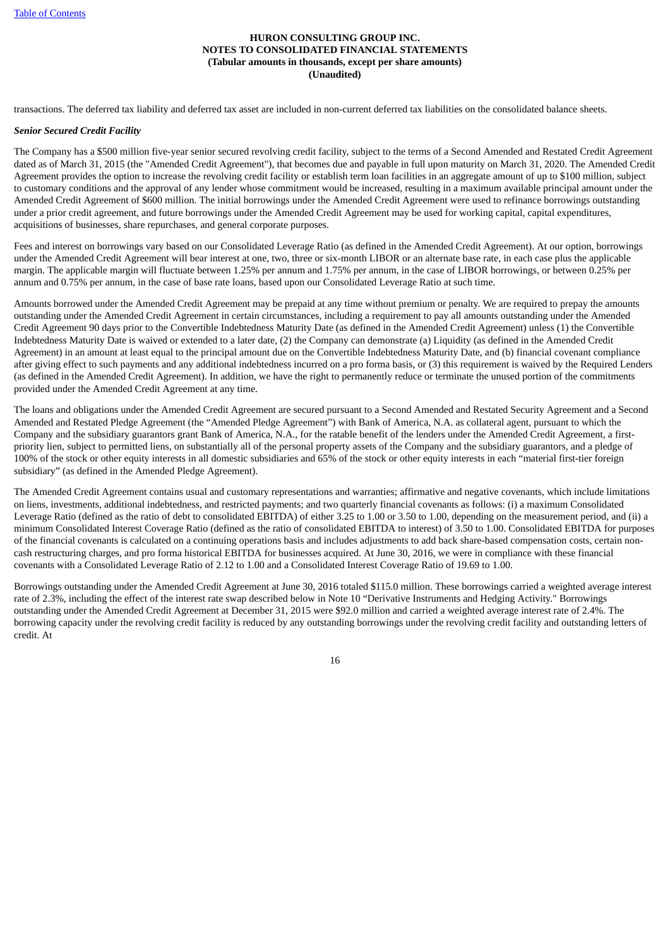transactions. The deferred tax liability and deferred tax asset are included in non-current deferred tax liabilities on the consolidated balance sheets.

#### *Senior Secured Credit Facility*

The Company has a \$500 million five-year senior secured revolving credit facility, subject to the terms of a Second Amended and Restated Credit Agreement dated as of March 31, 2015 (the "Amended Credit Agreement"), that becomes due and payable in full upon maturity on March 31, 2020. The Amended Credit Agreement provides the option to increase the revolving credit facility or establish term loan facilities in an aggregate amount of up to \$100 million, subject to customary conditions and the approval of any lender whose commitment would be increased, resulting in a maximum available principal amount under the Amended Credit Agreement of \$600 million. The initial borrowings under the Amended Credit Agreement were used to refinance borrowings outstanding under a prior credit agreement, and future borrowings under the Amended Credit Agreement may be used for working capital, capital expenditures, acquisitions of businesses, share repurchases, and general corporate purposes.

Fees and interest on borrowings vary based on our Consolidated Leverage Ratio (as defined in the Amended Credit Agreement). At our option, borrowings under the Amended Credit Agreement will bear interest at one, two, three or six-month LIBOR or an alternate base rate, in each case plus the applicable margin. The applicable margin will fluctuate between 1.25% per annum and 1.75% per annum, in the case of LIBOR borrowings, or between 0.25% per annum and 0.75% per annum, in the case of base rate loans, based upon our Consolidated Leverage Ratio at such time.

Amounts borrowed under the Amended Credit Agreement may be prepaid at any time without premium or penalty. We are required to prepay the amounts outstanding under the Amended Credit Agreement in certain circumstances, including a requirement to pay all amounts outstanding under the Amended Credit Agreement 90 days prior to the Convertible Indebtedness Maturity Date (as defined in the Amended Credit Agreement) unless (1) the Convertible Indebtedness Maturity Date is waived or extended to a later date, (2) the Company can demonstrate (a) Liquidity (as defined in the Amended Credit Agreement) in an amount at least equal to the principal amount due on the Convertible Indebtedness Maturity Date, and (b) financial covenant compliance after giving effect to such payments and any additional indebtedness incurred on a pro forma basis, or (3) this requirement is waived by the Required Lenders (as defined in the Amended Credit Agreement). In addition, we have the right to permanently reduce or terminate the unused portion of the commitments provided under the Amended Credit Agreement at any time.

The loans and obligations under the Amended Credit Agreement are secured pursuant to a Second Amended and Restated Security Agreement and a Second Amended and Restated Pledge Agreement (the "Amended Pledge Agreement") with Bank of America, N.A. as collateral agent, pursuant to which the Company and the subsidiary guarantors grant Bank of America, N.A., for the ratable benefit of the lenders under the Amended Credit Agreement, a firstpriority lien, subject to permitted liens, on substantially all of the personal property assets of the Company and the subsidiary guarantors, and a pledge of 100% of the stock or other equity interests in all domestic subsidiaries and 65% of the stock or other equity interests in each "material first-tier foreign subsidiary" (as defined in the Amended Pledge Agreement).

The Amended Credit Agreement contains usual and customary representations and warranties; affirmative and negative covenants, which include limitations on liens, investments, additional indebtedness, and restricted payments; and two quarterly financial covenants as follows: (i) a maximum Consolidated Leverage Ratio (defined as the ratio of debt to consolidated EBITDA) of either 3.25 to 1.00 or 3.50 to 1.00, depending on the measurement period, and (ii) a minimum Consolidated Interest Coverage Ratio (defined as the ratio of consolidated EBITDA to interest) of 3.50 to 1.00. Consolidated EBITDA for purposes of the financial covenants is calculated on a continuing operations basis and includes adjustments to add back share-based compensation costs, certain noncash restructuring charges, and pro forma historical EBITDA for businesses acquired. At June 30, 2016, we were in compliance with these financial covenants with a Consolidated Leverage Ratio of 2.12 to 1.00 and a Consolidated Interest Coverage Ratio of 19.69 to 1.00.

Borrowings outstanding under the Amended Credit Agreement at June 30, 2016 totaled \$115.0 million. These borrowings carried a weighted average interest rate of 2.3%, including the effect of the interest rate swap described below in Note 10 "Derivative Instruments and Hedging Activity." Borrowings outstanding under the Amended Credit Agreement at December 31, 2015 were \$92.0 million and carried a weighted average interest rate of 2.4%. The borrowing capacity under the revolving credit facility is reduced by any outstanding borrowings under the revolving credit facility and outstanding letters of credit. At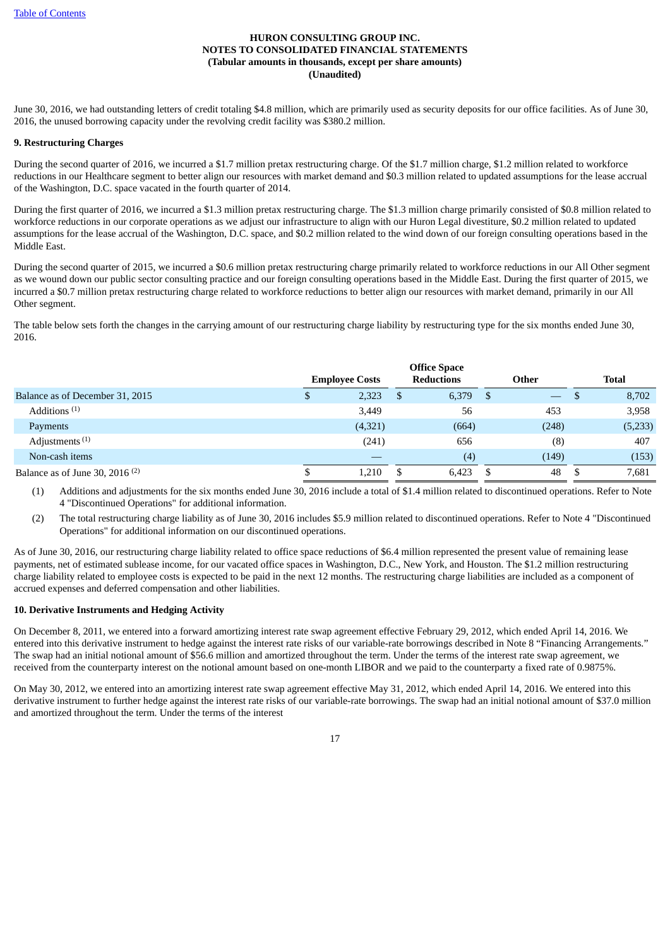June 30, 2016, we had outstanding letters of credit totaling \$4.8 million, which are primarily used as security deposits for our office facilities. As of June 30, 2016, the unused borrowing capacity under the revolving credit facility was \$380.2 million.

#### **9. Restructuring Charges**

During the second quarter of 2016, we incurred a \$1.7 million pretax restructuring charge. Of the \$1.7 million charge, \$1.2 million related to workforce reductions in our Healthcare segment to better align our resources with market demand and \$0.3 million related to updated assumptions for the lease accrual of the Washington, D.C. space vacated in the fourth quarter of 2014.

During the first quarter of 2016, we incurred a \$1.3 million pretax restructuring charge. The \$1.3 million charge primarily consisted of \$0.8 million related to workforce reductions in our corporate operations as we adjust our infrastructure to align with our Huron Legal divestiture, \$0.2 million related to updated assumptions for the lease accrual of the Washington, D.C. space, and \$0.2 million related to the wind down of our foreign consulting operations based in the Middle East.

During the second quarter of 2015, we incurred a \$0.6 million pretax restructuring charge primarily related to workforce reductions in our All Other segment as we wound down our public sector consulting practice and our foreign consulting operations based in the Middle East. During the first quarter of 2015, we incurred a \$0.7 million pretax restructuring charge related to workforce reductions to better align our resources with market demand, primarily in our All Other segment.

The table below sets forth the changes in the carrying amount of our restructuring charge liability by restructuring type for the six months ended June 30, 2016.

|                                   | <b>Employee Costs</b> | <b>Office Space</b><br><b>Reductions</b> | Other | <b>Total</b> |
|-----------------------------------|-----------------------|------------------------------------------|-------|--------------|
| Balance as of December 31, 2015   | 2,323<br>S            | 6,379<br>S                               | -S    | 8,702<br>ා   |
| Additions $(1)$                   | 3,449                 | 56                                       | 453   | 3,958        |
| Payments                          | (4,321)               | (664)                                    | (248) | (5,233)      |
| Adjustments <sup>(1)</sup>        | (241)                 | 656                                      | (8)   | 407          |
| Non-cash items                    |                       | (4)                                      | (149) | (153)        |
| Balance as of June 30, 2016 $(2)$ | \$<br>1,210           | 6,423                                    | 48    | 7,681        |

(1) Additions and adjustments for the six months ended June 30, 2016 include a total of \$1.4 million related to discontinued operations. Refer to Note 4 "Discontinued Operations" for additional information.

(2) The total restructuring charge liability as of June 30, 2016 includes \$5.9 million related to discontinued operations. Refer to Note 4 "Discontinued Operations" for additional information on our discontinued operations.

As of June 30, 2016, our restructuring charge liability related to office space reductions of \$6.4 million represented the present value of remaining lease payments, net of estimated sublease income, for our vacated office spaces in Washington, D.C., New York, and Houston. The \$1.2 million restructuring charge liability related to employee costs is expected to be paid in the next 12 months. The restructuring charge liabilities are included as a component of accrued expenses and deferred compensation and other liabilities.

## **10. Derivative Instruments and Hedging Activity**

On December 8, 2011, we entered into a forward amortizing interest rate swap agreement effective February 29, 2012, which ended April 14, 2016. We entered into this derivative instrument to hedge against the interest rate risks of our variable-rate borrowings described in Note 8 "Financing Arrangements." The swap had an initial notional amount of \$56.6 million and amortized throughout the term. Under the terms of the interest rate swap agreement, we received from the counterparty interest on the notional amount based on one-month LIBOR and we paid to the counterparty a fixed rate of 0.9875%.

On May 30, 2012, we entered into an amortizing interest rate swap agreement effective May 31, 2012, which ended April 14, 2016. We entered into this derivative instrument to further hedge against the interest rate risks of our variable-rate borrowings. The swap had an initial notional amount of \$37.0 million and amortized throughout the term. Under the terms of the interest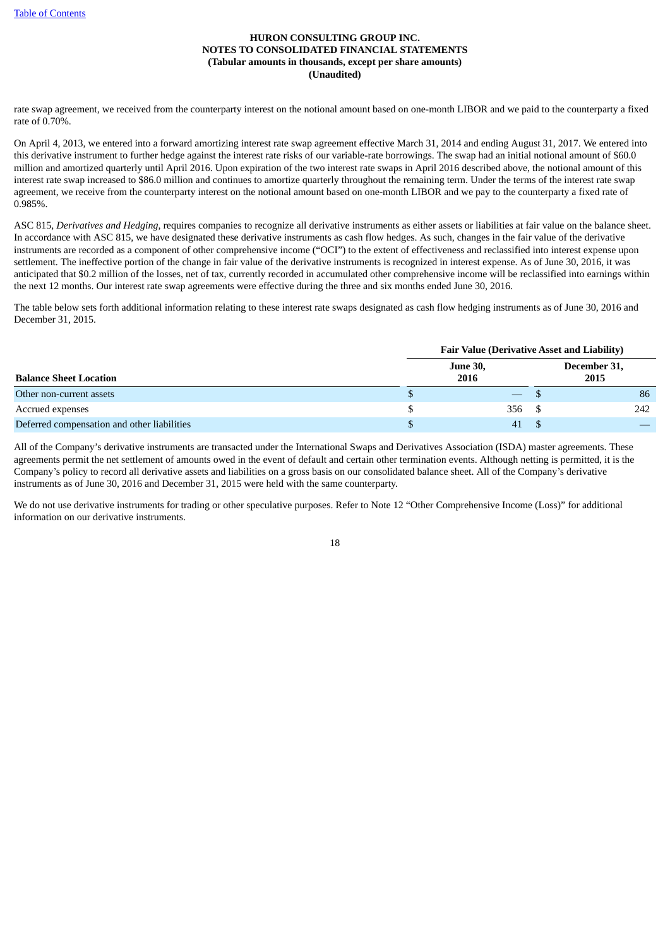rate swap agreement, we received from the counterparty interest on the notional amount based on one-month LIBOR and we paid to the counterparty a fixed rate of 0.70%.

On April 4, 2013, we entered into a forward amortizing interest rate swap agreement effective March 31, 2014 and ending August 31, 2017. We entered into this derivative instrument to further hedge against the interest rate risks of our variable-rate borrowings. The swap had an initial notional amount of \$60.0 million and amortized quarterly until April 2016. Upon expiration of the two interest rate swaps in April 2016 described above, the notional amount of this interest rate swap increased to \$86.0 million and continues to amortize quarterly throughout the remaining term. Under the terms of the interest rate swap agreement, we receive from the counterparty interest on the notional amount based on one-month LIBOR and we pay to the counterparty a fixed rate of 0.985%.

ASC 815, *Derivatives and Hedging*, requires companies to recognize all derivative instruments as either assets or liabilities at fair value on the balance sheet. In accordance with ASC 815, we have designated these derivative instruments as cash flow hedges. As such, changes in the fair value of the derivative instruments are recorded as a component of other comprehensive income ("OCI") to the extent of effectiveness and reclassified into interest expense upon settlement. The ineffective portion of the change in fair value of the derivative instruments is recognized in interest expense. As of June 30, 2016, it was anticipated that \$0.2 million of the losses, net of tax, currently recorded in accumulated other comprehensive income will be reclassified into earnings within the next 12 months. Our interest rate swap agreements were effective during the three and six months ended June 30, 2016.

The table below sets forth additional information relating to these interest rate swaps designated as cash flow hedging instruments as of June 30, 2016 and December 31, 2015.

|                                             | <b>Fair Value (Derivative Asset and Liability)</b> |  |                      |  |  |  |  |  |
|---------------------------------------------|----------------------------------------------------|--|----------------------|--|--|--|--|--|
| <b>Balance Sheet Location</b>               | <b>June 30,</b><br>2016                            |  | December 31,<br>2015 |  |  |  |  |  |
| Other non-current assets                    | $\hspace{0.1mm}-\hspace{0.1mm}$                    |  | 86                   |  |  |  |  |  |
| Accrued expenses                            | 356                                                |  | 242                  |  |  |  |  |  |
| Deferred compensation and other liabilities | 41                                                 |  |                      |  |  |  |  |  |

All of the Company's derivative instruments are transacted under the International Swaps and Derivatives Association (ISDA) master agreements. These agreements permit the net settlement of amounts owed in the event of default and certain other termination events. Although netting is permitted, it is the Company's policy to record all derivative assets and liabilities on a gross basis on our consolidated balance sheet. All of the Company's derivative instruments as of June 30, 2016 and December 31, 2015 were held with the same counterparty.

We do not use derivative instruments for trading or other speculative purposes. Refer to Note 12 "Other Comprehensive Income (Loss)" for additional information on our derivative instruments.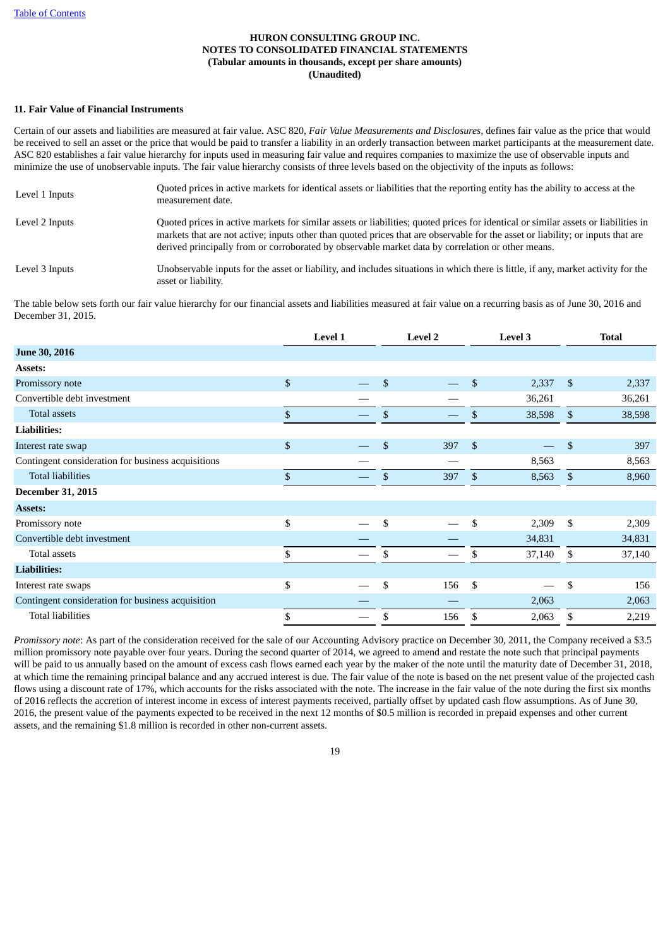## **11. Fair Value of Financial Instruments**

Certain of our assets and liabilities are measured at fair value. ASC 820, *Fair Value Measurements and Disclosures*, defines fair value as the price that would be received to sell an asset or the price that would be paid to transfer a liability in an orderly transaction between market participants at the measurement date. ASC 820 establishes a fair value hierarchy for inputs used in measuring fair value and requires companies to maximize the use of observable inputs and minimize the use of unobservable inputs. The fair value hierarchy consists of three levels based on the objectivity of the inputs as follows:

| Level 1 Inputs | Quoted prices in active markets for identical assets or liabilities that the reporting entity has the ability to access at the<br>measurement date.                                                                                                                                                                                                                        |
|----------------|----------------------------------------------------------------------------------------------------------------------------------------------------------------------------------------------------------------------------------------------------------------------------------------------------------------------------------------------------------------------------|
| Level 2 Inputs | Quoted prices in active markets for similar assets or liabilities; quoted prices for identical or similar assets or liabilities in<br>markets that are not active; inputs other than quoted prices that are observable for the asset or liability; or inputs that are<br>derived principally from or corroborated by observable market data by correlation or other means. |
| $L = 12$       | The beameble incurred in the cent on Robility and includes situations in cabial them is Rule. If you members within family,                                                                                                                                                                                                                                                |

Level 3 Inputs Unobservable inputs for the asset or liability, and includes situations in which there is little, if any, market activity for the asset or liability.

The table below sets forth our fair value hierarchy for our financial assets and liabilities measured at fair value on a recurring basis as of June 30, 2016 and December 31, 2015.

|                                                    | Level 1 | <b>Level 2</b> |                | <b>Level 3</b> |              | <b>Total</b> |
|----------------------------------------------------|---------|----------------|----------------|----------------|--------------|--------------|
| <b>June 30, 2016</b>                               |         |                |                |                |              |              |
| Assets:                                            |         |                |                |                |              |              |
| Promissory note                                    | \$      | \$             | $\mathfrak{L}$ | 2,337          | $\mathbb{S}$ | 2,337        |
| Convertible debt investment                        |         |                |                | 36,261         |              | 36,261       |
| Total assets                                       | \$      |                | $\mathbb{S}$   | 38,598         | \$           | 38,598       |
| <b>Liabilities:</b>                                |         |                |                |                |              |              |
| Interest rate swap                                 | \$      | \$<br>397      | $\mathfrak{S}$ |                | \$           | 397          |
| Contingent consideration for business acquisitions |         |                |                | 8,563          |              | 8,563        |
| <b>Total liabilities</b>                           | \$      | \$<br>397      | $\mathfrak{S}$ | 8,563          | \$           | 8,960        |
| December 31, 2015                                  |         |                |                |                |              |              |
| Assets:                                            |         |                |                |                |              |              |
| Promissory note                                    | \$      | \$             | \$             | 2,309          | \$           | 2,309        |
| Convertible debt investment                        |         |                |                | 34,831         |              | 34,831       |
| <b>Total assets</b>                                | \$      | \$             | \$             | 37,140         | \$           | 37,140       |
| <b>Liabilities:</b>                                |         |                |                |                |              |              |
| Interest rate swaps                                | \$      | \$<br>156      | \$             |                | \$           | 156          |
| Contingent consideration for business acquisition  |         |                |                | 2,063          |              | 2,063        |
| <b>Total liabilities</b>                           | \$      | \$<br>156      | \$             | 2,063          | \$           | 2,219        |

*Promissory note*: As part of the consideration received for the sale of our Accounting Advisory practice on December 30, 2011, the Company received a \$3.5 million promissory note payable over four years. During the second quarter of 2014, we agreed to amend and restate the note such that principal payments will be paid to us annually based on the amount of excess cash flows earned each year by the maker of the note until the maturity date of December 31, 2018, at which time the remaining principal balance and any accrued interest is due. The fair value of the note is based on the net present value of the projected cash flows using a discount rate of 17%, which accounts for the risks associated with the note. The increase in the fair value of the note during the first six months of 2016 reflects the accretion of interest income in excess of interest payments received, partially offset by updated cash flow assumptions. As of June 30, 2016, the present value of the payments expected to be received in the next 12 months of \$0.5 million is recorded in prepaid expenses and other current assets, and the remaining \$1.8 million is recorded in other non-current assets.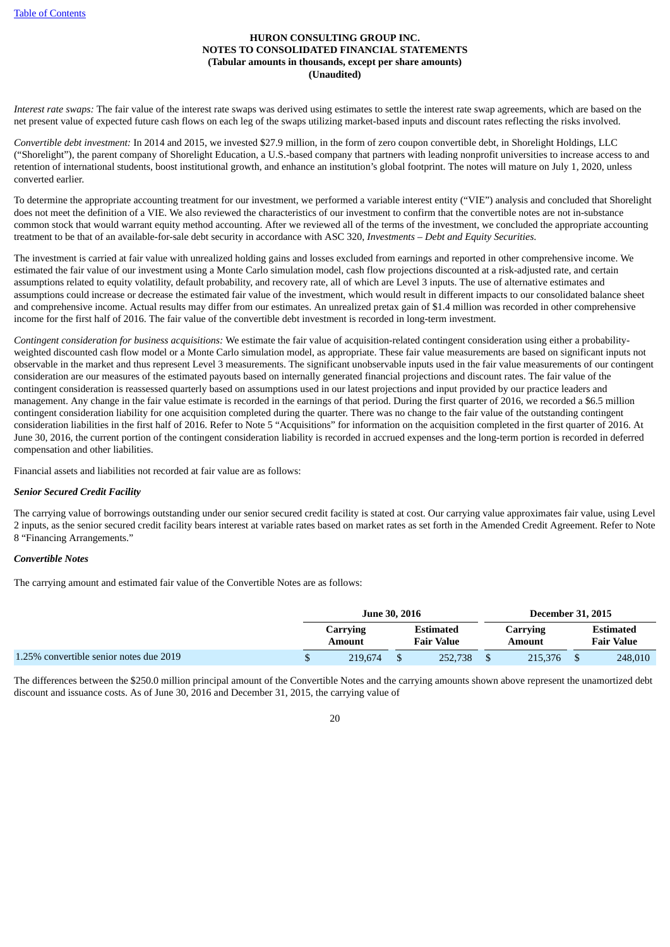*Interest rate swaps:* The fair value of the interest rate swaps was derived using estimates to settle the interest rate swap agreements, which are based on the net present value of expected future cash flows on each leg of the swaps utilizing market-based inputs and discount rates reflecting the risks involved.

*Convertible debt investment:* In 2014 and 2015, we invested \$27.9 million, in the form of zero coupon convertible debt, in Shorelight Holdings, LLC ("Shorelight"), the parent company of Shorelight Education, a U.S.-based company that partners with leading nonprofit universities to increase access to and retention of international students, boost institutional growth, and enhance an institution's global footprint. The notes will mature on July 1, 2020, unless converted earlier.

To determine the appropriate accounting treatment for our investment, we performed a variable interest entity ("VIE") analysis and concluded that Shorelight does not meet the definition of a VIE. We also reviewed the characteristics of our investment to confirm that the convertible notes are not in-substance common stock that would warrant equity method accounting. After we reviewed all of the terms of the investment, we concluded the appropriate accounting treatment to be that of an available-for-sale debt security in accordance with ASC 320, *Investments – Debt and Equity Securities*.

The investment is carried at fair value with unrealized holding gains and losses excluded from earnings and reported in other comprehensive income. We estimated the fair value of our investment using a Monte Carlo simulation model, cash flow projections discounted at a risk-adjusted rate, and certain assumptions related to equity volatility, default probability, and recovery rate, all of which are Level 3 inputs. The use of alternative estimates and assumptions could increase or decrease the estimated fair value of the investment, which would result in different impacts to our consolidated balance sheet and comprehensive income. Actual results may differ from our estimates. An unrealized pretax gain of \$1.4 million was recorded in other comprehensive income for the first half of 2016. The fair value of the convertible debt investment is recorded in long-term investment.

*Contingent consideration for business acquisitions:* We estimate the fair value of acquisition-related contingent consideration using either a probabilityweighted discounted cash flow model or a Monte Carlo simulation model, as appropriate. These fair value measurements are based on significant inputs not observable in the market and thus represent Level 3 measurements. The significant unobservable inputs used in the fair value measurements of our contingent consideration are our measures of the estimated payouts based on internally generated financial projections and discount rates. The fair value of the contingent consideration is reassessed quarterly based on assumptions used in our latest projections and input provided by our practice leaders and management. Any change in the fair value estimate is recorded in the earnings of that period. During the first quarter of 2016, we recorded a \$6.5 million contingent consideration liability for one acquisition completed during the quarter. There was no change to the fair value of the outstanding contingent consideration liabilities in the first half of 2016. Refer to Note 5 "Acquisitions" for information on the acquisition completed in the first quarter of 2016. At June 30, 2016, the current portion of the contingent consideration liability is recorded in accrued expenses and the long-term portion is recorded in deferred compensation and other liabilities.

Financial assets and liabilities not recorded at fair value are as follows:

## *Senior Secured Credit Facility*

The carrying value of borrowings outstanding under our senior secured credit facility is stated at cost. Our carrying value approximates fair value, using Level 2 inputs, as the senior secured credit facility bears interest at variable rates based on market rates as set forth in the Amended Credit Agreement. Refer to Note 8 "Financing Arrangements."

## *Convertible Notes*

The carrying amount and estimated fair value of the Convertible Notes are as follows:

|                                         | <b>June 30, 2016</b> |                                | <b>December 31, 2015</b> |                                |
|-----------------------------------------|----------------------|--------------------------------|--------------------------|--------------------------------|
|                                         | Carrving<br>Amount   | <b>Estimated</b><br>Fair Value | Carrving<br>Amount       | Estimated<br><b>Fair Value</b> |
| 1.25% convertible senior notes due 2019 | 219,674              | 252,738                        | 215,376                  | 248,010                        |

The differences between the \$250.0 million principal amount of the Convertible Notes and the carrying amounts shown above represent the unamortized debt discount and issuance costs. As of June 30, 2016 and December 31, 2015, the carrying value of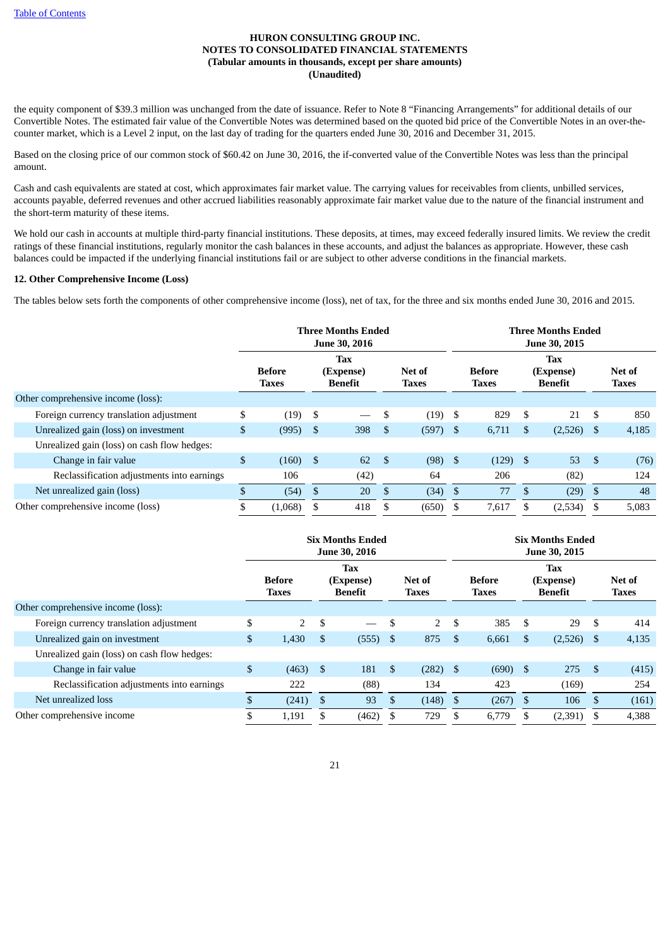the equity component of \$39.3 million was unchanged from the date of issuance. Refer to Note 8 "Financing Arrangements" for additional details of our Convertible Notes. The estimated fair value of the Convertible Notes was determined based on the quoted bid price of the Convertible Notes in an over-thecounter market, which is a Level 2 input, on the last day of trading for the quarters ended June 30, 2016 and December 31, 2015.

Based on the closing price of our common stock of \$60.42 on June 30, 2016, the if-converted value of the Convertible Notes was less than the principal amount.

Cash and cash equivalents are stated at cost, which approximates fair market value. The carrying values for receivables from clients, unbilled services, accounts payable, deferred revenues and other accrued liabilities reasonably approximate fair market value due to the nature of the financial instrument and the short-term maturity of these items.

We hold our cash in accounts at multiple third-party financial institutions. These deposits, at times, may exceed federally insured limits. We review the credit ratings of these financial institutions, regularly monitor the cash balances in these accounts, and adjust the balances as appropriate. However, these cash balances could be impacted if the underlying financial institutions fail or are subject to other adverse conditions in the financial markets.

## **12. Other Comprehensive Income (Loss)**

The tables below sets forth the components of other comprehensive income (loss), net of tax, for the three and six months ended June 30, 2016 and 2015.

|                                             |                | <b>Three Months Ended</b><br><b>June 30, 2016</b>                          |    |      |                        |       |      | Three Months Ended<br><b>June 30, 2015</b> |                                           |              |      |                        |  |  |
|---------------------------------------------|----------------|----------------------------------------------------------------------------|----|------|------------------------|-------|------|--------------------------------------------|-------------------------------------------|--------------|------|------------------------|--|--|
|                                             |                | <b>Tax</b><br><b>Before</b><br>(Expense)<br><b>Taxes</b><br><b>Benefit</b> |    |      | Net of<br><b>Taxes</b> |       |      | <b>Before</b><br><b>Taxes</b>              | <b>Tax</b><br>(Expense)<br><b>Benefit</b> |              |      | Net of<br><b>Taxes</b> |  |  |
| Other comprehensive income (loss):          |                |                                                                            |    |      |                        |       |      |                                            |                                           |              |      |                        |  |  |
| Foreign currency translation adjustment     | \$             | (19)                                                                       | \$ |      | \$                     | (19)  | - \$ | 829                                        | \$                                        | 21           | - \$ | 850                    |  |  |
| Unrealized gain (loss) on investment        | \$             | (995)                                                                      | \$ | 398  | \$                     | (597) | - \$ | 6,711                                      | -S                                        | $(2,526)$ \$ |      | 4,185                  |  |  |
| Unrealized gain (loss) on cash flow hedges: |                |                                                                            |    |      |                        |       |      |                                            |                                           |              |      |                        |  |  |
| Change in fair value                        | $\mathfrak{S}$ | (160)                                                                      | \$ | 62   | \$                     | (98)  | - \$ | $(129)$ \$                                 |                                           | 53           | - \$ | (76)                   |  |  |
| Reclassification adjustments into earnings  |                | 106                                                                        |    | (42) |                        | 64    |      | 206                                        |                                           | (82)         |      | 124                    |  |  |
| Net unrealized gain (loss)                  |                | (54)                                                                       | \$ | 20   | \$                     | (34)  | -\$  | 77                                         | S                                         | (29)         | - \$ | 48                     |  |  |
| Other comprehensive income (loss)           |                | (1,068)                                                                    | \$ | 418  |                        | (650) | \$   | 7,617                                      | \$.                                       | (2,534)      | - \$ | 5,083                  |  |  |

|                                             | <b>Six Months Ended</b><br><b>June 30, 2016</b> |              |                                           |                |                        |      | <b>Six Months Ended</b><br><b>June 30, 2015</b> |      |                                           |              |                        |  |  |
|---------------------------------------------|-------------------------------------------------|--------------|-------------------------------------------|----------------|------------------------|------|-------------------------------------------------|------|-------------------------------------------|--------------|------------------------|--|--|
|                                             | <b>Before</b><br><b>Taxes</b>                   |              | <b>Tax</b><br>(Expense)<br><b>Benefit</b> |                | Net of<br><b>Taxes</b> |      | <b>Before</b><br><b>Taxes</b>                   |      | <b>Tax</b><br>(Expense)<br><b>Benefit</b> |              | Net of<br><b>Taxes</b> |  |  |
| Other comprehensive income (loss):          |                                                 |              |                                           |                |                        |      |                                                 |      |                                           |              |                        |  |  |
| Foreign currency translation adjustment     | \$<br>$\overline{2}$                            | \$           |                                           | \$             | 2                      | - \$ | 385                                             | \$   | 29                                        | -S           | 414                    |  |  |
| Unrealized gain on investment               | \$<br>1,430                                     | \$           | $(555)$ \$                                |                | 875                    | \$.  | 6,661                                           | \$   | $(2,526)$ \$                              |              | 4,135                  |  |  |
| Unrealized gain (loss) on cash flow hedges: |                                                 |              |                                           |                |                        |      |                                                 |      |                                           |              |                        |  |  |
| Change in fair value                        | \$<br>$(463)$ \$                                |              | 181                                       | $\mathfrak{S}$ | $(282)$ \$             |      | $(690)$ \$                                      |      | 275                                       | - \$         | (415)                  |  |  |
| Reclassification adjustments into earnings  | 222                                             |              | (88)                                      |                | 134                    |      | 423                                             |      | (169)                                     |              | 254                    |  |  |
| Net unrealized loss                         | (241)                                           | $\mathbf{S}$ | 93                                        | \$             | (148)                  | -\$  | (267)                                           | - \$ | 106                                       | <sup>S</sup> | (161)                  |  |  |
| Other comprehensive income                  | 1,191                                           | \$           | (462)                                     | \$             | 729                    |      | 6,779                                           | \$.  | (2,391)                                   |              | 4,388                  |  |  |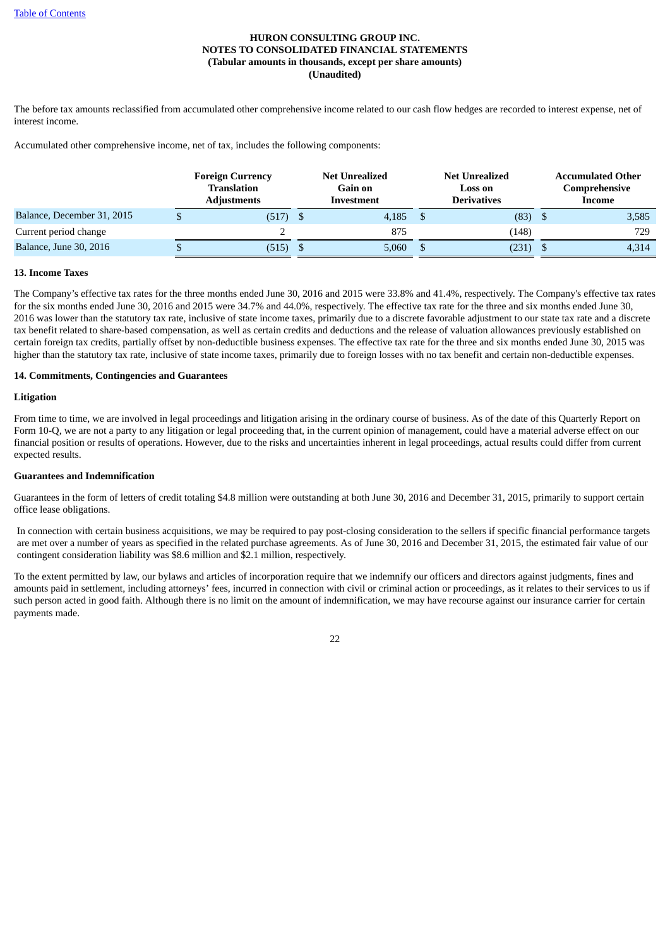The before tax amounts reclassified from accumulated other comprehensive income related to our cash flow hedges are recorded to interest expense, net of interest income.

Accumulated other comprehensive income, net of tax, includes the following components:

|                            | <b>Foreign Currency</b><br><b>Translation</b><br>Adjustments |      | <b>Net Unrealized</b><br>Gain on<br>Investment | <b>Net Unrealized</b><br>Loss on<br><b>Derivatives</b> | <b>Accumulated Other</b><br>Comprehensive<br>Income |
|----------------------------|--------------------------------------------------------------|------|------------------------------------------------|--------------------------------------------------------|-----------------------------------------------------|
| Balance, December 31, 2015 | (517)                                                        | - \$ | 4,185                                          | $(83)$ \$                                              | 3,585                                               |
| Current period change      |                                                              |      | 875                                            | (148)                                                  | 729                                                 |
| Balance, June 30, 2016     | (515)                                                        |      | 5.060                                          | (231)                                                  | 4,314                                               |

#### **13. Income Taxes**

The Company's effective tax rates for the three months ended June 30, 2016 and 2015 were 33.8% and 41.4%, respectively. The Company's effective tax rates for the six months ended June 30, 2016 and 2015 were 34.7% and 44.0%, respectively. The effective tax rate for the three and six months ended June 30, 2016 was lower than the statutory tax rate, inclusive of state income taxes, primarily due to a discrete favorable adjustment to our state tax rate and a discrete tax benefit related to share-based compensation, as well as certain credits and deductions and the release of valuation allowances previously established on certain foreign tax credits, partially offset by non-deductible business expenses. The effective tax rate for the three and six months ended June 30, 2015 was higher than the statutory tax rate, inclusive of state income taxes, primarily due to foreign losses with no tax benefit and certain non-deductible expenses.

## **14. Commitments, Contingencies and Guarantees**

#### **Litigation**

From time to time, we are involved in legal proceedings and litigation arising in the ordinary course of business. As of the date of this Quarterly Report on Form 10-Q, we are not a party to any litigation or legal proceeding that, in the current opinion of management, could have a material adverse effect on our financial position or results of operations. However, due to the risks and uncertainties inherent in legal proceedings, actual results could differ from current expected results.

## **Guarantees and Indemnification**

Guarantees in the form of letters of credit totaling \$4.8 million were outstanding at both June 30, 2016 and December 31, 2015, primarily to support certain office lease obligations.

In connection with certain business acquisitions, we may be required to pay post-closing consideration to the sellers if specific financial performance targets are met over a number of years as specified in the related purchase agreements. As of June 30, 2016 and December 31, 2015, the estimated fair value of our contingent consideration liability was \$8.6 million and \$2.1 million, respectively.

To the extent permitted by law, our bylaws and articles of incorporation require that we indemnify our officers and directors against judgments, fines and amounts paid in settlement, including attorneys' fees, incurred in connection with civil or criminal action or proceedings, as it relates to their services to us if such person acted in good faith. Although there is no limit on the amount of indemnification, we may have recourse against our insurance carrier for certain payments made.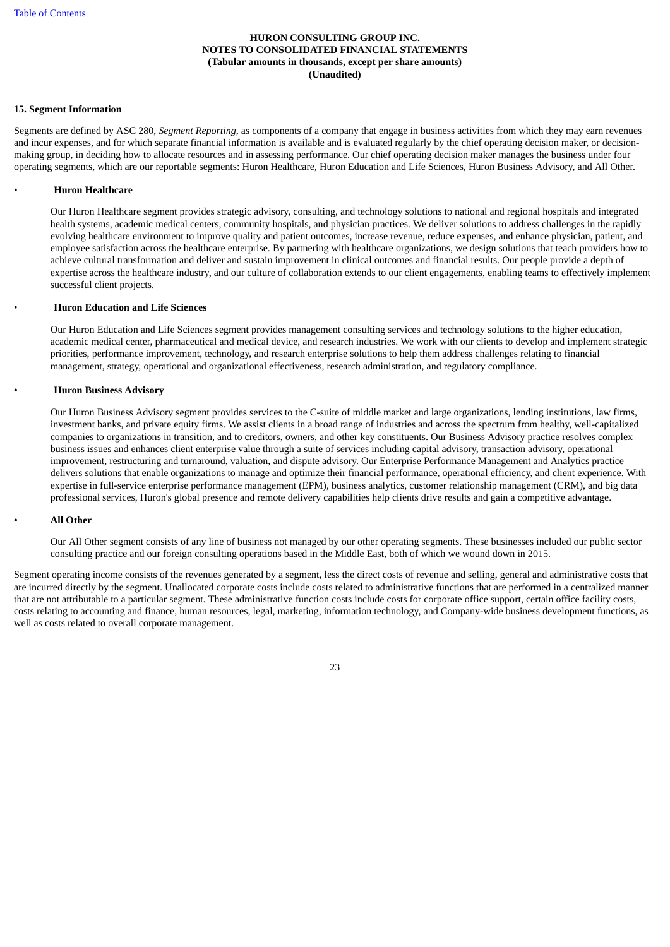## **15. Segment Information**

Segments are defined by ASC 280, *Segment Reporting*, as components of a company that engage in business activities from which they may earn revenues and incur expenses, and for which separate financial information is available and is evaluated regularly by the chief operating decision maker, or decisionmaking group, in deciding how to allocate resources and in assessing performance. Our chief operating decision maker manages the business under four operating segments, which are our reportable segments: Huron Healthcare, Huron Education and Life Sciences, Huron Business Advisory, and All Other.

## • **Huron Healthcare**

Our Huron Healthcare segment provides strategic advisory, consulting, and technology solutions to national and regional hospitals and integrated health systems, academic medical centers, community hospitals, and physician practices. We deliver solutions to address challenges in the rapidly evolving healthcare environment to improve quality and patient outcomes, increase revenue, reduce expenses, and enhance physician, patient, and employee satisfaction across the healthcare enterprise. By partnering with healthcare organizations, we design solutions that teach providers how to achieve cultural transformation and deliver and sustain improvement in clinical outcomes and financial results. Our people provide a depth of expertise across the healthcare industry, and our culture of collaboration extends to our client engagements, enabling teams to effectively implement successful client projects.

#### • **Huron Education and Life Sciences**

Our Huron Education and Life Sciences segment provides management consulting services and technology solutions to the higher education, academic medical center, pharmaceutical and medical device, and research industries. We work with our clients to develop and implement strategic priorities, performance improvement, technology, and research enterprise solutions to help them address challenges relating to financial management, strategy, operational and organizational effectiveness, research administration, and regulatory compliance.

#### **• Huron Business Advisory**

Our Huron Business Advisory segment provides services to the C-suite of middle market and large organizations, lending institutions, law firms, investment banks, and private equity firms. We assist clients in a broad range of industries and across the spectrum from healthy, well-capitalized companies to organizations in transition, and to creditors, owners, and other key constituents. Our Business Advisory practice resolves complex business issues and enhances client enterprise value through a suite of services including capital advisory, transaction advisory, operational improvement, restructuring and turnaround, valuation, and dispute advisory. Our Enterprise Performance Management and Analytics practice delivers solutions that enable organizations to manage and optimize their financial performance, operational efficiency, and client experience. With expertise in full-service enterprise performance management (EPM), business analytics, customer relationship management (CRM), and big data professional services, Huron's global presence and remote delivery capabilities help clients drive results and gain a competitive advantage.

#### **• All Other**

Our All Other segment consists of any line of business not managed by our other operating segments. These businesses included our public sector consulting practice and our foreign consulting operations based in the Middle East, both of which we wound down in 2015.

Segment operating income consists of the revenues generated by a segment, less the direct costs of revenue and selling, general and administrative costs that are incurred directly by the segment. Unallocated corporate costs include costs related to administrative functions that are performed in a centralized manner that are not attributable to a particular segment. These administrative function costs include costs for corporate office support, certain office facility costs, costs relating to accounting and finance, human resources, legal, marketing, information technology, and Company-wide business development functions, as well as costs related to overall corporate management.

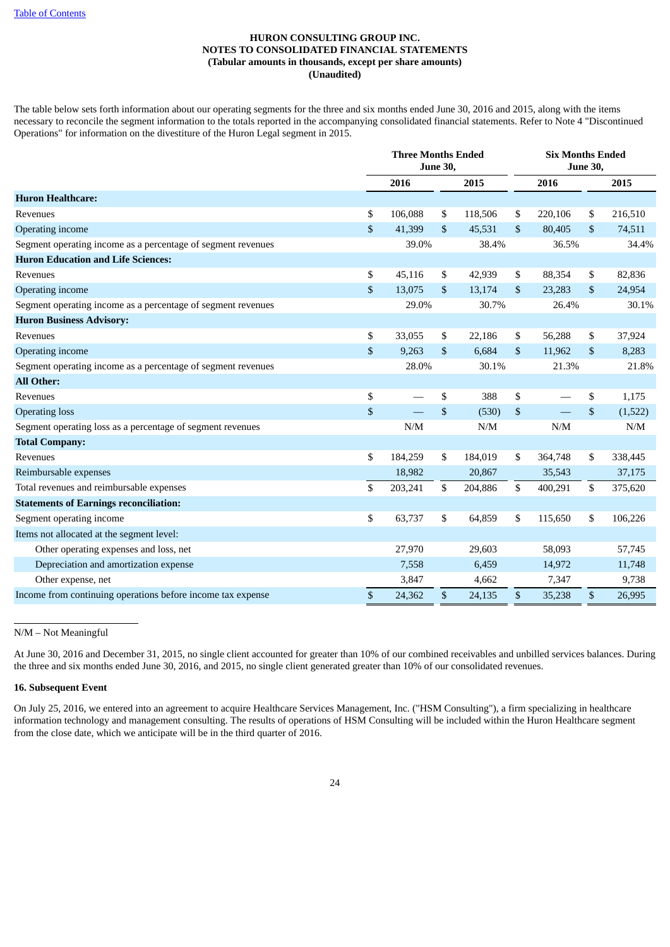The table below sets forth information about our operating segments for the three and six months ended June 30, 2016 and 2015, along with the items necessary to reconcile the segment information to the totals reported in the accompanying consolidated financial statements. Refer to Note 4 "Discontinued Operations" for information on the divestiture of the Huron Legal segment in 2015.

|                                                              | <b>Three Months Ended</b><br><b>June 30,</b> |                         |    |         |    | <b>Six Months Ended</b><br><b>June 30,</b> |    |                         |  |
|--------------------------------------------------------------|----------------------------------------------|-------------------------|----|---------|----|--------------------------------------------|----|-------------------------|--|
|                                                              |                                              | 2016                    |    | 2015    |    | 2016                                       |    | 2015                    |  |
| <b>Huron Healthcare:</b>                                     |                                              |                         |    |         |    |                                            |    |                         |  |
| Revenues                                                     | \$                                           | 106,088                 | \$ | 118,506 | \$ | 220,106                                    | \$ | 216,510                 |  |
| Operating income                                             | \$                                           | 41,399                  | \$ | 45,531  | \$ | 80,405                                     | \$ | 74,511                  |  |
| Segment operating income as a percentage of segment revenues |                                              | 39.0%                   |    | 38.4%   |    | 36.5%                                      |    | 34.4%                   |  |
| <b>Huron Education and Life Sciences:</b>                    |                                              |                         |    |         |    |                                            |    |                         |  |
| Revenues                                                     | \$                                           | 45,116                  | \$ | 42,939  | \$ | 88,354                                     | \$ | 82,836                  |  |
| Operating income                                             | \$                                           | 13,075                  | \$ | 13,174  | \$ | 23,283                                     | \$ | 24,954                  |  |
| Segment operating income as a percentage of segment revenues |                                              | 29.0%                   |    | 30.7%   |    | 26.4%                                      |    | 30.1%                   |  |
| <b>Huron Business Advisory:</b>                              |                                              |                         |    |         |    |                                            |    |                         |  |
| Revenues                                                     | \$                                           | 33,055                  | \$ | 22,186  | \$ | 56,288                                     | \$ | 37,924                  |  |
| Operating income                                             | \$                                           | 9,263                   | \$ | 6,684   | \$ | 11,962                                     | \$ | 8,283                   |  |
| Segment operating income as a percentage of segment revenues |                                              | 28.0%                   |    | 30.1%   |    | 21.3%                                      |    | 21.8%                   |  |
| <b>All Other:</b>                                            |                                              |                         |    |         |    |                                            |    |                         |  |
| Revenues                                                     | \$                                           |                         | \$ | 388     | \$ |                                            | \$ | 1,175                   |  |
| <b>Operating loss</b>                                        | \$                                           |                         | \$ | (530)   | \$ |                                            | \$ | (1,522)                 |  |
| Segment operating loss as a percentage of segment revenues   |                                              | $\mathrm{N}/\mathrm{M}$ |    | N/M     |    | N/M                                        |    | $\mathrm{N}/\mathrm{M}$ |  |
| <b>Total Company:</b>                                        |                                              |                         |    |         |    |                                            |    |                         |  |
| Revenues                                                     | \$                                           | 184,259                 | \$ | 184,019 | \$ | 364,748                                    | \$ | 338,445                 |  |
| Reimbursable expenses                                        |                                              | 18,982                  |    | 20,867  |    | 35,543                                     |    | 37,175                  |  |
| Total revenues and reimbursable expenses                     | \$                                           | 203,241                 | \$ | 204,886 | \$ | 400,291                                    | \$ | 375,620                 |  |
| <b>Statements of Earnings reconciliation:</b>                |                                              |                         |    |         |    |                                            |    |                         |  |
| Segment operating income                                     | \$                                           | 63,737                  | \$ | 64,859  | \$ | 115,650                                    | \$ | 106,226                 |  |
| Items not allocated at the segment level:                    |                                              |                         |    |         |    |                                            |    |                         |  |
| Other operating expenses and loss, net                       |                                              | 27,970                  |    | 29,603  |    | 58,093                                     |    | 57,745                  |  |
| Depreciation and amortization expense                        |                                              | 7,558                   |    | 6,459   |    | 14,972                                     |    | 11,748                  |  |
| Other expense, net                                           |                                              | 3,847                   |    | 4,662   |    | 7,347                                      |    | 9,738                   |  |
| Income from continuing operations before income tax expense  | \$                                           | 24,362                  | \$ | 24,135  | \$ | 35,238                                     | \$ | 26,995                  |  |

N/M – Not Meaningful

At June 30, 2016 and December 31, 2015, no single client accounted for greater than 10% of our combined receivables and unbilled services balances. During the three and six months ended June 30, 2016, and 2015, no single client generated greater than 10% of our consolidated revenues.

## **16. Subsequent Event**

On July 25, 2016, we entered into an agreement to acquire Healthcare Services Management, Inc. ("HSM Consulting"), a firm specializing in healthcare information technology and management consulting. The results of operations of HSM Consulting will be included within the Huron Healthcare segment from the close date, which we anticipate will be in the third quarter of 2016.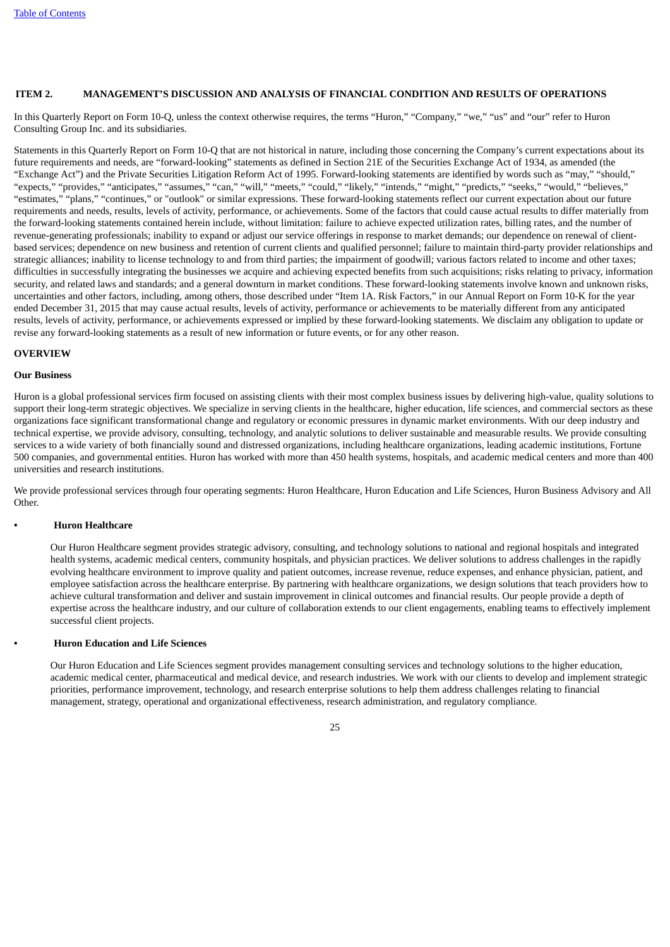#### <span id="page-26-0"></span>**ITEM 2. MANAGEMENT'S DISCUSSION AND ANALYSIS OF FINANCIAL CONDITION AND RESULTS OF OPERATIONS**

In this Quarterly Report on Form 10-Q, unless the context otherwise requires, the terms "Huron," "Company," "we," "us" and "our" refer to Huron Consulting Group Inc. and its subsidiaries.

Statements in this Quarterly Report on Form 10-Q that are not historical in nature, including those concerning the Company's current expectations about its future requirements and needs, are "forward-looking" statements as defined in Section 21E of the Securities Exchange Act of 1934, as amended (the "Exchange Act") and the Private Securities Litigation Reform Act of 1995. Forward-looking statements are identified by words such as "may," "should," "expects," "provides," "anticipates," "assumes," "can," "will," "meets," "could," "likely," "intends," "might," "predicts," "seeks," "would," "believes," "estimates," "plans," "continues," or "outlook" or similar expressions. These forward-looking statements reflect our current expectation about our future requirements and needs, results, levels of activity, performance, or achievements. Some of the factors that could cause actual results to differ materially from the forward-looking statements contained herein include, without limitation: failure to achieve expected utilization rates, billing rates, and the number of revenue-generating professionals; inability to expand or adjust our service offerings in response to market demands; our dependence on renewal of clientbased services; dependence on new business and retention of current clients and qualified personnel; failure to maintain third-party provider relationships and strategic alliances; inability to license technology to and from third parties; the impairment of goodwill; various factors related to income and other taxes; difficulties in successfully integrating the businesses we acquire and achieving expected benefits from such acquisitions; risks relating to privacy, information security, and related laws and standards; and a general downturn in market conditions. These forward-looking statements involve known and unknown risks, uncertainties and other factors, including, among others, those described under "Item 1A. Risk Factors," in our Annual Report on Form 10-K for the year ended December 31, 2015 that may cause actual results, levels of activity, performance or achievements to be materially different from any anticipated results, levels of activity, performance, or achievements expressed or implied by these forward-looking statements. We disclaim any obligation to update or revise any forward-looking statements as a result of new information or future events, or for any other reason.

#### **OVERVIEW**

## **Our Business**

Huron is a global professional services firm focused on assisting clients with their most complex business issues by delivering high-value, quality solutions to support their long-term strategic objectives. We specialize in serving clients in the healthcare, higher education, life sciences, and commercial sectors as these organizations face significant transformational change and regulatory or economic pressures in dynamic market environments. With our deep industry and technical expertise, we provide advisory, consulting, technology, and analytic solutions to deliver sustainable and measurable results. We provide consulting services to a wide variety of both financially sound and distressed organizations, including healthcare organizations, leading academic institutions, Fortune 500 companies, and governmental entities. Huron has worked with more than 450 health systems, hospitals, and academic medical centers and more than 400 universities and research institutions.

We provide professional services through four operating segments: Huron Healthcare, Huron Education and Life Sciences, Huron Business Advisory and All Other.

## **• Huron Healthcare**

Our Huron Healthcare segment provides strategic advisory, consulting, and technology solutions to national and regional hospitals and integrated health systems, academic medical centers, community hospitals, and physician practices. We deliver solutions to address challenges in the rapidly evolving healthcare environment to improve quality and patient outcomes, increase revenue, reduce expenses, and enhance physician, patient, and employee satisfaction across the healthcare enterprise. By partnering with healthcare organizations, we design solutions that teach providers how to achieve cultural transformation and deliver and sustain improvement in clinical outcomes and financial results. Our people provide a depth of expertise across the healthcare industry, and our culture of collaboration extends to our client engagements, enabling teams to effectively implement successful client projects.

#### **• Huron Education and Life Sciences**

Our Huron Education and Life Sciences segment provides management consulting services and technology solutions to the higher education, academic medical center, pharmaceutical and medical device, and research industries. We work with our clients to develop and implement strategic priorities, performance improvement, technology, and research enterprise solutions to help them address challenges relating to financial management, strategy, operational and organizational effectiveness, research administration, and regulatory compliance.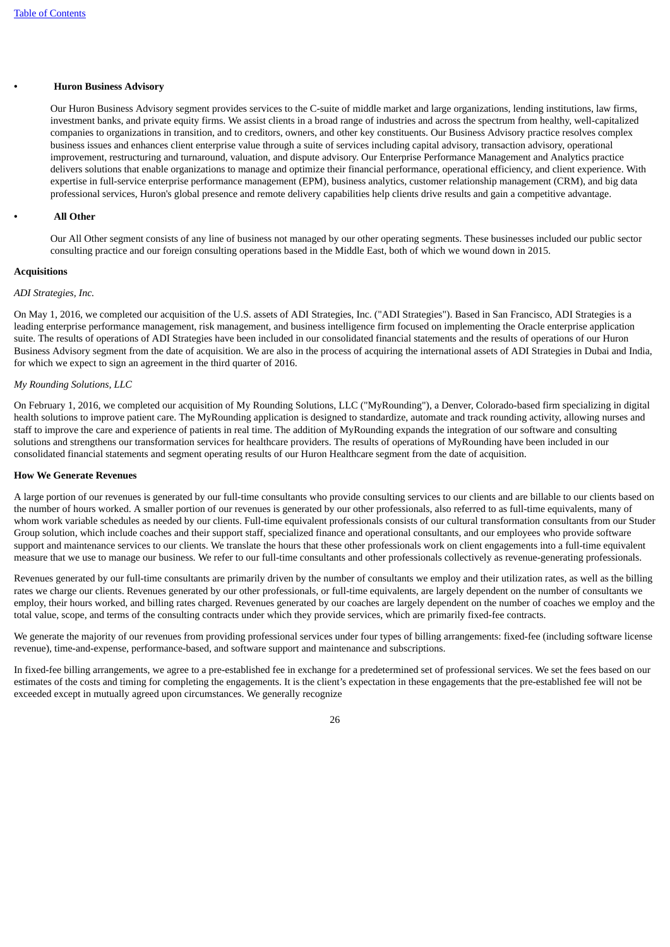#### **• Huron Business Advisory**

Our Huron Business Advisory segment provides services to the C-suite of middle market and large organizations, lending institutions, law firms, investment banks, and private equity firms. We assist clients in a broad range of industries and across the spectrum from healthy, well-capitalized companies to organizations in transition, and to creditors, owners, and other key constituents. Our Business Advisory practice resolves complex business issues and enhances client enterprise value through a suite of services including capital advisory, transaction advisory, operational improvement, restructuring and turnaround, valuation, and dispute advisory. Our Enterprise Performance Management and Analytics practice delivers solutions that enable organizations to manage and optimize their financial performance, operational efficiency, and client experience. With expertise in full-service enterprise performance management (EPM), business analytics, customer relationship management (CRM), and big data professional services, Huron's global presence and remote delivery capabilities help clients drive results and gain a competitive advantage.

#### **• All Other**

Our All Other segment consists of any line of business not managed by our other operating segments. These businesses included our public sector consulting practice and our foreign consulting operations based in the Middle East, both of which we wound down in 2015.

#### **Acquisitions**

#### *ADI Strategies, Inc.*

On May 1, 2016, we completed our acquisition of the U.S. assets of ADI Strategies, Inc. ("ADI Strategies"). Based in San Francisco, ADI Strategies is a leading enterprise performance management, risk management, and business intelligence firm focused on implementing the Oracle enterprise application suite. The results of operations of ADI Strategies have been included in our consolidated financial statements and the results of operations of our Huron Business Advisory segment from the date of acquisition. We are also in the process of acquiring the international assets of ADI Strategies in Dubai and India, for which we expect to sign an agreement in the third quarter of 2016.

#### *My Rounding Solutions, LLC*

On February 1, 2016, we completed our acquisition of My Rounding Solutions, LLC ("MyRounding"), a Denver, Colorado-based firm specializing in digital health solutions to improve patient care. The MyRounding application is designed to standardize, automate and track rounding activity, allowing nurses and staff to improve the care and experience of patients in real time. The addition of MyRounding expands the integration of our software and consulting solutions and strengthens our transformation services for healthcare providers. The results of operations of MyRounding have been included in our consolidated financial statements and segment operating results of our Huron Healthcare segment from the date of acquisition.

#### **How We Generate Revenues**

A large portion of our revenues is generated by our full-time consultants who provide consulting services to our clients and are billable to our clients based on the number of hours worked. A smaller portion of our revenues is generated by our other professionals, also referred to as full-time equivalents, many of whom work variable schedules as needed by our clients. Full-time equivalent professionals consists of our cultural transformation consultants from our Studer Group solution, which include coaches and their support staff, specialized finance and operational consultants, and our employees who provide software support and maintenance services to our clients. We translate the hours that these other professionals work on client engagements into a full-time equivalent measure that we use to manage our business. We refer to our full-time consultants and other professionals collectively as revenue-generating professionals.

Revenues generated by our full-time consultants are primarily driven by the number of consultants we employ and their utilization rates, as well as the billing rates we charge our clients. Revenues generated by our other professionals, or full-time equivalents, are largely dependent on the number of consultants we employ, their hours worked, and billing rates charged. Revenues generated by our coaches are largely dependent on the number of coaches we employ and the total value, scope, and terms of the consulting contracts under which they provide services, which are primarily fixed-fee contracts.

We generate the majority of our revenues from providing professional services under four types of billing arrangements: fixed-fee (including software license revenue), time-and-expense, performance-based, and software support and maintenance and subscriptions.

In fixed-fee billing arrangements, we agree to a pre-established fee in exchange for a predetermined set of professional services. We set the fees based on our estimates of the costs and timing for completing the engagements. It is the client's expectation in these engagements that the pre-established fee will not be exceeded except in mutually agreed upon circumstances. We generally recognize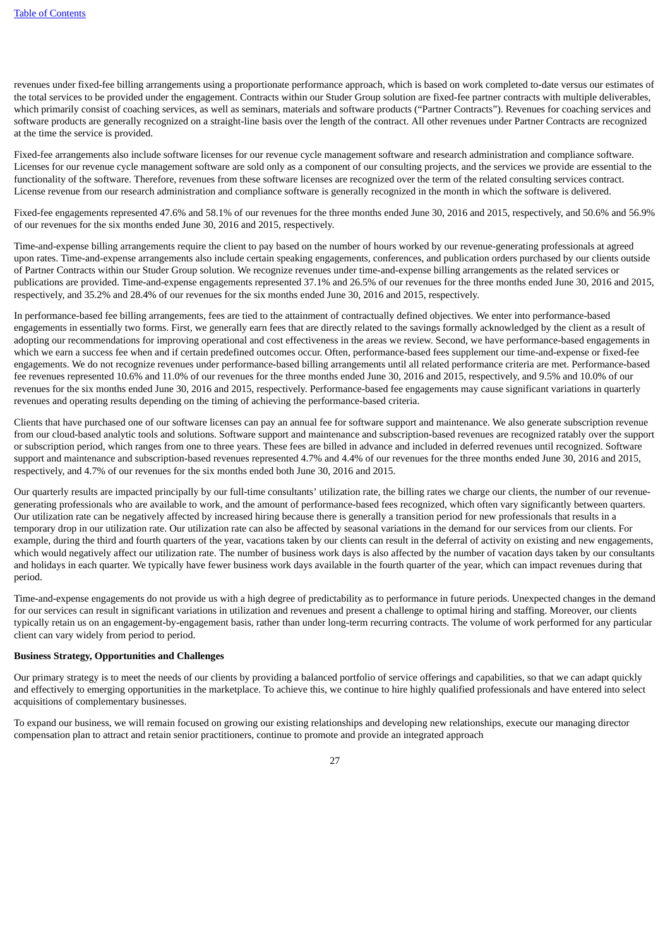revenues under fixed-fee billing arrangements using a proportionate performance approach, which is based on work completed to-date versus our estimates of the total services to be provided under the engagement. Contracts within our Studer Group solution are fixed-fee partner contracts with multiple deliverables, which primarily consist of coaching services, as well as seminars, materials and software products ("Partner Contracts"). Revenues for coaching services and software products are generally recognized on a straight-line basis over the length of the contract. All other revenues under Partner Contracts are recognized at the time the service is provided.

Fixed-fee arrangements also include software licenses for our revenue cycle management software and research administration and compliance software. Licenses for our revenue cycle management software are sold only as a component of our consulting projects, and the services we provide are essential to the functionality of the software. Therefore, revenues from these software licenses are recognized over the term of the related consulting services contract. License revenue from our research administration and compliance software is generally recognized in the month in which the software is delivered.

Fixed-fee engagements represented 47.6% and 58.1% of our revenues for the three months ended June 30, 2016 and 2015, respectively, and 50.6% and 56.9% of our revenues for the six months ended June 30, 2016 and 2015, respectively.

Time-and-expense billing arrangements require the client to pay based on the number of hours worked by our revenue-generating professionals at agreed upon rates. Time-and-expense arrangements also include certain speaking engagements, conferences, and publication orders purchased by our clients outside of Partner Contracts within our Studer Group solution. We recognize revenues under time-and-expense billing arrangements as the related services or publications are provided. Time-and-expense engagements represented 37.1% and 26.5% of our revenues for the three months ended June 30, 2016 and 2015, respectively, and 35.2% and 28.4% of our revenues for the six months ended June 30, 2016 and 2015, respectively.

In performance-based fee billing arrangements, fees are tied to the attainment of contractually defined objectives. We enter into performance-based engagements in essentially two forms. First, we generally earn fees that are directly related to the savings formally acknowledged by the client as a result of adopting our recommendations for improving operational and cost effectiveness in the areas we review. Second, we have performance-based engagements in which we earn a success fee when and if certain predefined outcomes occur. Often, performance-based fees supplement our time-and-expense or fixed-fee engagements. We do not recognize revenues under performance-based billing arrangements until all related performance criteria are met. Performance-based fee revenues represented 10.6% and 11.0% of our revenues for the three months ended June 30, 2016 and 2015, respectively, and 9.5% and 10.0% of our revenues for the six months ended June 30, 2016 and 2015, respectively. Performance-based fee engagements may cause significant variations in quarterly revenues and operating results depending on the timing of achieving the performance-based criteria.

Clients that have purchased one of our software licenses can pay an annual fee for software support and maintenance. We also generate subscription revenue from our cloud-based analytic tools and solutions. Software support and maintenance and subscription-based revenues are recognized ratably over the support or subscription period, which ranges from one to three years. These fees are billed in advance and included in deferred revenues until recognized. Software support and maintenance and subscription-based revenues represented 4.7% and 4.4% of our revenues for the three months ended June 30, 2016 and 2015, respectively, and 4.7% of our revenues for the six months ended both June 30, 2016 and 2015.

Our quarterly results are impacted principally by our full-time consultants' utilization rate, the billing rates we charge our clients, the number of our revenuegenerating professionals who are available to work, and the amount of performance-based fees recognized, which often vary significantly between quarters. Our utilization rate can be negatively affected by increased hiring because there is generally a transition period for new professionals that results in a temporary drop in our utilization rate. Our utilization rate can also be affected by seasonal variations in the demand for our services from our clients. For example, during the third and fourth quarters of the year, vacations taken by our clients can result in the deferral of activity on existing and new engagements, which would negatively affect our utilization rate. The number of business work days is also affected by the number of vacation days taken by our consultants and holidays in each quarter. We typically have fewer business work days available in the fourth quarter of the year, which can impact revenues during that period.

Time-and-expense engagements do not provide us with a high degree of predictability as to performance in future periods. Unexpected changes in the demand for our services can result in significant variations in utilization and revenues and present a challenge to optimal hiring and staffing. Moreover, our clients typically retain us on an engagement-by-engagement basis, rather than under long-term recurring contracts. The volume of work performed for any particular client can vary widely from period to period.

## **Business Strategy, Opportunities and Challenges**

Our primary strategy is to meet the needs of our clients by providing a balanced portfolio of service offerings and capabilities, so that we can adapt quickly and effectively to emerging opportunities in the marketplace. To achieve this, we continue to hire highly qualified professionals and have entered into select acquisitions of complementary businesses.

To expand our business, we will remain focused on growing our existing relationships and developing new relationships, execute our managing director compensation plan to attract and retain senior practitioners, continue to promote and provide an integrated approach

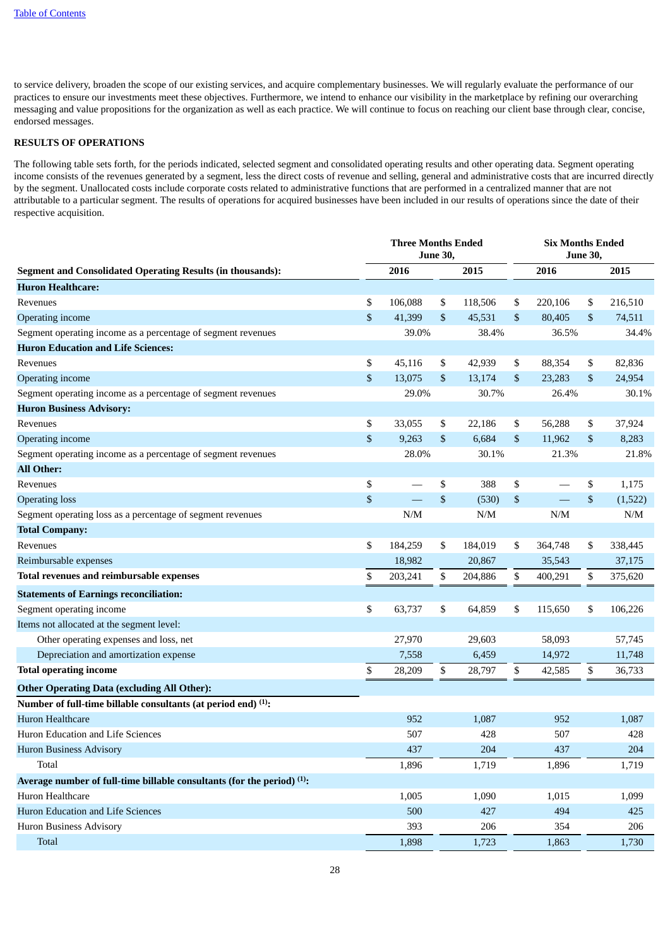to service delivery, broaden the scope of our existing services, and acquire complementary businesses. We will regularly evaluate the performance of our practices to ensure our investments meet these objectives. Furthermore, we intend to enhance our visibility in the marketplace by refining our overarching messaging and value propositions for the organization as well as each practice. We will continue to focus on reaching our client base through clear, concise, endorsed messages.

## **RESULTS OF OPERATIONS**

The following table sets forth, for the periods indicated, selected segment and consolidated operating results and other operating data. Segment operating income consists of the revenues generated by a segment, less the direct costs of revenue and selling, general and administrative costs that are incurred directly by the segment. Unallocated costs include corporate costs related to administrative functions that are performed in a centralized manner that are not attributable to a particular segment. The results of operations for acquired businesses have been included in our results of operations since the date of their respective acquisition.

|                                                                        | <b>Three Months Ended</b><br><b>June 30,</b> |         |    | <b>Six Months Ended</b><br><b>June 30,</b> |    |         |    |                                               |
|------------------------------------------------------------------------|----------------------------------------------|---------|----|--------------------------------------------|----|---------|----|-----------------------------------------------|
| <b>Segment and Consolidated Operating Results (in thousands):</b>      |                                              | 2016    |    | 2015                                       |    | 2016    |    | 2015                                          |
| <b>Huron Healthcare:</b>                                               |                                              |         |    |                                            |    |         |    |                                               |
| Revenues                                                               | \$                                           | 106,088 | \$ | 118,506                                    | \$ | 220,106 | \$ | 216,510                                       |
| Operating income                                                       | \$                                           | 41,399  | \$ | 45,531                                     | \$ | 80,405  | \$ | 74,511                                        |
| Segment operating income as a percentage of segment revenues           |                                              | 39.0%   |    | 38.4%                                      |    | 36.5%   |    | 34.4%                                         |
| <b>Huron Education and Life Sciences:</b>                              |                                              |         |    |                                            |    |         |    |                                               |
| Revenues                                                               | \$                                           | 45,116  | \$ | 42,939                                     | \$ | 88,354  | \$ | 82,836                                        |
| Operating income                                                       | \$                                           | 13,075  | \$ | 13,174                                     | \$ | 23,283  | \$ | 24,954                                        |
| Segment operating income as a percentage of segment revenues           |                                              | 29.0%   |    | 30.7%                                      |    | 26.4%   |    | 30.1%                                         |
| <b>Huron Business Advisory:</b>                                        |                                              |         |    |                                            |    |         |    |                                               |
| Revenues                                                               | \$                                           | 33,055  | \$ | 22,186                                     | \$ | 56,288  | \$ | 37,924                                        |
| Operating income                                                       | \$                                           | 9,263   | \$ | 6,684                                      | \$ | 11,962  | \$ | 8,283                                         |
| Segment operating income as a percentage of segment revenues           |                                              | 28.0%   |    | 30.1%                                      |    | 21.3%   |    | 21.8%                                         |
| <b>All Other:</b>                                                      |                                              |         |    |                                            |    |         |    |                                               |
| Revenues                                                               | \$                                           |         | \$ | 388                                        | \$ |         | \$ | 1,175                                         |
| <b>Operating loss</b>                                                  | \$                                           |         | \$ | (530)                                      | \$ |         | \$ | (1,522)                                       |
| Segment operating loss as a percentage of segment revenues             |                                              | N/M     |    | N/M                                        |    | N/M     |    | $\ensuremath{\text{N}}/\ensuremath{\text{M}}$ |
| <b>Total Company:</b>                                                  |                                              |         |    |                                            |    |         |    |                                               |
| Revenues                                                               | \$                                           | 184,259 | \$ | 184,019                                    | \$ | 364,748 | \$ | 338,445                                       |
| Reimbursable expenses                                                  |                                              | 18,982  |    | 20,867                                     |    | 35,543  |    | 37,175                                        |
| Total revenues and reimbursable expenses                               | \$                                           | 203,241 | \$ | 204,886                                    | \$ | 400,291 | \$ | 375,620                                       |
| <b>Statements of Earnings reconciliation:</b>                          |                                              |         |    |                                            |    |         |    |                                               |
| Segment operating income                                               | \$                                           | 63,737  | \$ | 64,859                                     | \$ | 115,650 | \$ | 106,226                                       |
| Items not allocated at the segment level:                              |                                              |         |    |                                            |    |         |    |                                               |
| Other operating expenses and loss, net                                 |                                              | 27,970  |    | 29,603                                     |    | 58,093  |    | 57,745                                        |
| Depreciation and amortization expense                                  |                                              | 7,558   |    | 6,459                                      |    | 14,972  |    | 11,748                                        |
| <b>Total operating income</b>                                          | \$                                           | 28,209  | \$ | 28,797                                     | \$ | 42,585  | \$ | 36,733                                        |
| <b>Other Operating Data (excluding All Other):</b>                     |                                              |         |    |                                            |    |         |    |                                               |
| Number of full-time billable consultants (at period end) (1):          |                                              |         |    |                                            |    |         |    |                                               |
| <b>Huron Healthcare</b>                                                |                                              | 952     |    | 1,087                                      |    | 952     |    | 1,087                                         |
| Huron Education and Life Sciences                                      |                                              | 507     |    | 428                                        |    | 507     |    | 428                                           |
| <b>Huron Business Advisory</b>                                         |                                              | 437     |    | 204                                        |    | 437     |    | 204                                           |
| Total                                                                  |                                              | 1,896   |    | 1,719                                      |    | 1,896   |    | 1,719                                         |
| Average number of full-time billable consultants (for the period) (1): |                                              |         |    |                                            |    |         |    |                                               |
| Huron Healthcare                                                       |                                              | 1,005   |    | 1,090                                      |    | 1,015   |    | 1,099                                         |
| <b>Huron Education and Life Sciences</b>                               |                                              | 500     |    | 427                                        |    | 494     |    | 425                                           |
| <b>Huron Business Advisory</b>                                         |                                              | 393     |    | 206                                        |    | 354     |    | 206                                           |
| Total                                                                  |                                              | 1,898   |    | 1,723                                      |    | 1,863   |    | 1,730                                         |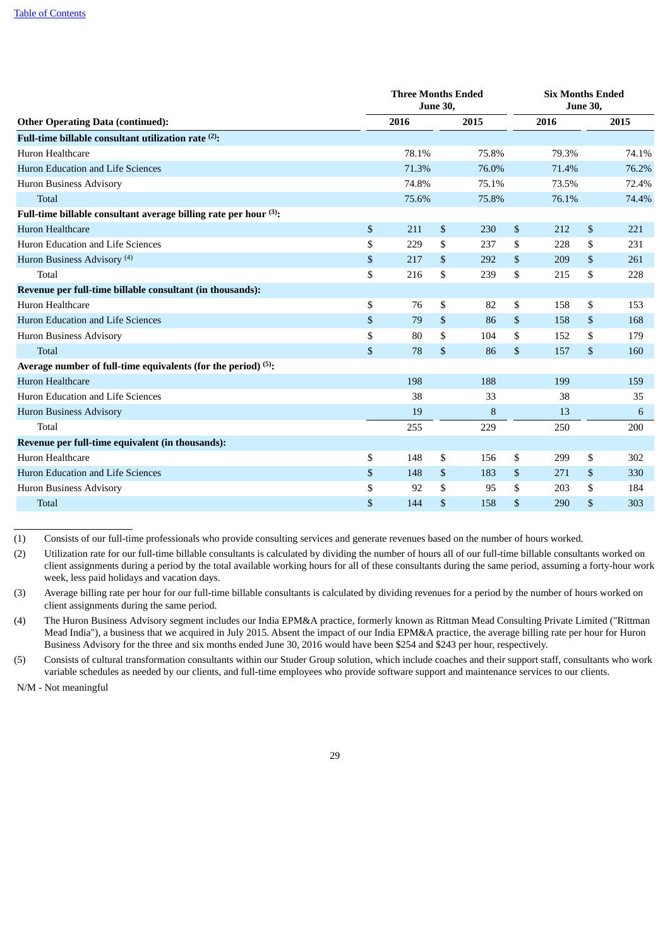|                                                                  | <b>Three Months Ended</b> | <b>June 30,</b> |       | <b>Six Months Ended</b><br><b>June 30,</b> |       |    |       |
|------------------------------------------------------------------|---------------------------|-----------------|-------|--------------------------------------------|-------|----|-------|
| <b>Other Operating Data (continued):</b>                         | 2016                      |                 | 2015  |                                            | 2016  |    | 2015  |
| Full-time billable consultant utilization rate (2):              |                           |                 |       |                                            |       |    |       |
| Huron Healthcare                                                 | 78.1%                     |                 | 75.8% |                                            | 79.3% |    | 74.1% |
| Huron Education and Life Sciences                                | 71.3%                     |                 | 76.0% |                                            | 71.4% |    | 76.2% |
| <b>Huron Business Advisory</b>                                   | 74.8%                     |                 | 75.1% |                                            | 73.5% |    | 72.4% |
| <b>Total</b>                                                     | 75.6%                     |                 | 75.8% |                                            | 76.1% |    | 74.4% |
| Full-time billable consultant average billing rate per hour (3): |                           |                 |       |                                            |       |    |       |
| <b>Huron Healthcare</b>                                          | \$<br>211                 | \$              | 230   | $\mathfrak{s}$                             | 212   | \$ | 221   |
| <b>Huron Education and Life Sciences</b>                         | \$<br>229                 | \$              | 237   | \$                                         | 228   | \$ | 231   |
| Huron Business Advisory <sup>(4)</sup>                           | \$<br>217                 | \$              | 292   | \$                                         | 209   | \$ | 261   |
| Total                                                            | \$<br>216                 | \$              | 239   | \$                                         | 215   | \$ | 228   |
| Revenue per full-time billable consultant (in thousands):        |                           |                 |       |                                            |       |    |       |
| Huron Healthcare                                                 | \$<br>76                  | \$              | 82    | \$                                         | 158   | \$ | 153   |
| <b>Huron Education and Life Sciences</b>                         | \$<br>79                  | \$              | 86    | $\mathfrak{s}$                             | 158   | \$ | 168   |
| <b>Huron Business Advisory</b>                                   | \$<br>80                  | \$              | 104   | \$                                         | 152   | \$ | 179   |
| <b>Total</b>                                                     | \$<br>78                  | \$              | 86    | $\mathfrak{s}$                             | 157   | \$ | 160   |
| Average number of full-time equivalents (for the period) (5):    |                           |                 |       |                                            |       |    |       |
| <b>Huron Healthcare</b>                                          | 198                       |                 | 188   |                                            | 199   |    | 159   |
| Huron Education and Life Sciences                                | 38                        |                 | 33    |                                            | 38    |    | 35    |
| <b>Huron Business Advisory</b>                                   | 19                        |                 | 8     |                                            | 13    |    | 6     |
| Total                                                            | 255                       |                 | 229   |                                            | 250   |    | 200   |
| Revenue per full-time equivalent (in thousands):                 |                           |                 |       |                                            |       |    |       |
| Huron Healthcare                                                 | \$<br>148                 | \$              | 156   | \$                                         | 299   | \$ | 302   |
| <b>Huron Education and Life Sciences</b>                         | \$<br>148                 | \$              | 183   | \$                                         | 271   | \$ | 330   |
| <b>Huron Business Advisory</b>                                   | \$<br>92                  | \$              | 95    | \$                                         | 203   | \$ | 184   |
| <b>Total</b>                                                     | \$<br>144                 | \$              | 158   | \$                                         | 290   | \$ | 303   |

(1) Consists of our full-time professionals who provide consulting services and generate revenues based on the number of hours worked.

(2) Utilization rate for our full-time billable consultants is calculated by dividing the number of hours all of our full-time billable consultants worked on client assignments during a period by the total available working hours for all of these consultants during the same period, assuming a forty-hour work week, less paid holidays and vacation days.

(3) Average billing rate per hour for our full-time billable consultants is calculated by dividing revenues for a period by the number of hours worked on client assignments during the same period.

(4) The Huron Business Advisory segment includes our India EPM&A practice, formerly known as Rittman Mead Consulting Private Limited ("Rittman Mead India"), a business that we acquired in July 2015. Absent the impact of our India EPM&A practice, the average billing rate per hour for Huron Business Advisory for the three and six months ended June 30, 2016 would have been \$254 and \$243 per hour, respectively.

(5) Consists of cultural transformation consultants within our Studer Group solution, which include coaches and their support staff, consultants who work variable schedules as needed by our clients, and full-time employees who provide software support and maintenance services to our clients.

N/M - Not meaningful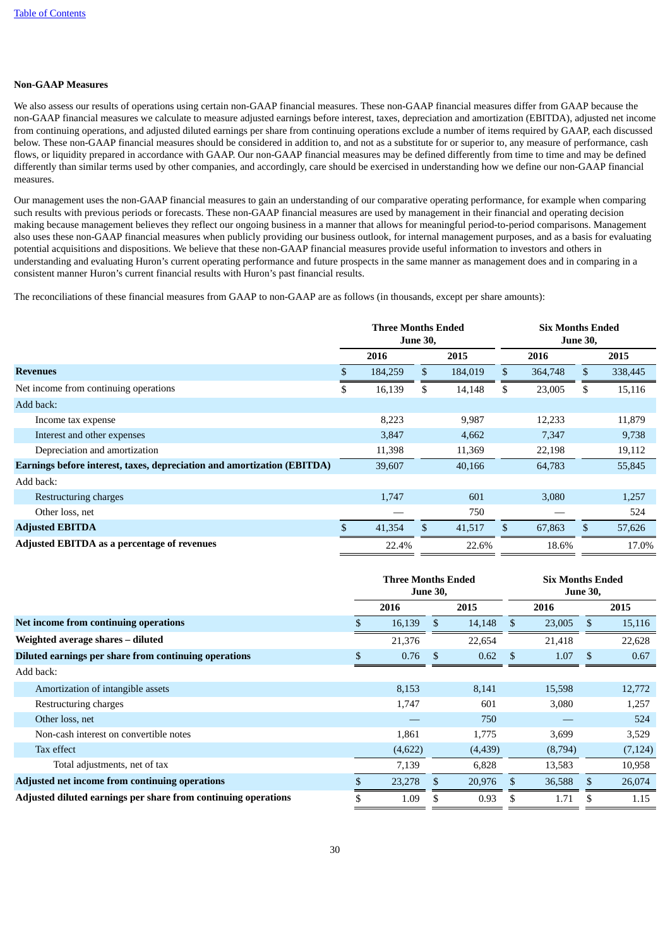## **Non-GAAP Measures**

We also assess our results of operations using certain non-GAAP financial measures. These non-GAAP financial measures differ from GAAP because the non-GAAP financial measures we calculate to measure adjusted earnings before interest, taxes, depreciation and amortization (EBITDA), adjusted net income from continuing operations, and adjusted diluted earnings per share from continuing operations exclude a number of items required by GAAP, each discussed below. These non-GAAP financial measures should be considered in addition to, and not as a substitute for or superior to, any measure of performance, cash flows, or liquidity prepared in accordance with GAAP. Our non-GAAP financial measures may be defined differently from time to time and may be defined differently than similar terms used by other companies, and accordingly, care should be exercised in understanding how we define our non-GAAP financial measures.

Our management uses the non-GAAP financial measures to gain an understanding of our comparative operating performance, for example when comparing such results with previous periods or forecasts. These non-GAAP financial measures are used by management in their financial and operating decision making because management believes they reflect our ongoing business in a manner that allows for meaningful period-to-period comparisons. Management also uses these non-GAAP financial measures when publicly providing our business outlook, for internal management purposes, and as a basis for evaluating potential acquisitions and dispositions. We believe that these non-GAAP financial measures provide useful information to investors and others in understanding and evaluating Huron's current operating performance and future prospects in the same manner as management does and in comparing in a consistent manner Huron's current financial results with Huron's past financial results.

The reconciliations of these financial measures from GAAP to non-GAAP are as follows (in thousands, except per share amounts):

|                                                                         | <b>Three Months Ended</b><br><b>June 30,</b> |         |              |         |    | <b>Six Months Ended</b><br><b>June 30,</b> |              |         |  |  |
|-------------------------------------------------------------------------|----------------------------------------------|---------|--------------|---------|----|--------------------------------------------|--------------|---------|--|--|
|                                                                         |                                              | 2016    |              | 2015    |    | 2016                                       |              | 2015    |  |  |
| <b>Revenues</b>                                                         | \$                                           | 184,259 | \$           | 184,019 | \$ | 364,748                                    | \$           | 338,445 |  |  |
| Net income from continuing operations                                   | \$                                           | 16,139  | S.           | 14,148  | S  | 23,005                                     | \$           | 15,116  |  |  |
| Add back:                                                               |                                              |         |              |         |    |                                            |              |         |  |  |
| Income tax expense                                                      |                                              | 8,223   |              | 9,987   |    | 12,233                                     |              | 11,879  |  |  |
| Interest and other expenses                                             |                                              | 3,847   |              | 4,662   |    | 7,347                                      |              | 9,738   |  |  |
| Depreciation and amortization                                           |                                              | 11,398  |              | 11,369  |    | 22,198                                     |              | 19,112  |  |  |
| Earnings before interest, taxes, depreciation and amortization (EBITDA) |                                              | 39,607  |              | 40,166  |    | 64,783                                     |              | 55,845  |  |  |
| Add back:                                                               |                                              |         |              |         |    |                                            |              |         |  |  |
| Restructuring charges                                                   |                                              | 1,747   |              | 601     |    | 3,080                                      |              | 1,257   |  |  |
| Other loss, net                                                         |                                              |         |              | 750     |    |                                            |              | 524     |  |  |
| <b>Adjusted EBITDA</b>                                                  | \$                                           | 41,354  | $\mathbb{S}$ | 41,517  | \$ | 67,863                                     | $\mathbb{S}$ | 57,626  |  |  |
| Adjusted EBITDA as a percentage of revenues                             |                                              | 22.4%   |              | 22.6%   |    | 18.6%                                      |              | 17.0%   |  |  |

|                                                                | <b>Three Months Ended</b><br><b>June 30,</b> |         |     |          |     | <b>Six Months Ended</b><br><b>June 30,</b> |   |          |  |  |
|----------------------------------------------------------------|----------------------------------------------|---------|-----|----------|-----|--------------------------------------------|---|----------|--|--|
|                                                                |                                              | 2016    |     | 2015     |     | 2016                                       |   | 2015     |  |  |
| Net income from continuing operations                          | \$.                                          | 16,139  | \$. | 14,148   | \$. | 23,005                                     | S | 15,116   |  |  |
| Weighted average shares - diluted                              |                                              | 21,376  |     | 22,654   |     | 21.418                                     |   | 22,628   |  |  |
| Diluted earnings per share from continuing operations          | \$                                           | 0.76    | \$. | 0.62     | \$. | 1.07                                       | S | 0.67     |  |  |
| Add back:                                                      |                                              |         |     |          |     |                                            |   |          |  |  |
| Amortization of intangible assets                              |                                              | 8,153   |     | 8,141    |     | 15,598                                     |   | 12,772   |  |  |
| Restructuring charges                                          |                                              | 1,747   |     | 601      |     | 3,080                                      |   | 1,257    |  |  |
| Other loss, net                                                |                                              |         |     | 750      |     |                                            |   | 524      |  |  |
| Non-cash interest on convertible notes                         |                                              | 1,861   |     | 1,775    |     | 3,699                                      |   | 3,529    |  |  |
| Tax effect                                                     |                                              | (4,622) |     | (4, 439) |     | (8,794)                                    |   | (7, 124) |  |  |
| Total adjustments, net of tax                                  |                                              | 7,139   |     | 6,828    |     | 13,583                                     |   | 10,958   |  |  |
| Adjusted net income from continuing operations                 | \$                                           | 23,278  | \$  | 20,976   | \$  | 36,588                                     |   | 26,074   |  |  |
| Adjusted diluted earnings per share from continuing operations | \$.                                          | 1.09    | \$  | 0.93     | S   | 1.71                                       |   | 1.15     |  |  |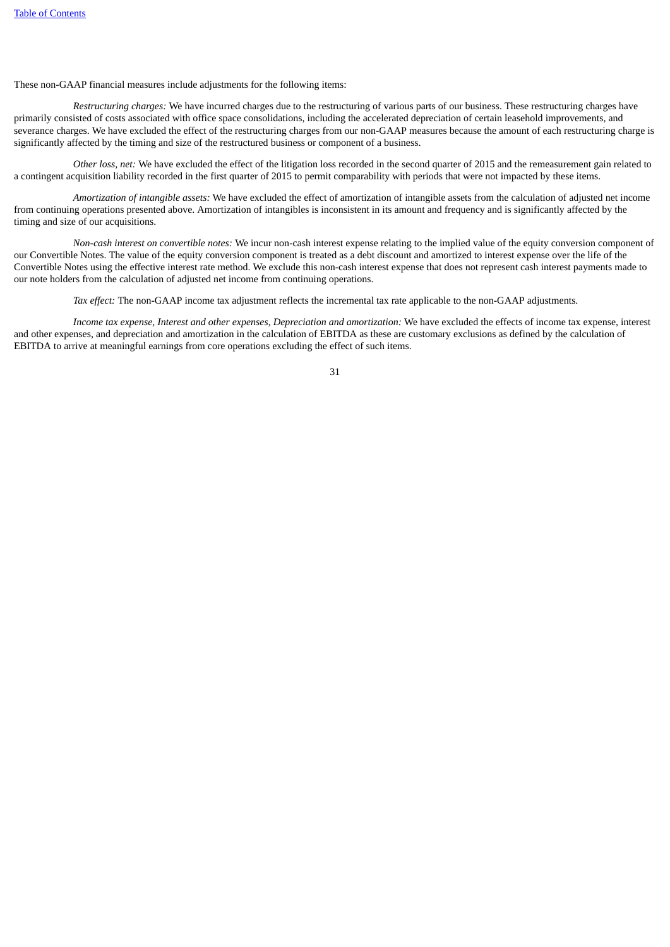These non-GAAP financial measures include adjustments for the following items:

*Restructuring charges:* We have incurred charges due to the restructuring of various parts of our business. These restructuring charges have primarily consisted of costs associated with office space consolidations, including the accelerated depreciation of certain leasehold improvements, and severance charges. We have excluded the effect of the restructuring charges from our non-GAAP measures because the amount of each restructuring charge is significantly affected by the timing and size of the restructured business or component of a business.

*Other loss, net:* We have excluded the effect of the litigation loss recorded in the second quarter of 2015 and the remeasurement gain related to a contingent acquisition liability recorded in the first quarter of 2015 to permit comparability with periods that were not impacted by these items.

*Amortization of intangible assets:* We have excluded the effect of amortization of intangible assets from the calculation of adjusted net income from continuing operations presented above. Amortization of intangibles is inconsistent in its amount and frequency and is significantly affected by the timing and size of our acquisitions.

*Non-cash interest on convertible notes:* We incur non-cash interest expense relating to the implied value of the equity conversion component of our Convertible Notes. The value of the equity conversion component is treated as a debt discount and amortized to interest expense over the life of the Convertible Notes using the effective interest rate method. We exclude this non-cash interest expense that does not represent cash interest payments made to our note holders from the calculation of adjusted net income from continuing operations.

*Tax effect:* The non-GAAP income tax adjustment reflects the incremental tax rate applicable to the non-GAAP adjustments.

*Income tax expense, Interest and other expenses, Depreciation and amortization:* We have excluded the effects of income tax expense, interest and other expenses, and depreciation and amortization in the calculation of EBITDA as these are customary exclusions as defined by the calculation of EBITDA to arrive at meaningful earnings from core operations excluding the effect of such items.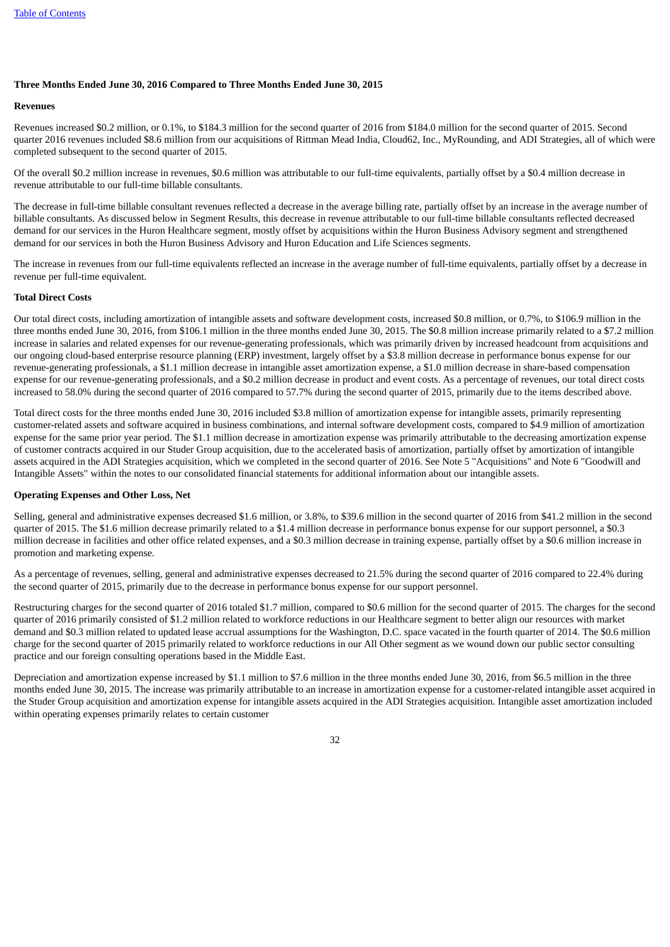#### **Three Months Ended June 30, 2016 Compared to Three Months Ended June 30, 2015**

#### **Revenues**

Revenues increased \$0.2 million, or 0.1%, to \$184.3 million for the second quarter of 2016 from \$184.0 million for the second quarter of 2015. Second quarter 2016 revenues included \$8.6 million from our acquisitions of Rittman Mead India, Cloud62, Inc., MyRounding, and ADI Strategies, all of which were completed subsequent to the second quarter of 2015.

Of the overall \$0.2 million increase in revenues, \$0.6 million was attributable to our full-time equivalents, partially offset by a \$0.4 million decrease in revenue attributable to our full-time billable consultants.

The decrease in full-time billable consultant revenues reflected a decrease in the average billing rate, partially offset by an increase in the average number of billable consultants. As discussed below in Segment Results, this decrease in revenue attributable to our full-time billable consultants reflected decreased demand for our services in the Huron Healthcare segment, mostly offset by acquisitions within the Huron Business Advisory segment and strengthened demand for our services in both the Huron Business Advisory and Huron Education and Life Sciences segments.

The increase in revenues from our full-time equivalents reflected an increase in the average number of full-time equivalents, partially offset by a decrease in revenue per full-time equivalent.

#### **Total Direct Costs**

Our total direct costs, including amortization of intangible assets and software development costs, increased \$0.8 million, or 0.7%, to \$106.9 million in the three months ended June 30, 2016, from \$106.1 million in the three months ended June 30, 2015. The \$0.8 million increase primarily related to a \$7.2 million increase in salaries and related expenses for our revenue-generating professionals, which was primarily driven by increased headcount from acquisitions and our ongoing cloud-based enterprise resource planning (ERP) investment, largely offset by a \$3.8 million decrease in performance bonus expense for our revenue-generating professionals, a \$1.1 million decrease in intangible asset amortization expense, a \$1.0 million decrease in share-based compensation expense for our revenue-generating professionals, and a \$0.2 million decrease in product and event costs. As a percentage of revenues, our total direct costs increased to 58.0% during the second quarter of 2016 compared to 57.7% during the second quarter of 2015, primarily due to the items described above.

Total direct costs for the three months ended June 30, 2016 included \$3.8 million of amortization expense for intangible assets, primarily representing customer-related assets and software acquired in business combinations, and internal software development costs, compared to \$4.9 million of amortization expense for the same prior year period. The \$1.1 million decrease in amortization expense was primarily attributable to the decreasing amortization expense of customer contracts acquired in our Studer Group acquisition, due to the accelerated basis of amortization, partially offset by amortization of intangible assets acquired in the ADI Strategies acquisition, which we completed in the second quarter of 2016. See Note 5 "Acquisitions" and Note 6 "Goodwill and Intangible Assets" within the notes to our consolidated financial statements for additional information about our intangible assets.

#### **Operating Expenses and Other Loss, Net**

Selling, general and administrative expenses decreased \$1.6 million, or 3.8%, to \$39.6 million in the second quarter of 2016 from \$41.2 million in the second quarter of 2015. The \$1.6 million decrease primarily related to a \$1.4 million decrease in performance bonus expense for our support personnel, a \$0.3 million decrease in facilities and other office related expenses, and a \$0.3 million decrease in training expense, partially offset by a \$0.6 million increase in promotion and marketing expense.

As a percentage of revenues, selling, general and administrative expenses decreased to 21.5% during the second quarter of 2016 compared to 22.4% during the second quarter of 2015, primarily due to the decrease in performance bonus expense for our support personnel.

Restructuring charges for the second quarter of 2016 totaled \$1.7 million, compared to \$0.6 million for the second quarter of 2015. The charges for the second quarter of 2016 primarily consisted of \$1.2 million related to workforce reductions in our Healthcare segment to better align our resources with market demand and \$0.3 million related to updated lease accrual assumptions for the Washington, D.C. space vacated in the fourth quarter of 2014. The \$0.6 million charge for the second quarter of 2015 primarily related to workforce reductions in our All Other segment as we wound down our public sector consulting practice and our foreign consulting operations based in the Middle East.

Depreciation and amortization expense increased by \$1.1 million to \$7.6 million in the three months ended June 30, 2016, from \$6.5 million in the three months ended June 30, 2015. The increase was primarily attributable to an increase in amortization expense for a customer-related intangible asset acquired in the Studer Group acquisition and amortization expense for intangible assets acquired in the ADI Strategies acquisition. Intangible asset amortization included within operating expenses primarily relates to certain customer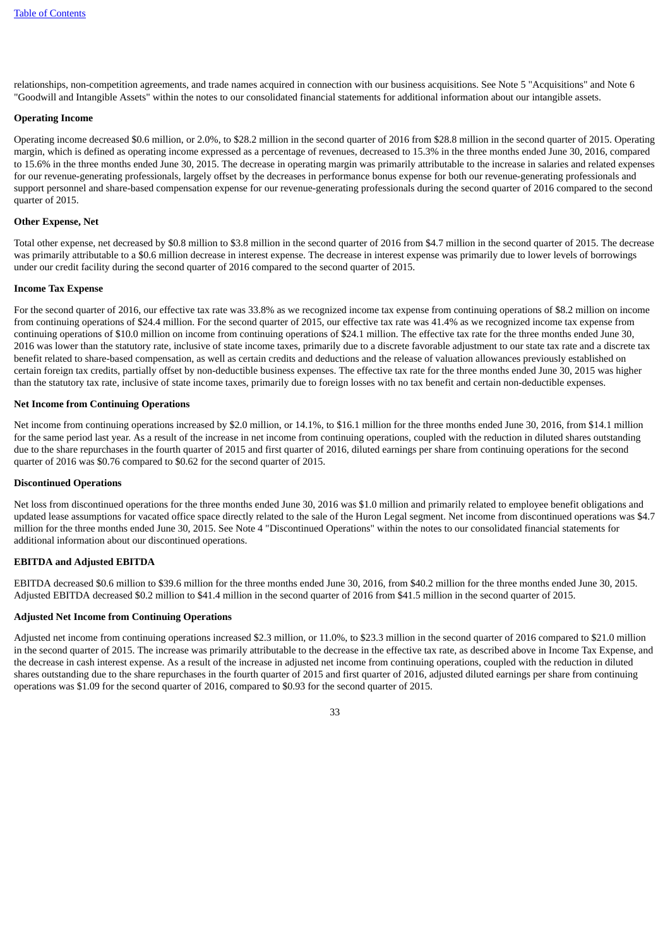relationships, non-competition agreements, and trade names acquired in connection with our business acquisitions. See Note 5 "Acquisitions" and Note 6 "Goodwill and Intangible Assets" within the notes to our consolidated financial statements for additional information about our intangible assets.

## **Operating Income**

Operating income decreased \$0.6 million, or 2.0%, to \$28.2 million in the second quarter of 2016 from \$28.8 million in the second quarter of 2015. Operating margin, which is defined as operating income expressed as a percentage of revenues, decreased to 15.3% in the three months ended June 30, 2016, compared to 15.6% in the three months ended June 30, 2015. The decrease in operating margin was primarily attributable to the increase in salaries and related expenses for our revenue-generating professionals, largely offset by the decreases in performance bonus expense for both our revenue-generating professionals and support personnel and share-based compensation expense for our revenue-generating professionals during the second quarter of 2016 compared to the second quarter of 2015.

#### **Other Expense, Net**

Total other expense, net decreased by \$0.8 million to \$3.8 million in the second quarter of 2016 from \$4.7 million in the second quarter of 2015. The decrease was primarily attributable to a \$0.6 million decrease in interest expense. The decrease in interest expense was primarily due to lower levels of borrowings under our credit facility during the second quarter of 2016 compared to the second quarter of 2015.

#### **Income Tax Expense**

For the second quarter of 2016, our effective tax rate was 33.8% as we recognized income tax expense from continuing operations of \$8.2 million on income from continuing operations of \$24.4 million. For the second quarter of 2015, our effective tax rate was 41.4% as we recognized income tax expense from continuing operations of \$10.0 million on income from continuing operations of \$24.1 million. The effective tax rate for the three months ended June 30, 2016 was lower than the statutory rate, inclusive of state income taxes, primarily due to a discrete favorable adjustment to our state tax rate and a discrete tax benefit related to share-based compensation, as well as certain credits and deductions and the release of valuation allowances previously established on certain foreign tax credits, partially offset by non-deductible business expenses. The effective tax rate for the three months ended June 30, 2015 was higher than the statutory tax rate, inclusive of state income taxes, primarily due to foreign losses with no tax benefit and certain non-deductible expenses.

#### **Net Income from Continuing Operations**

Net income from continuing operations increased by \$2.0 million, or 14.1%, to \$16.1 million for the three months ended June 30, 2016, from \$14.1 million for the same period last year. As a result of the increase in net income from continuing operations, coupled with the reduction in diluted shares outstanding due to the share repurchases in the fourth quarter of 2015 and first quarter of 2016, diluted earnings per share from continuing operations for the second quarter of 2016 was \$0.76 compared to \$0.62 for the second quarter of 2015.

#### **Discontinued Operations**

Net loss from discontinued operations for the three months ended June 30, 2016 was \$1.0 million and primarily related to employee benefit obligations and updated lease assumptions for vacated office space directly related to the sale of the Huron Legal segment. Net income from discontinued operations was \$4.7 million for the three months ended June 30, 2015. See Note 4 "Discontinued Operations" within the notes to our consolidated financial statements for additional information about our discontinued operations.

#### **EBITDA and Adjusted EBITDA**

EBITDA decreased \$0.6 million to \$39.6 million for the three months ended June 30, 2016, from \$40.2 million for the three months ended June 30, 2015. Adjusted EBITDA decreased \$0.2 million to \$41.4 million in the second quarter of 2016 from \$41.5 million in the second quarter of 2015.

## **Adjusted Net Income from Continuing Operations**

Adjusted net income from continuing operations increased \$2.3 million, or 11.0%, to \$23.3 million in the second quarter of 2016 compared to \$21.0 million in the second quarter of 2015. The increase was primarily attributable to the decrease in the effective tax rate, as described above in Income Tax Expense, and the decrease in cash interest expense. As a result of the increase in adjusted net income from continuing operations, coupled with the reduction in diluted shares outstanding due to the share repurchases in the fourth quarter of 2015 and first quarter of 2016, adjusted diluted earnings per share from continuing operations was \$1.09 for the second quarter of 2016, compared to \$0.93 for the second quarter of 2015.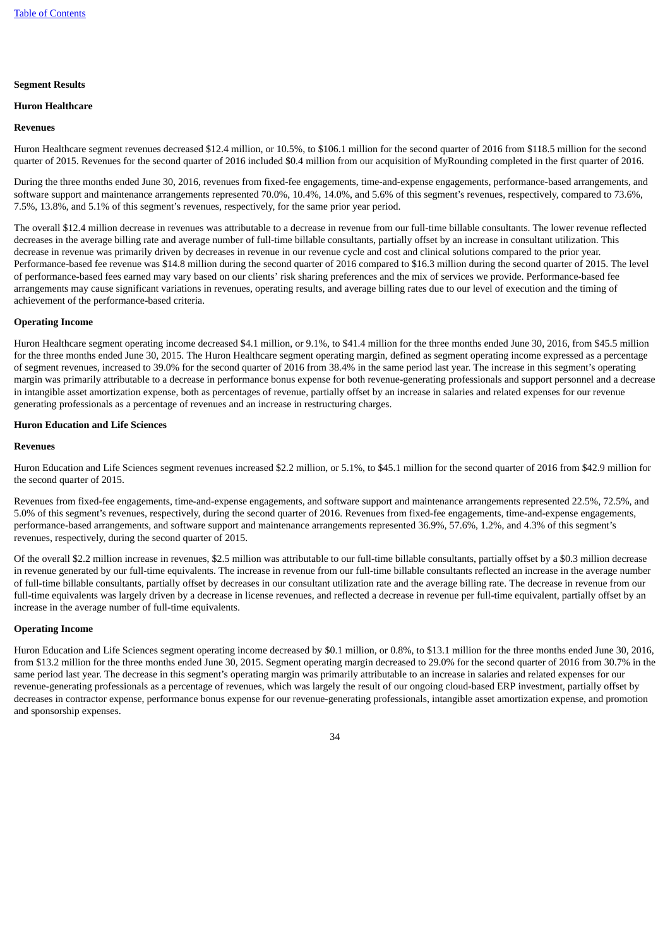## **Segment Results**

#### **Huron Healthcare**

#### **Revenues**

Huron Healthcare segment revenues decreased \$12.4 million, or 10.5%, to \$106.1 million for the second quarter of 2016 from \$118.5 million for the second quarter of 2015. Revenues for the second quarter of 2016 included \$0.4 million from our acquisition of MyRounding completed in the first quarter of 2016.

During the three months ended June 30, 2016, revenues from fixed-fee engagements, time-and-expense engagements, performance-based arrangements, and software support and maintenance arrangements represented 70.0%, 10.4%, 14.0%, and 5.6% of this segment's revenues, respectively, compared to 73.6%, 7.5%, 13.8%, and 5.1% of this segment's revenues, respectively, for the same prior year period.

The overall \$12.4 million decrease in revenues was attributable to a decrease in revenue from our full-time billable consultants. The lower revenue reflected decreases in the average billing rate and average number of full-time billable consultants, partially offset by an increase in consultant utilization. This decrease in revenue was primarily driven by decreases in revenue in our revenue cycle and cost and clinical solutions compared to the prior year. Performance-based fee revenue was \$14.8 million during the second quarter of 2016 compared to \$16.3 million during the second quarter of 2015. The level of performance-based fees earned may vary based on our clients' risk sharing preferences and the mix of services we provide. Performance-based fee arrangements may cause significant variations in revenues, operating results, and average billing rates due to our level of execution and the timing of achievement of the performance-based criteria.

#### **Operating Income**

Huron Healthcare segment operating income decreased \$4.1 million, or 9.1%, to \$41.4 million for the three months ended June 30, 2016, from \$45.5 million for the three months ended June 30, 2015. The Huron Healthcare segment operating margin, defined as segment operating income expressed as a percentage of segment revenues, increased to 39.0% for the second quarter of 2016 from 38.4% in the same period last year. The increase in this segment's operating margin was primarily attributable to a decrease in performance bonus expense for both revenue-generating professionals and support personnel and a decrease in intangible asset amortization expense, both as percentages of revenue, partially offset by an increase in salaries and related expenses for our revenue generating professionals as a percentage of revenues and an increase in restructuring charges.

#### **Huron Education and Life Sciences**

#### **Revenues**

Huron Education and Life Sciences segment revenues increased \$2.2 million, or 5.1%, to \$45.1 million for the second quarter of 2016 from \$42.9 million for the second quarter of 2015.

Revenues from fixed-fee engagements, time-and-expense engagements, and software support and maintenance arrangements represented 22.5%, 72.5%, and 5.0% of this segment's revenues, respectively, during the second quarter of 2016. Revenues from fixed-fee engagements, time-and-expense engagements, performance-based arrangements, and software support and maintenance arrangements represented 36.9%, 57.6%, 1.2%, and 4.3% of this segment's revenues, respectively, during the second quarter of 2015.

Of the overall \$2.2 million increase in revenues, \$2.5 million was attributable to our full-time billable consultants, partially offset by a \$0.3 million decrease in revenue generated by our full-time equivalents. The increase in revenue from our full-time billable consultants reflected an increase in the average number of full-time billable consultants, partially offset by decreases in our consultant utilization rate and the average billing rate. The decrease in revenue from our full-time equivalents was largely driven by a decrease in license revenues, and reflected a decrease in revenue per full-time equivalent, partially offset by an increase in the average number of full-time equivalents.

#### **Operating Income**

Huron Education and Life Sciences segment operating income decreased by \$0.1 million, or 0.8%, to \$13.1 million for the three months ended June 30, 2016, from \$13.2 million for the three months ended June 30, 2015. Segment operating margin decreased to 29.0% for the second quarter of 2016 from 30.7% in the same period last year. The decrease in this segment's operating margin was primarily attributable to an increase in salaries and related expenses for our revenue-generating professionals as a percentage of revenues, which was largely the result of our ongoing cloud-based ERP investment, partially offset by decreases in contractor expense, performance bonus expense for our revenue-generating professionals, intangible asset amortization expense, and promotion and sponsorship expenses.

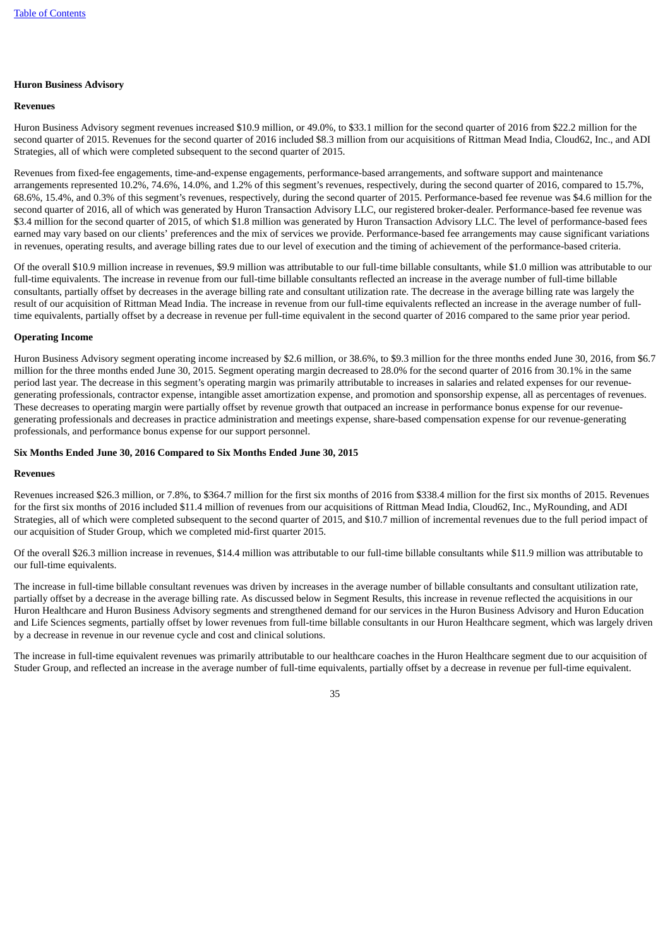## **Huron Business Advisory**

#### **Revenues**

Huron Business Advisory segment revenues increased \$10.9 million, or 49.0%, to \$33.1 million for the second quarter of 2016 from \$22.2 million for the second quarter of 2015. Revenues for the second quarter of 2016 included \$8.3 million from our acquisitions of Rittman Mead India, Cloud62, Inc., and ADI Strategies, all of which were completed subsequent to the second quarter of 2015.

Revenues from fixed-fee engagements, time-and-expense engagements, performance-based arrangements, and software support and maintenance arrangements represented 10.2%, 74.6%, 14.0%, and 1.2% of this segment's revenues, respectively, during the second quarter of 2016, compared to 15.7%, 68.6%, 15.4%, and 0.3% of this segment's revenues, respectively, during the second quarter of 2015. Performance-based fee revenue was \$4.6 million for the second quarter of 2016, all of which was generated by Huron Transaction Advisory LLC, our registered broker-dealer. Performance-based fee revenue was \$3.4 million for the second quarter of 2015, of which \$1.8 million was generated by Huron Transaction Advisory LLC. The level of performance-based fees earned may vary based on our clients' preferences and the mix of services we provide. Performance-based fee arrangements may cause significant variations in revenues, operating results, and average billing rates due to our level of execution and the timing of achievement of the performance-based criteria.

Of the overall \$10.9 million increase in revenues, \$9.9 million was attributable to our full-time billable consultants, while \$1.0 million was attributable to our full-time equivalents. The increase in revenue from our full-time billable consultants reflected an increase in the average number of full-time billable consultants, partially offset by decreases in the average billing rate and consultant utilization rate. The decrease in the average billing rate was largely the result of our acquisition of Rittman Mead India. The increase in revenue from our full-time equivalents reflected an increase in the average number of fulltime equivalents, partially offset by a decrease in revenue per full-time equivalent in the second quarter of 2016 compared to the same prior year period.

## **Operating Income**

Huron Business Advisory segment operating income increased by \$2.6 million, or 38.6%, to \$9.3 million for the three months ended June 30, 2016, from \$6.7 million for the three months ended June 30, 2015. Segment operating margin decreased to 28.0% for the second quarter of 2016 from 30.1% in the same period last year. The decrease in this segment's operating margin was primarily attributable to increases in salaries and related expenses for our revenuegenerating professionals, contractor expense, intangible asset amortization expense, and promotion and sponsorship expense, all as percentages of revenues. These decreases to operating margin were partially offset by revenue growth that outpaced an increase in performance bonus expense for our revenuegenerating professionals and decreases in practice administration and meetings expense, share-based compensation expense for our revenue-generating professionals, and performance bonus expense for our support personnel.

#### **Six Months Ended June 30, 2016 Compared to Six Months Ended June 30, 2015**

#### **Revenues**

Revenues increased \$26.3 million, or 7.8%, to \$364.7 million for the first six months of 2016 from \$338.4 million for the first six months of 2015. Revenues for the first six months of 2016 included \$11.4 million of revenues from our acquisitions of Rittman Mead India, Cloud62, Inc., MyRounding, and ADI Strategies, all of which were completed subsequent to the second quarter of 2015, and \$10.7 million of incremental revenues due to the full period impact of our acquisition of Studer Group, which we completed mid-first quarter 2015.

Of the overall \$26.3 million increase in revenues, \$14.4 million was attributable to our full-time billable consultants while \$11.9 million was attributable to our full-time equivalents.

The increase in full-time billable consultant revenues was driven by increases in the average number of billable consultants and consultant utilization rate, partially offset by a decrease in the average billing rate. As discussed below in Segment Results, this increase in revenue reflected the acquisitions in our Huron Healthcare and Huron Business Advisory segments and strengthened demand for our services in the Huron Business Advisory and Huron Education and Life Sciences segments, partially offset by lower revenues from full-time billable consultants in our Huron Healthcare segment, which was largely driven by a decrease in revenue in our revenue cycle and cost and clinical solutions.

The increase in full-time equivalent revenues was primarily attributable to our healthcare coaches in the Huron Healthcare segment due to our acquisition of Studer Group, and reflected an increase in the average number of full-time equivalents, partially offset by a decrease in revenue per full-time equivalent.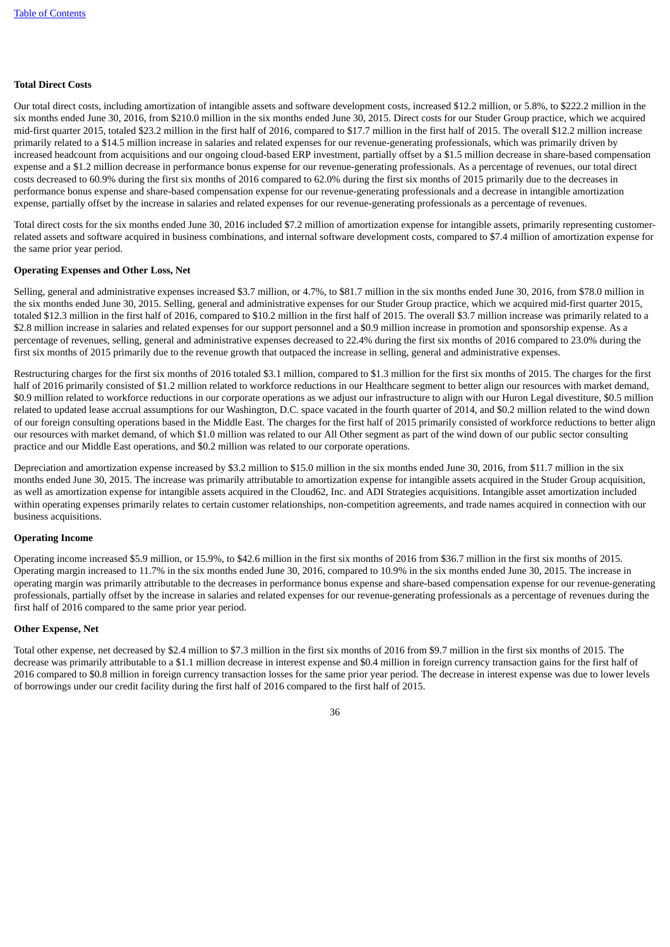## **Total Direct Costs**

Our total direct costs, including amortization of intangible assets and software development costs, increased \$12.2 million, or 5.8%, to \$222.2 million in the six months ended June 30, 2016, from \$210.0 million in the six months ended June 30, 2015. Direct costs for our Studer Group practice, which we acquired mid-first quarter 2015, totaled \$23.2 million in the first half of 2016, compared to \$17.7 million in the first half of 2015. The overall \$12.2 million increase primarily related to a \$14.5 million increase in salaries and related expenses for our revenue-generating professionals, which was primarily driven by increased headcount from acquisitions and our ongoing cloud-based ERP investment, partially offset by a \$1.5 million decrease in share-based compensation expense and a \$1.2 million decrease in performance bonus expense for our revenue-generating professionals. As a percentage of revenues, our total direct costs decreased to 60.9% during the first six months of 2016 compared to 62.0% during the first six months of 2015 primarily due to the decreases in performance bonus expense and share-based compensation expense for our revenue-generating professionals and a decrease in intangible amortization expense, partially offset by the increase in salaries and related expenses for our revenue-generating professionals as a percentage of revenues.

Total direct costs for the six months ended June 30, 2016 included \$7.2 million of amortization expense for intangible assets, primarily representing customerrelated assets and software acquired in business combinations, and internal software development costs, compared to \$7.4 million of amortization expense for the same prior year period.

#### **Operating Expenses and Other Loss, Net**

Selling, general and administrative expenses increased \$3.7 million, or 4.7%, to \$81.7 million in the six months ended June 30, 2016, from \$78.0 million in the six months ended June 30, 2015. Selling, general and administrative expenses for our Studer Group practice, which we acquired mid-first quarter 2015, totaled \$12.3 million in the first half of 2016, compared to \$10.2 million in the first half of 2015. The overall \$3.7 million increase was primarily related to a \$2.8 million increase in salaries and related expenses for our support personnel and a \$0.9 million increase in promotion and sponsorship expense. As a percentage of revenues, selling, general and administrative expenses decreased to 22.4% during the first six months of 2016 compared to 23.0% during the first six months of 2015 primarily due to the revenue growth that outpaced the increase in selling, general and administrative expenses.

Restructuring charges for the first six months of 2016 totaled \$3.1 million, compared to \$1.3 million for the first six months of 2015. The charges for the first half of 2016 primarily consisted of \$1.2 million related to workforce reductions in our Healthcare segment to better align our resources with market demand, \$0.9 million related to workforce reductions in our corporate operations as we adjust our infrastructure to align with our Huron Legal divestiture, \$0.5 million related to updated lease accrual assumptions for our Washington, D.C. space vacated in the fourth quarter of 2014, and \$0.2 million related to the wind down of our foreign consulting operations based in the Middle East. The charges for the first half of 2015 primarily consisted of workforce reductions to better align our resources with market demand, of which \$1.0 million was related to our All Other segment as part of the wind down of our public sector consulting practice and our Middle East operations, and \$0.2 million was related to our corporate operations.

Depreciation and amortization expense increased by \$3.2 million to \$15.0 million in the six months ended June 30, 2016, from \$11.7 million in the six months ended June 30, 2015. The increase was primarily attributable to amortization expense for intangible assets acquired in the Studer Group acquisition, as well as amortization expense for intangible assets acquired in the Cloud62, Inc. and ADI Strategies acquisitions. Intangible asset amortization included within operating expenses primarily relates to certain customer relationships, non-competition agreements, and trade names acquired in connection with our business acquisitions.

#### **Operating Income**

Operating income increased \$5.9 million, or 15.9%, to \$42.6 million in the first six months of 2016 from \$36.7 million in the first six months of 2015. Operating margin increased to 11.7% in the six months ended June 30, 2016, compared to 10.9% in the six months ended June 30, 2015. The increase in operating margin was primarily attributable to the decreases in performance bonus expense and share-based compensation expense for our revenue-generating professionals, partially offset by the increase in salaries and related expenses for our revenue-generating professionals as a percentage of revenues during the first half of 2016 compared to the same prior year period.

#### **Other Expense, Net**

Total other expense, net decreased by \$2.4 million to \$7.3 million in the first six months of 2016 from \$9.7 million in the first six months of 2015. The decrease was primarily attributable to a \$1.1 million decrease in interest expense and \$0.4 million in foreign currency transaction gains for the first half of 2016 compared to \$0.8 million in foreign currency transaction losses for the same prior year period. The decrease in interest expense was due to lower levels of borrowings under our credit facility during the first half of 2016 compared to the first half of 2015.

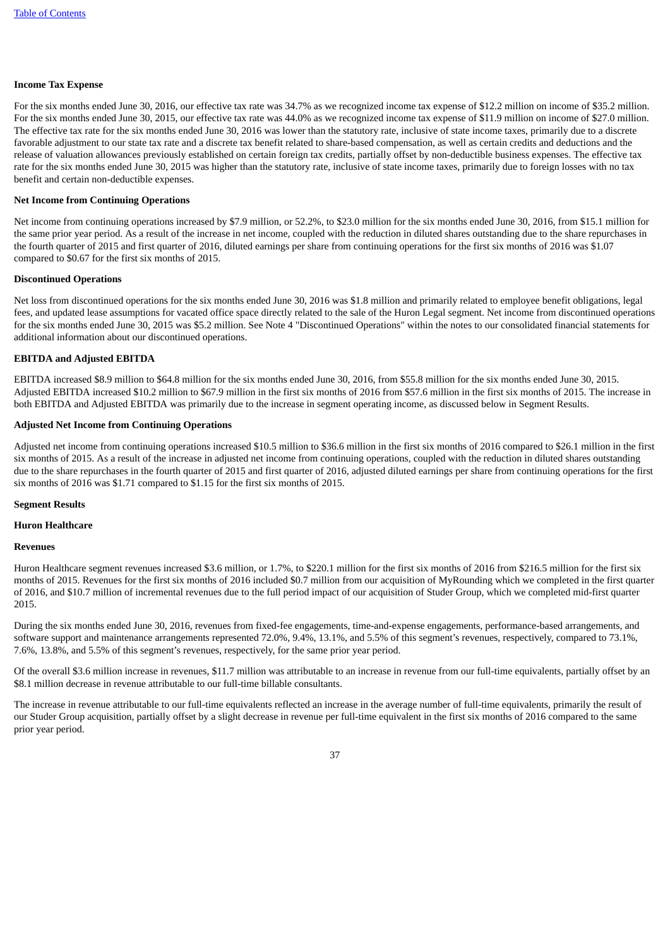## **Income Tax Expense**

For the six months ended June 30, 2016, our effective tax rate was 34.7% as we recognized income tax expense of \$12.2 million on income of \$35.2 million. For the six months ended June 30, 2015, our effective tax rate was 44.0% as we recognized income tax expense of \$11.9 million on income of \$27.0 million. The effective tax rate for the six months ended June 30, 2016 was lower than the statutory rate, inclusive of state income taxes, primarily due to a discrete favorable adjustment to our state tax rate and a discrete tax benefit related to share-based compensation, as well as certain credits and deductions and the release of valuation allowances previously established on certain foreign tax credits, partially offset by non-deductible business expenses. The effective tax rate for the six months ended June 30, 2015 was higher than the statutory rate, inclusive of state income taxes, primarily due to foreign losses with no tax benefit and certain non-deductible expenses.

#### **Net Income from Continuing Operations**

Net income from continuing operations increased by \$7.9 million, or 52.2%, to \$23.0 million for the six months ended June 30, 2016, from \$15.1 million for the same prior year period. As a result of the increase in net income, coupled with the reduction in diluted shares outstanding due to the share repurchases in the fourth quarter of 2015 and first quarter of 2016, diluted earnings per share from continuing operations for the first six months of 2016 was \$1.07 compared to \$0.67 for the first six months of 2015.

#### **Discontinued Operations**

Net loss from discontinued operations for the six months ended June 30, 2016 was \$1.8 million and primarily related to employee benefit obligations, legal fees, and updated lease assumptions for vacated office space directly related to the sale of the Huron Legal segment. Net income from discontinued operations for the six months ended June 30, 2015 was \$5.2 million. See Note 4 "Discontinued Operations" within the notes to our consolidated financial statements for additional information about our discontinued operations.

#### **EBITDA and Adjusted EBITDA**

EBITDA increased \$8.9 million to \$64.8 million for the six months ended June 30, 2016, from \$55.8 million for the six months ended June 30, 2015. Adjusted EBITDA increased \$10.2 million to \$67.9 million in the first six months of 2016 from \$57.6 million in the first six months of 2015. The increase in both EBITDA and Adjusted EBITDA was primarily due to the increase in segment operating income, as discussed below in Segment Results.

#### **Adjusted Net Income from Continuing Operations**

Adjusted net income from continuing operations increased \$10.5 million to \$36.6 million in the first six months of 2016 compared to \$26.1 million in the first six months of 2015. As a result of the increase in adjusted net income from continuing operations, coupled with the reduction in diluted shares outstanding due to the share repurchases in the fourth quarter of 2015 and first quarter of 2016, adjusted diluted earnings per share from continuing operations for the first six months of 2016 was \$1.71 compared to \$1.15 for the first six months of 2015.

#### **Segment Results**

## **Huron Healthcare**

#### **Revenues**

Huron Healthcare segment revenues increased \$3.6 million, or 1.7%, to \$220.1 million for the first six months of 2016 from \$216.5 million for the first six months of 2015. Revenues for the first six months of 2016 included \$0.7 million from our acquisition of MyRounding which we completed in the first quarter of 2016, and \$10.7 million of incremental revenues due to the full period impact of our acquisition of Studer Group, which we completed mid-first quarter 2015.

During the six months ended June 30, 2016, revenues from fixed-fee engagements, time-and-expense engagements, performance-based arrangements, and software support and maintenance arrangements represented 72.0%, 9.4%, 13.1%, and 5.5% of this segment's revenues, respectively, compared to 73.1%, 7.6%, 13.8%, and 5.5% of this segment's revenues, respectively, for the same prior year period.

Of the overall \$3.6 million increase in revenues, \$11.7 million was attributable to an increase in revenue from our full-time equivalents, partially offset by an \$8.1 million decrease in revenue attributable to our full-time billable consultants.

The increase in revenue attributable to our full-time equivalents reflected an increase in the average number of full-time equivalents, primarily the result of our Studer Group acquisition, partially offset by a slight decrease in revenue per full-time equivalent in the first six months of 2016 compared to the same prior year period.

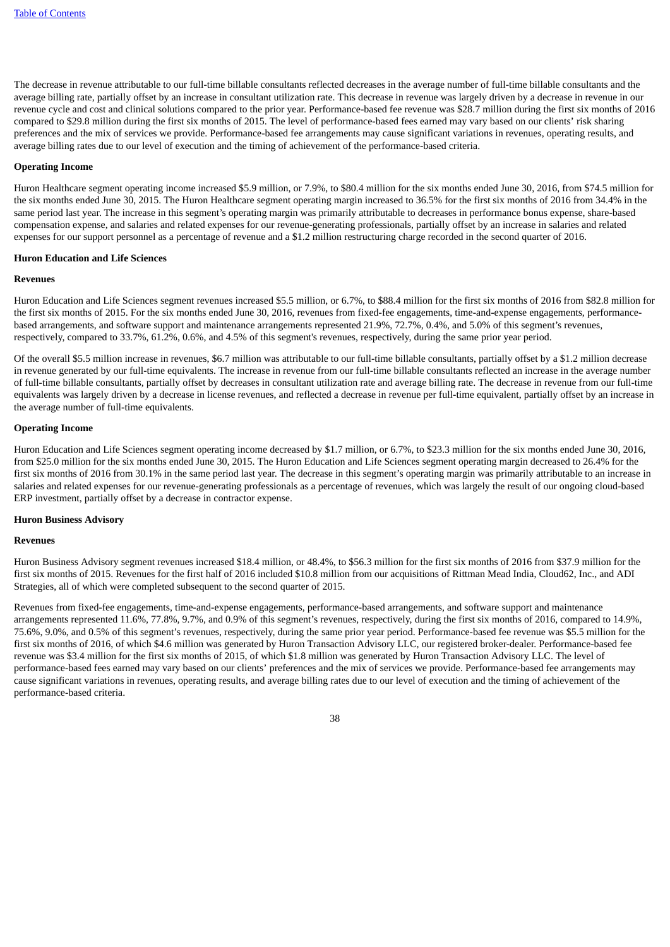The decrease in revenue attributable to our full-time billable consultants reflected decreases in the average number of full-time billable consultants and the average billing rate, partially offset by an increase in consultant utilization rate. This decrease in revenue was largely driven by a decrease in revenue in our revenue cycle and cost and clinical solutions compared to the prior year. Performance-based fee revenue was \$28.7 million during the first six months of 2016 compared to \$29.8 million during the first six months of 2015. The level of performance-based fees earned may vary based on our clients' risk sharing preferences and the mix of services we provide. Performance-based fee arrangements may cause significant variations in revenues, operating results, and average billing rates due to our level of execution and the timing of achievement of the performance-based criteria.

#### **Operating Income**

Huron Healthcare segment operating income increased \$5.9 million, or 7.9%, to \$80.4 million for the six months ended June 30, 2016, from \$74.5 million for the six months ended June 30, 2015. The Huron Healthcare segment operating margin increased to 36.5% for the first six months of 2016 from 34.4% in the same period last year. The increase in this segment's operating margin was primarily attributable to decreases in performance bonus expense, share-based compensation expense, and salaries and related expenses for our revenue-generating professionals, partially offset by an increase in salaries and related expenses for our support personnel as a percentage of revenue and a \$1.2 million restructuring charge recorded in the second quarter of 2016.

#### **Huron Education and Life Sciences**

#### **Revenues**

Huron Education and Life Sciences segment revenues increased \$5.5 million, or 6.7%, to \$88.4 million for the first six months of 2016 from \$82.8 million for the first six months of 2015. For the six months ended June 30, 2016, revenues from fixed-fee engagements, time-and-expense engagements, performancebased arrangements, and software support and maintenance arrangements represented 21.9%, 72.7%, 0.4%, and 5.0% of this segment's revenues, respectively, compared to 33.7%, 61.2%, 0.6%, and 4.5% of this segment's revenues, respectively, during the same prior year period.

Of the overall \$5.5 million increase in revenues, \$6.7 million was attributable to our full-time billable consultants, partially offset by a \$1.2 million decrease in revenue generated by our full-time equivalents. The increase in revenue from our full-time billable consultants reflected an increase in the average number of full-time billable consultants, partially offset by decreases in consultant utilization rate and average billing rate. The decrease in revenue from our full-time equivalents was largely driven by a decrease in license revenues, and reflected a decrease in revenue per full-time equivalent, partially offset by an increase in the average number of full-time equivalents.

#### **Operating Income**

Huron Education and Life Sciences segment operating income decreased by \$1.7 million, or 6.7%, to \$23.3 million for the six months ended June 30, 2016, from \$25.0 million for the six months ended June 30, 2015. The Huron Education and Life Sciences segment operating margin decreased to 26.4% for the first six months of 2016 from 30.1% in the same period last year. The decrease in this segment's operating margin was primarily attributable to an increase in salaries and related expenses for our revenue-generating professionals as a percentage of revenues, which was largely the result of our ongoing cloud-based ERP investment, partially offset by a decrease in contractor expense.

#### **Huron Business Advisory**

#### **Revenues**

Huron Business Advisory segment revenues increased \$18.4 million, or 48.4%, to \$56.3 million for the first six months of 2016 from \$37.9 million for the first six months of 2015. Revenues for the first half of 2016 included \$10.8 million from our acquisitions of Rittman Mead India, Cloud62, Inc., and ADI Strategies, all of which were completed subsequent to the second quarter of 2015.

Revenues from fixed-fee engagements, time-and-expense engagements, performance-based arrangements, and software support and maintenance arrangements represented 11.6%, 77.8%, 9.7%, and 0.9% of this segment's revenues, respectively, during the first six months of 2016, compared to 14.9%, 75.6%, 9.0%, and 0.5% of this segment's revenues, respectively, during the same prior year period. Performance-based fee revenue was \$5.5 million for the first six months of 2016, of which \$4.6 million was generated by Huron Transaction Advisory LLC, our registered broker-dealer. Performance-based fee revenue was \$3.4 million for the first six months of 2015, of which \$1.8 million was generated by Huron Transaction Advisory LLC. The level of performance-based fees earned may vary based on our clients' preferences and the mix of services we provide. Performance-based fee arrangements may cause significant variations in revenues, operating results, and average billing rates due to our level of execution and the timing of achievement of the performance-based criteria.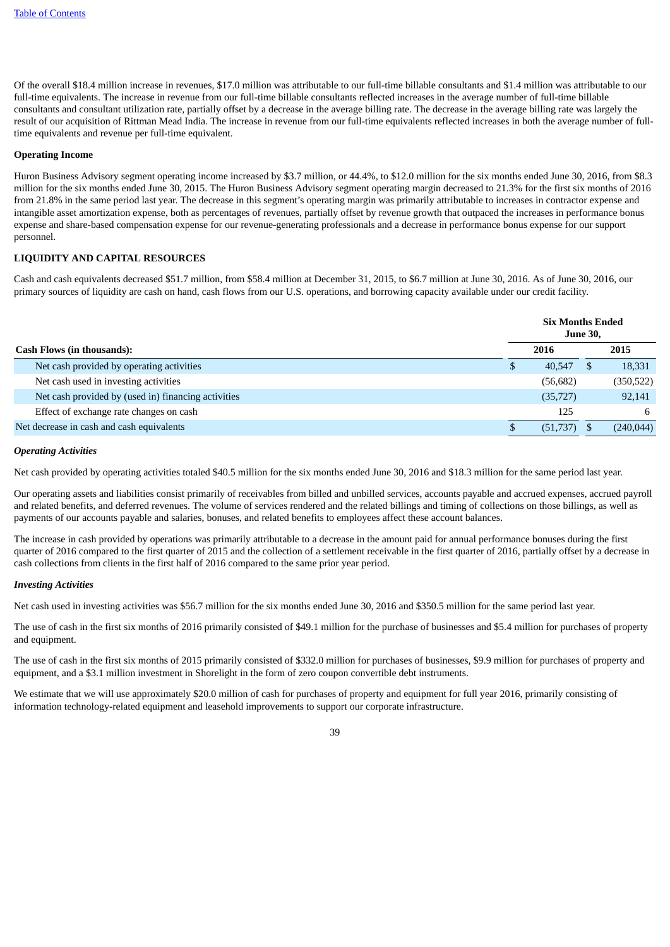Of the overall \$18.4 million increase in revenues, \$17.0 million was attributable to our full-time billable consultants and \$1.4 million was attributable to our full-time equivalents. The increase in revenue from our full-time billable consultants reflected increases in the average number of full-time billable consultants and consultant utilization rate, partially offset by a decrease in the average billing rate. The decrease in the average billing rate was largely the result of our acquisition of Rittman Mead India. The increase in revenue from our full-time equivalents reflected increases in both the average number of fulltime equivalents and revenue per full-time equivalent.

## **Operating Income**

Huron Business Advisory segment operating income increased by \$3.7 million, or 44.4%, to \$12.0 million for the six months ended June 30, 2016, from \$8.3 million for the six months ended June 30, 2015. The Huron Business Advisory segment operating margin decreased to 21.3% for the first six months of 2016 from 21.8% in the same period last year. The decrease in this segment's operating margin was primarily attributable to increases in contractor expense and intangible asset amortization expense, both as percentages of revenues, partially offset by revenue growth that outpaced the increases in performance bonus expense and share-based compensation expense for our revenue-generating professionals and a decrease in performance bonus expense for our support personnel.

#### **LIQUIDITY AND CAPITAL RESOURCES**

Cash and cash equivalents decreased \$51.7 million, from \$58.4 million at December 31, 2015, to \$6.7 million at June 30, 2016. As of June 30, 2016, our primary sources of liquidity are cash on hand, cash flows from our U.S. operations, and borrowing capacity available under our credit facility.

|                                                     | <b>Six Months Ended</b> | <b>June 30,</b> |            |
|-----------------------------------------------------|-------------------------|-----------------|------------|
| <b>Cash Flows (in thousands):</b>                   | 2016                    |                 | 2015       |
| Net cash provided by operating activities           | 40.547                  |                 | 18,331     |
| Net cash used in investing activities               | (56,682)                |                 | (350, 522) |
| Net cash provided by (used in) financing activities | (35, 727)               |                 | 92,141     |
| Effect of exchange rate changes on cash             | 125                     |                 | 6          |
| Net decrease in cash and cash equivalents           | (51, 737)               |                 | (240, 044) |

## *Operating Activities*

Net cash provided by operating activities totaled \$40.5 million for the six months ended June 30, 2016 and \$18.3 million for the same period last year.

Our operating assets and liabilities consist primarily of receivables from billed and unbilled services, accounts payable and accrued expenses, accrued payroll and related benefits, and deferred revenues. The volume of services rendered and the related billings and timing of collections on those billings, as well as payments of our accounts payable and salaries, bonuses, and related benefits to employees affect these account balances.

The increase in cash provided by operations was primarily attributable to a decrease in the amount paid for annual performance bonuses during the first quarter of 2016 compared to the first quarter of 2015 and the collection of a settlement receivable in the first quarter of 2016, partially offset by a decrease in cash collections from clients in the first half of 2016 compared to the same prior year period.

## *Investing Activities*

Net cash used in investing activities was \$56.7 million for the six months ended June 30, 2016 and \$350.5 million for the same period last year.

The use of cash in the first six months of 2016 primarily consisted of \$49.1 million for the purchase of businesses and \$5.4 million for purchases of property and equipment.

The use of cash in the first six months of 2015 primarily consisted of \$332.0 million for purchases of businesses, \$9.9 million for purchases of property and equipment, and a \$3.1 million investment in Shorelight in the form of zero coupon convertible debt instruments.

We estimate that we will use approximately \$20.0 million of cash for purchases of property and equipment for full year 2016, primarily consisting of information technology-related equipment and leasehold improvements to support our corporate infrastructure.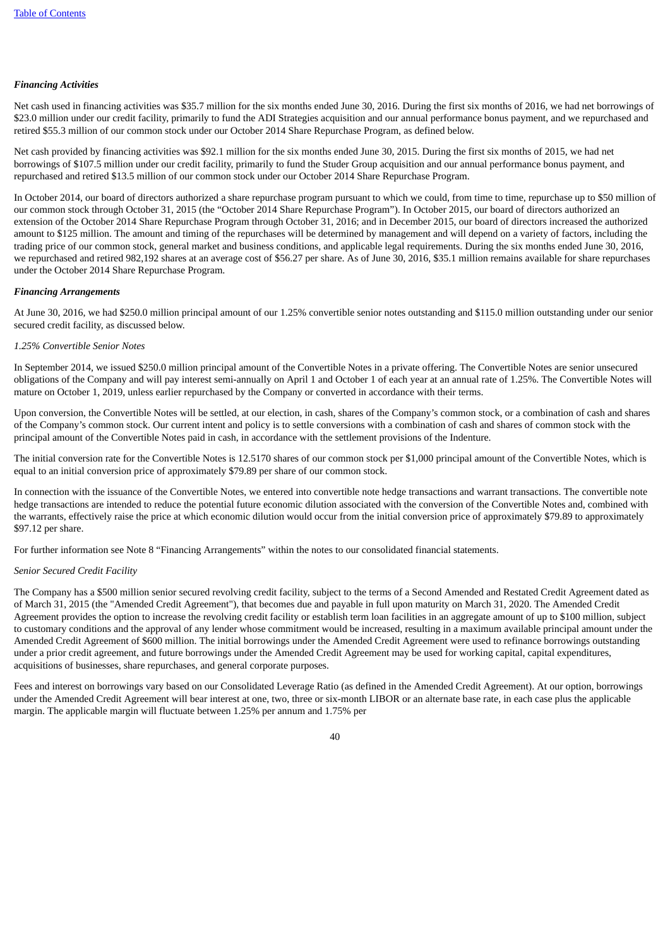## *Financing Activities*

Net cash used in financing activities was \$35.7 million for the six months ended June 30, 2016. During the first six months of 2016, we had net borrowings of \$23.0 million under our credit facility, primarily to fund the ADI Strategies acquisition and our annual performance bonus payment, and we repurchased and retired \$55.3 million of our common stock under our October 2014 Share Repurchase Program, as defined below.

Net cash provided by financing activities was \$92.1 million for the six months ended June 30, 2015. During the first six months of 2015, we had net borrowings of \$107.5 million under our credit facility, primarily to fund the Studer Group acquisition and our annual performance bonus payment, and repurchased and retired \$13.5 million of our common stock under our October 2014 Share Repurchase Program.

In October 2014, our board of directors authorized a share repurchase program pursuant to which we could, from time to time, repurchase up to \$50 million of our common stock through October 31, 2015 (the "October 2014 Share Repurchase Program"). In October 2015, our board of directors authorized an extension of the October 2014 Share Repurchase Program through October 31, 2016; and in December 2015, our board of directors increased the authorized amount to \$125 million. The amount and timing of the repurchases will be determined by management and will depend on a variety of factors, including the trading price of our common stock, general market and business conditions, and applicable legal requirements. During the six months ended June 30, 2016, we repurchased and retired 982,192 shares at an average cost of \$56.27 per share. As of June 30, 2016, \$35.1 million remains available for share repurchases under the October 2014 Share Repurchase Program.

#### *Financing Arrangements*

At June 30, 2016, we had \$250.0 million principal amount of our 1.25% convertible senior notes outstanding and \$115.0 million outstanding under our senior secured credit facility, as discussed below.

#### *1.25% Convertible Senior Notes*

In September 2014, we issued \$250.0 million principal amount of the Convertible Notes in a private offering. The Convertible Notes are senior unsecured obligations of the Company and will pay interest semi-annually on April 1 and October 1 of each year at an annual rate of 1.25%. The Convertible Notes will mature on October 1, 2019, unless earlier repurchased by the Company or converted in accordance with their terms.

Upon conversion, the Convertible Notes will be settled, at our election, in cash, shares of the Company's common stock, or a combination of cash and shares of the Company's common stock. Our current intent and policy is to settle conversions with a combination of cash and shares of common stock with the principal amount of the Convertible Notes paid in cash, in accordance with the settlement provisions of the Indenture.

The initial conversion rate for the Convertible Notes is 12.5170 shares of our common stock per \$1,000 principal amount of the Convertible Notes, which is equal to an initial conversion price of approximately \$79.89 per share of our common stock.

In connection with the issuance of the Convertible Notes, we entered into convertible note hedge transactions and warrant transactions. The convertible note hedge transactions are intended to reduce the potential future economic dilution associated with the conversion of the Convertible Notes and, combined with the warrants, effectively raise the price at which economic dilution would occur from the initial conversion price of approximately \$79.89 to approximately \$97.12 per share.

For further information see Note 8 "Financing Arrangements" within the notes to our consolidated financial statements.

## *Senior Secured Credit Facility*

The Company has a \$500 million senior secured revolving credit facility, subject to the terms of a Second Amended and Restated Credit Agreement dated as of March 31, 2015 (the "Amended Credit Agreement"), that becomes due and payable in full upon maturity on March 31, 2020. The Amended Credit Agreement provides the option to increase the revolving credit facility or establish term loan facilities in an aggregate amount of up to \$100 million, subject to customary conditions and the approval of any lender whose commitment would be increased, resulting in a maximum available principal amount under the Amended Credit Agreement of \$600 million. The initial borrowings under the Amended Credit Agreement were used to refinance borrowings outstanding under a prior credit agreement, and future borrowings under the Amended Credit Agreement may be used for working capital, capital expenditures, acquisitions of businesses, share repurchases, and general corporate purposes.

Fees and interest on borrowings vary based on our Consolidated Leverage Ratio (as defined in the Amended Credit Agreement). At our option, borrowings under the Amended Credit Agreement will bear interest at one, two, three or six-month LIBOR or an alternate base rate, in each case plus the applicable margin. The applicable margin will fluctuate between 1.25% per annum and 1.75% per

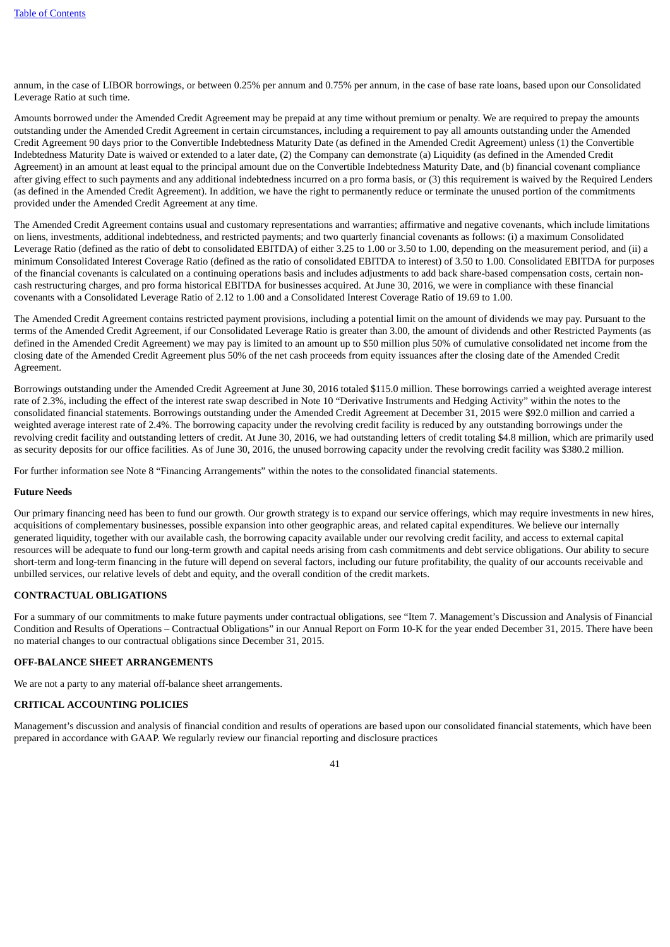annum, in the case of LIBOR borrowings, or between 0.25% per annum and 0.75% per annum, in the case of base rate loans, based upon our Consolidated Leverage Ratio at such time.

Amounts borrowed under the Amended Credit Agreement may be prepaid at any time without premium or penalty. We are required to prepay the amounts outstanding under the Amended Credit Agreement in certain circumstances, including a requirement to pay all amounts outstanding under the Amended Credit Agreement 90 days prior to the Convertible Indebtedness Maturity Date (as defined in the Amended Credit Agreement) unless (1) the Convertible Indebtedness Maturity Date is waived or extended to a later date, (2) the Company can demonstrate (a) Liquidity (as defined in the Amended Credit Agreement) in an amount at least equal to the principal amount due on the Convertible Indebtedness Maturity Date, and (b) financial covenant compliance after giving effect to such payments and any additional indebtedness incurred on a pro forma basis, or (3) this requirement is waived by the Required Lenders (as defined in the Amended Credit Agreement). In addition, we have the right to permanently reduce or terminate the unused portion of the commitments provided under the Amended Credit Agreement at any time.

The Amended Credit Agreement contains usual and customary representations and warranties; affirmative and negative covenants, which include limitations on liens, investments, additional indebtedness, and restricted payments; and two quarterly financial covenants as follows: (i) a maximum Consolidated Leverage Ratio (defined as the ratio of debt to consolidated EBITDA) of either 3.25 to 1.00 or 3.50 to 1.00, depending on the measurement period, and (ii) a minimum Consolidated Interest Coverage Ratio (defined as the ratio of consolidated EBITDA to interest) of 3.50 to 1.00. Consolidated EBITDA for purposes of the financial covenants is calculated on a continuing operations basis and includes adjustments to add back share-based compensation costs, certain noncash restructuring charges, and pro forma historical EBITDA for businesses acquired. At June 30, 2016, we were in compliance with these financial covenants with a Consolidated Leverage Ratio of 2.12 to 1.00 and a Consolidated Interest Coverage Ratio of 19.69 to 1.00.

The Amended Credit Agreement contains restricted payment provisions, including a potential limit on the amount of dividends we may pay. Pursuant to the terms of the Amended Credit Agreement, if our Consolidated Leverage Ratio is greater than 3.00, the amount of dividends and other Restricted Payments (as defined in the Amended Credit Agreement) we may pay is limited to an amount up to \$50 million plus 50% of cumulative consolidated net income from the closing date of the Amended Credit Agreement plus 50% of the net cash proceeds from equity issuances after the closing date of the Amended Credit Agreement.

Borrowings outstanding under the Amended Credit Agreement at June 30, 2016 totaled \$115.0 million. These borrowings carried a weighted average interest rate of 2.3%, including the effect of the interest rate swap described in Note 10 "Derivative Instruments and Hedging Activity" within the notes to the consolidated financial statements. Borrowings outstanding under the Amended Credit Agreement at December 31, 2015 were \$92.0 million and carried a weighted average interest rate of 2.4%. The borrowing capacity under the revolving credit facility is reduced by any outstanding borrowings under the revolving credit facility and outstanding letters of credit. At June 30, 2016, we had outstanding letters of credit totaling \$4.8 million, which are primarily used as security deposits for our office facilities. As of June 30, 2016, the unused borrowing capacity under the revolving credit facility was \$380.2 million.

For further information see Note 8 "Financing Arrangements" within the notes to the consolidated financial statements.

#### **Future Needs**

Our primary financing need has been to fund our growth. Our growth strategy is to expand our service offerings, which may require investments in new hires, acquisitions of complementary businesses, possible expansion into other geographic areas, and related capital expenditures. We believe our internally generated liquidity, together with our available cash, the borrowing capacity available under our revolving credit facility, and access to external capital resources will be adequate to fund our long-term growth and capital needs arising from cash commitments and debt service obligations. Our ability to secure short-term and long-term financing in the future will depend on several factors, including our future profitability, the quality of our accounts receivable and unbilled services, our relative levels of debt and equity, and the overall condition of the credit markets.

## **CONTRACTUAL OBLIGATIONS**

For a summary of our commitments to make future payments under contractual obligations, see "Item 7. Management's Discussion and Analysis of Financial Condition and Results of Operations – Contractual Obligations" in our Annual Report on Form 10-K for the year ended December 31, 2015. There have been no material changes to our contractual obligations since December 31, 2015.

## **OFF-BALANCE SHEET ARRANGEMENTS**

We are not a party to any material off-balance sheet arrangements.

#### **CRITICAL ACCOUNTING POLICIES**

Management's discussion and analysis of financial condition and results of operations are based upon our consolidated financial statements, which have been prepared in accordance with GAAP. We regularly review our financial reporting and disclosure practices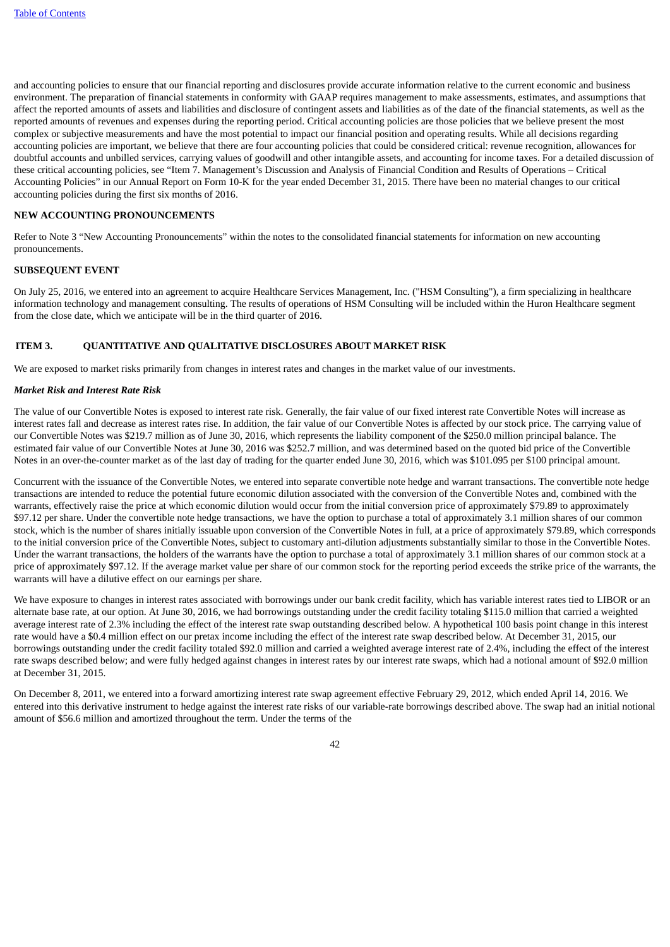and accounting policies to ensure that our financial reporting and disclosures provide accurate information relative to the current economic and business environment. The preparation of financial statements in conformity with GAAP requires management to make assessments, estimates, and assumptions that affect the reported amounts of assets and liabilities and disclosure of contingent assets and liabilities as of the date of the financial statements, as well as the reported amounts of revenues and expenses during the reporting period. Critical accounting policies are those policies that we believe present the most complex or subjective measurements and have the most potential to impact our financial position and operating results. While all decisions regarding accounting policies are important, we believe that there are four accounting policies that could be considered critical: revenue recognition, allowances for doubtful accounts and unbilled services, carrying values of goodwill and other intangible assets, and accounting for income taxes. For a detailed discussion of these critical accounting policies, see "Item 7. Management's Discussion and Analysis of Financial Condition and Results of Operations – Critical Accounting Policies" in our Annual Report on Form 10-K for the year ended December 31, 2015. There have been no material changes to our critical accounting policies during the first six months of 2016.

## **NEW ACCOUNTING PRONOUNCEMENTS**

Refer to Note 3 "New Accounting Pronouncements" within the notes to the consolidated financial statements for information on new accounting pronouncements.

#### **SUBSEQUENT EVENT**

On July 25, 2016, we entered into an agreement to acquire Healthcare Services Management, Inc. ("HSM Consulting"), a firm specializing in healthcare information technology and management consulting. The results of operations of HSM Consulting will be included within the Huron Healthcare segment from the close date, which we anticipate will be in the third quarter of 2016.

#### <span id="page-43-0"></span>**ITEM 3. QUANTITATIVE AND QUALITATIVE DISCLOSURES ABOUT MARKET RISK**

We are exposed to market risks primarily from changes in interest rates and changes in the market value of our investments.

#### *Market Risk and Interest Rate Risk*

The value of our Convertible Notes is exposed to interest rate risk. Generally, the fair value of our fixed interest rate Convertible Notes will increase as interest rates fall and decrease as interest rates rise. In addition, the fair value of our Convertible Notes is affected by our stock price. The carrying value of our Convertible Notes was \$219.7 million as of June 30, 2016, which represents the liability component of the \$250.0 million principal balance. The estimated fair value of our Convertible Notes at June 30, 2016 was \$252.7 million, and was determined based on the quoted bid price of the Convertible Notes in an over-the-counter market as of the last day of trading for the quarter ended June 30, 2016, which was \$101.095 per \$100 principal amount.

Concurrent with the issuance of the Convertible Notes, we entered into separate convertible note hedge and warrant transactions. The convertible note hedge transactions are intended to reduce the potential future economic dilution associated with the conversion of the Convertible Notes and, combined with the warrants, effectively raise the price at which economic dilution would occur from the initial conversion price of approximately \$79.89 to approximately \$97.12 per share. Under the convertible note hedge transactions, we have the option to purchase a total of approximately 3.1 million shares of our common stock, which is the number of shares initially issuable upon conversion of the Convertible Notes in full, at a price of approximately \$79.89, which corresponds to the initial conversion price of the Convertible Notes, subject to customary anti-dilution adjustments substantially similar to those in the Convertible Notes. Under the warrant transactions, the holders of the warrants have the option to purchase a total of approximately 3.1 million shares of our common stock at a price of approximately \$97.12. If the average market value per share of our common stock for the reporting period exceeds the strike price of the warrants, the warrants will have a dilutive effect on our earnings per share.

We have exposure to changes in interest rates associated with borrowings under our bank credit facility, which has variable interest rates tied to LIBOR or an alternate base rate, at our option. At June 30, 2016, we had borrowings outstanding under the credit facility totaling \$115.0 million that carried a weighted average interest rate of 2.3% including the effect of the interest rate swap outstanding described below. A hypothetical 100 basis point change in this interest rate would have a \$0.4 million effect on our pretax income including the effect of the interest rate swap described below. At December 31, 2015, our borrowings outstanding under the credit facility totaled \$92.0 million and carried a weighted average interest rate of 2.4%, including the effect of the interest rate swaps described below; and were fully hedged against changes in interest rates by our interest rate swaps, which had a notional amount of \$92.0 million at December 31, 2015.

On December 8, 2011, we entered into a forward amortizing interest rate swap agreement effective February 29, 2012, which ended April 14, 2016. We entered into this derivative instrument to hedge against the interest rate risks of our variable-rate borrowings described above. The swap had an initial notional amount of \$56.6 million and amortized throughout the term. Under the terms of the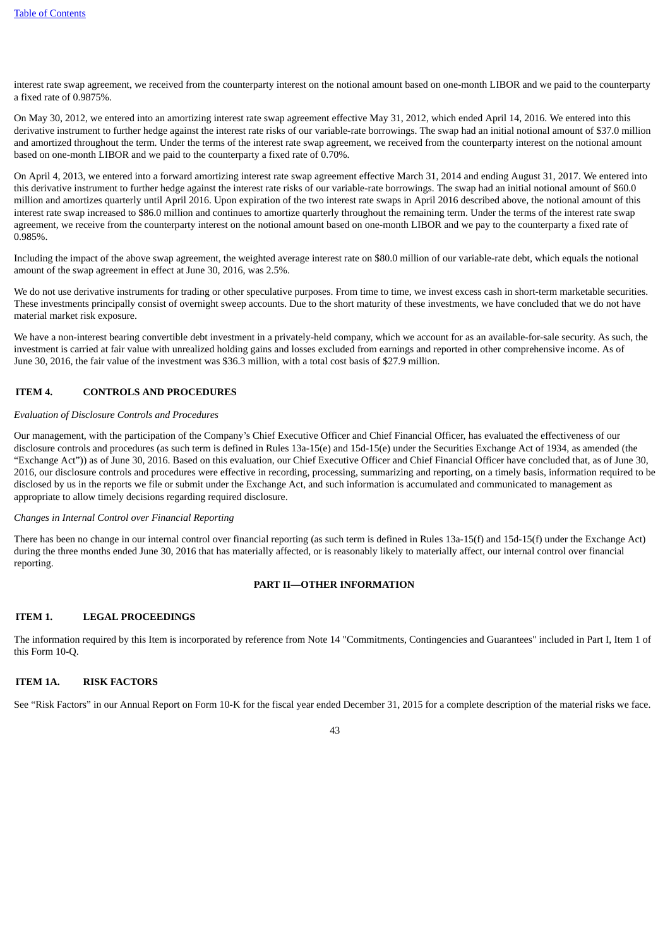interest rate swap agreement, we received from the counterparty interest on the notional amount based on one-month LIBOR and we paid to the counterparty a fixed rate of 0.9875%.

On May 30, 2012, we entered into an amortizing interest rate swap agreement effective May 31, 2012, which ended April 14, 2016. We entered into this derivative instrument to further hedge against the interest rate risks of our variable-rate borrowings. The swap had an initial notional amount of \$37.0 million and amortized throughout the term. Under the terms of the interest rate swap agreement, we received from the counterparty interest on the notional amount based on one-month LIBOR and we paid to the counterparty a fixed rate of 0.70%.

On April 4, 2013, we entered into a forward amortizing interest rate swap agreement effective March 31, 2014 and ending August 31, 2017. We entered into this derivative instrument to further hedge against the interest rate risks of our variable-rate borrowings. The swap had an initial notional amount of \$60.0 million and amortizes quarterly until April 2016. Upon expiration of the two interest rate swaps in April 2016 described above, the notional amount of this interest rate swap increased to \$86.0 million and continues to amortize quarterly throughout the remaining term. Under the terms of the interest rate swap agreement, we receive from the counterparty interest on the notional amount based on one-month LIBOR and we pay to the counterparty a fixed rate of 0.985%.

Including the impact of the above swap agreement, the weighted average interest rate on \$80.0 million of our variable-rate debt, which equals the notional amount of the swap agreement in effect at June 30, 2016, was 2.5%.

We do not use derivative instruments for trading or other speculative purposes. From time to time, we invest excess cash in short-term marketable securities. These investments principally consist of overnight sweep accounts. Due to the short maturity of these investments, we have concluded that we do not have material market risk exposure.

We have a non-interest bearing convertible debt investment in a privately-held company, which we account for as an available-for-sale security. As such, the investment is carried at fair value with unrealized holding gains and losses excluded from earnings and reported in other comprehensive income. As of June 30, 2016, the fair value of the investment was \$36.3 million, with a total cost basis of \$27.9 million.

## <span id="page-44-0"></span>**ITEM 4. CONTROLS AND PROCEDURES**

## *Evaluation of Disclosure Controls and Procedures*

Our management, with the participation of the Company's Chief Executive Officer and Chief Financial Officer, has evaluated the effectiveness of our disclosure controls and procedures (as such term is defined in Rules 13a-15(e) and 15d-15(e) under the Securities Exchange Act of 1934, as amended (the "Exchange Act")) as of June 30, 2016. Based on this evaluation, our Chief Executive Officer and Chief Financial Officer have concluded that, as of June 30, 2016, our disclosure controls and procedures were effective in recording, processing, summarizing and reporting, on a timely basis, information required to be disclosed by us in the reports we file or submit under the Exchange Act, and such information is accumulated and communicated to management as appropriate to allow timely decisions regarding required disclosure.

## *Changes in Internal Control over Financial Reporting*

<span id="page-44-1"></span>There has been no change in our internal control over financial reporting (as such term is defined in Rules 13a-15(f) and 15d-15(f) under the Exchange Act) during the three months ended June 30, 2016 that has materially affected, or is reasonably likely to materially affect, our internal control over financial reporting.

## **PART II—OTHER INFORMATION**

## <span id="page-44-2"></span>**ITEM 1. LEGAL PROCEEDINGS**

The information required by this Item is incorporated by reference from Note 14 "Commitments, Contingencies and Guarantees" included in Part I, Item 1 of this Form 10-Q.

## <span id="page-44-3"></span>**ITEM 1A. RISK FACTORS**

See "Risk Factors" in our Annual Report on Form 10-K for the fiscal year ended December 31, 2015 for a complete description of the material risks we face.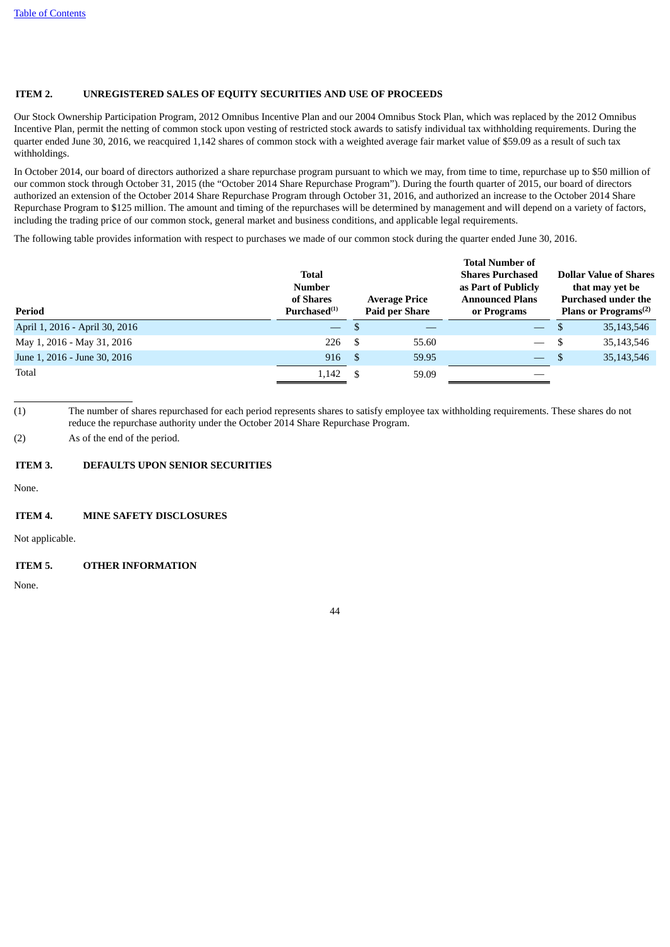## <span id="page-45-0"></span>**ITEM 2. UNREGISTERED SALES OF EQUITY SECURITIES AND USE OF PROCEEDS**

Our Stock Ownership Participation Program, 2012 Omnibus Incentive Plan and our 2004 Omnibus Stock Plan, which was replaced by the 2012 Omnibus Incentive Plan, permit the netting of common stock upon vesting of restricted stock awards to satisfy individual tax withholding requirements. During the quarter ended June 30, 2016, we reacquired 1,142 shares of common stock with a weighted average fair market value of \$59.09 as a result of such tax withholdings.

In October 2014, our board of directors authorized a share repurchase program pursuant to which we may, from time to time, repurchase up to \$50 million of our common stock through October 31, 2015 (the "October 2014 Share Repurchase Program"). During the fourth quarter of 2015, our board of directors authorized an extension of the October 2014 Share Repurchase Program through October 31, 2016, and authorized an increase to the October 2014 Share Repurchase Program to \$125 million. The amount and timing of the repurchases will be determined by management and will depend on a variety of factors, including the trading price of our common stock, general market and business conditions, and applicable legal requirements.

The following table provides information with respect to purchases we made of our common stock during the quarter ended June 30, 2016.

| Period                         | Total<br><b>Number</b><br>of Shares<br>Purchased <sup>(1)</sup> | <b>Average Price</b><br><b>Paid per Share</b> |       | <b>Total Number of</b><br><b>Shares Purchased</b><br>as Part of Publicly<br><b>Announced Plans</b><br>or Programs |      | <b>Dollar Value of Shares</b><br>that may yet be<br>Purchased under the<br>Plans or Programs $(2)$ |
|--------------------------------|-----------------------------------------------------------------|-----------------------------------------------|-------|-------------------------------------------------------------------------------------------------------------------|------|----------------------------------------------------------------------------------------------------|
| April 1, 2016 - April 30, 2016 |                                                                 |                                               |       | $\overline{\phantom{0}}$                                                                                          |      | 35,143,546                                                                                         |
| May 1, 2016 - May 31, 2016     |                                                                 |                                               | 55.60 | $\qquad \qquad$                                                                                                   | - \$ | 35,143,546                                                                                         |
| June 1, 2016 - June 30, 2016   | $916 \t S$                                                      |                                               | 59.95 |                                                                                                                   | - \$ | 35,143,546                                                                                         |
| Total                          | 1,142                                                           |                                               | 59.09 |                                                                                                                   |      |                                                                                                    |

(1) The number of shares repurchased for each period represents shares to satisfy employee tax withholding requirements. These shares do not reduce the repurchase authority under the October 2014 Share Repurchase Program.

<span id="page-45-1"></span>(2) As of the end of the period.

## **ITEM 3. DEFAULTS UPON SENIOR SECURITIES**

<span id="page-45-2"></span>None.

## **ITEM 4. MINE SAFETY DISCLOSURES**

<span id="page-45-3"></span>Not applicable.

#### **ITEM 5. OTHER INFORMATION**

None.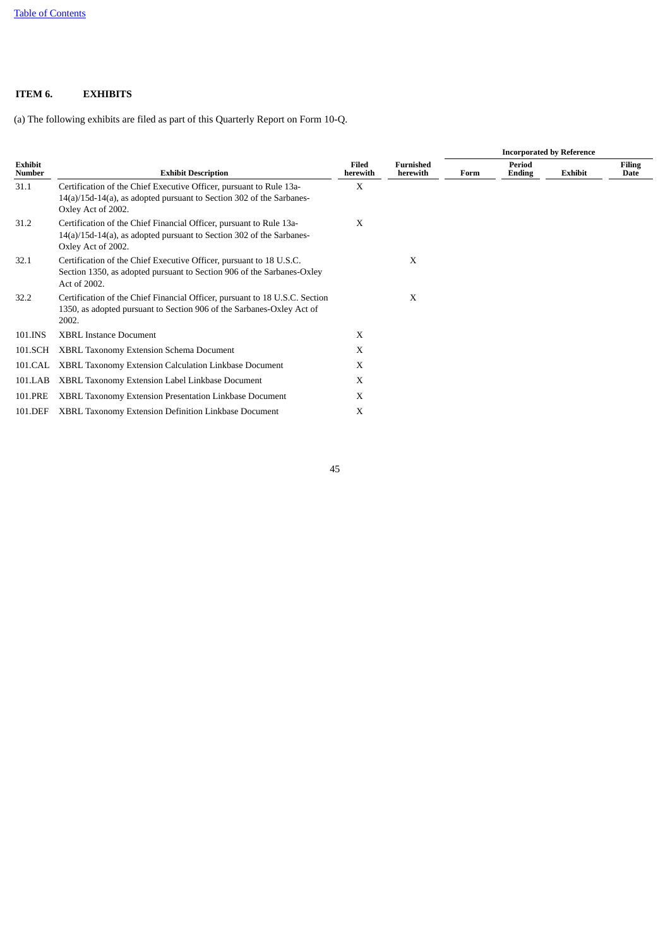## <span id="page-46-0"></span>**ITEM 6. EXHIBITS**

(a) The following exhibits are filed as part of this Quarterly Report on Form 10-Q.

| Exhibit<br>Number | <b>Exhibit Description</b>                                                                                                                                        | <b>Filed</b><br>herewith | <b>Furnished</b><br>herewith | <b>Incorporated by Reference</b> |                         |                |                       |
|-------------------|-------------------------------------------------------------------------------------------------------------------------------------------------------------------|--------------------------|------------------------------|----------------------------------|-------------------------|----------------|-----------------------|
|                   |                                                                                                                                                                   |                          |                              | Form                             | <b>Period</b><br>Ending | <b>Exhibit</b> | <b>Filing</b><br>Date |
| 31.1              | Certification of the Chief Executive Officer, pursuant to Rule 13a-<br>14(a)/15d-14(a), as adopted pursuant to Section 302 of the Sarbanes-<br>Oxley Act of 2002. | X                        |                              |                                  |                         |                |                       |
| 31.2              | Certification of the Chief Financial Officer, pursuant to Rule 13a-<br>14(a)/15d-14(a), as adopted pursuant to Section 302 of the Sarbanes-<br>Oxley Act of 2002. | X                        |                              |                                  |                         |                |                       |
| 32.1              | Certification of the Chief Executive Officer, pursuant to 18 U.S.C.<br>Section 1350, as adopted pursuant to Section 906 of the Sarbanes-Oxley<br>Act of 2002.     |                          | X                            |                                  |                         |                |                       |
| 32.2              | Certification of the Chief Financial Officer, pursuant to 18 U.S.C. Section<br>1350, as adopted pursuant to Section 906 of the Sarbanes-Oxley Act of<br>2002.     |                          | $\mathbf{x}$                 |                                  |                         |                |                       |
| 101.INS           | <b>XBRL Instance Document</b>                                                                                                                                     | X                        |                              |                                  |                         |                |                       |
| 101.SCH           | XBRL Taxonomy Extension Schema Document                                                                                                                           | X                        |                              |                                  |                         |                |                       |
| 101.CAL           | XBRL Taxonomy Extension Calculation Linkbase Document                                                                                                             | X                        |                              |                                  |                         |                |                       |
| 101.LAB           | XBRL Taxonomy Extension Label Linkbase Document                                                                                                                   | X                        |                              |                                  |                         |                |                       |
| 101.PRE           | XBRL Taxonomy Extension Presentation Linkbase Document                                                                                                            | X                        |                              |                                  |                         |                |                       |
| 101.DEF           | XBRL Taxonomy Extension Definition Linkbase Document                                                                                                              | X                        |                              |                                  |                         |                |                       |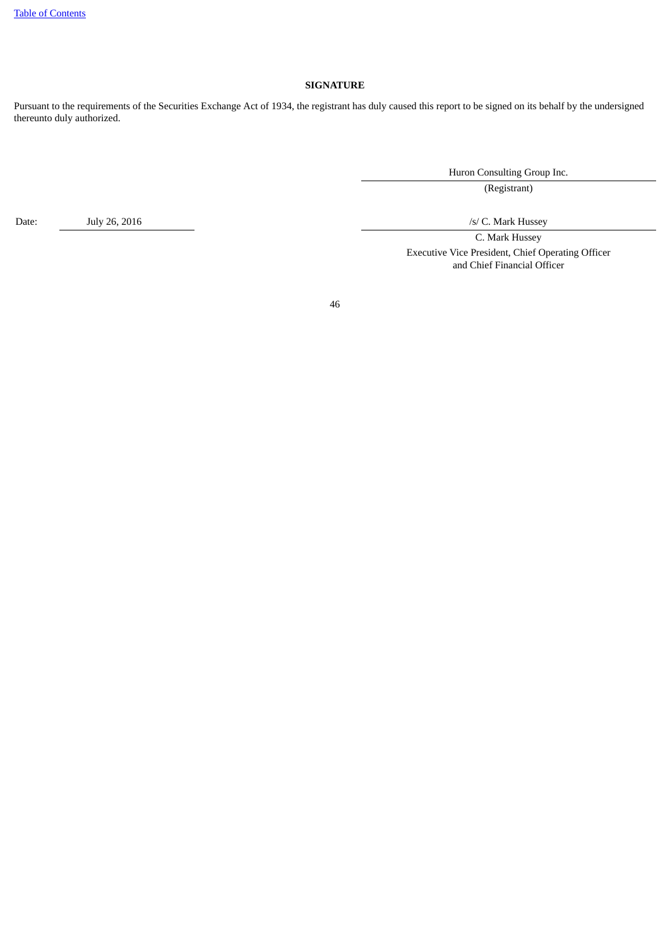## **SIGNATURE**

<span id="page-47-0"></span>Pursuant to the requirements of the Securities Exchange Act of 1934, the registrant has duly caused this report to be signed on its behalf by the undersigned thereunto duly authorized.

Huron Consulting Group Inc.

(Registrant)

Date: July 26, 2016 July 26, 2016

C. Mark Hussey Executive Vice President, Chief Operating Officer and Chief Financial Officer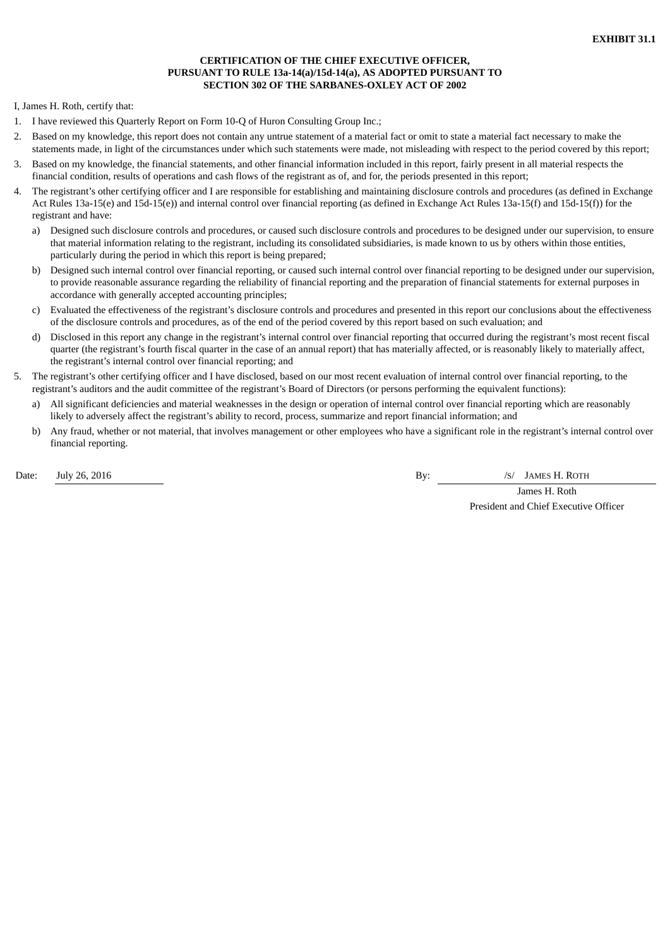## **CERTIFICATION OF THE CHIEF EXECUTIVE OFFICER, PURSUANT TO RULE 13a-14(a)/15d-14(a), AS ADOPTED PURSUANT TO SECTION 302 OF THE SARBANES-OXLEY ACT OF 2002**

I, James H. Roth, certify that:

- 1. I have reviewed this Quarterly Report on Form 10-Q of Huron Consulting Group Inc.;
- 2. Based on my knowledge, this report does not contain any untrue statement of a material fact or omit to state a material fact necessary to make the statements made, in light of the circumstances under which such statements were made, not misleading with respect to the period covered by this report;
- 3. Based on my knowledge, the financial statements, and other financial information included in this report, fairly present in all material respects the financial condition, results of operations and cash flows of the registrant as of, and for, the periods presented in this report;
- 4. The registrant's other certifying officer and I are responsible for establishing and maintaining disclosure controls and procedures (as defined in Exchange Act Rules 13a-15(e) and 15d-15(e)) and internal control over financial reporting (as defined in Exchange Act Rules 13a-15(f) and 15d-15(f)) for the registrant and have:
	- a) Designed such disclosure controls and procedures, or caused such disclosure controls and procedures to be designed under our supervision, to ensure that material information relating to the registrant, including its consolidated subsidiaries, is made known to us by others within those entities, particularly during the period in which this report is being prepared;
	- b) Designed such internal control over financial reporting, or caused such internal control over financial reporting to be designed under our supervision, to provide reasonable assurance regarding the reliability of financial reporting and the preparation of financial statements for external purposes in accordance with generally accepted accounting principles;
	- c) Evaluated the effectiveness of the registrant's disclosure controls and procedures and presented in this report our conclusions about the effectiveness of the disclosure controls and procedures, as of the end of the period covered by this report based on such evaluation; and
	- d) Disclosed in this report any change in the registrant's internal control over financial reporting that occurred during the registrant's most recent fiscal quarter (the registrant's fourth fiscal quarter in the case of an annual report) that has materially affected, or is reasonably likely to materially affect, the registrant's internal control over financial reporting; and
- 5. The registrant's other certifying officer and I have disclosed, based on our most recent evaluation of internal control over financial reporting, to the registrant's auditors and the audit committee of the registrant's Board of Directors (or persons performing the equivalent functions):
	- a) All significant deficiencies and material weaknesses in the design or operation of internal control over financial reporting which are reasonably likely to adversely affect the registrant's ability to record, process, summarize and report financial information; and
	- b) Any fraud, whether or not material, that involves management or other employees who have a significant role in the registrant's internal control over financial reporting.

Date: July 26, 2016 **By:** /S/ JAMES H. ROTH

James H. Roth President and Chief Executive Officer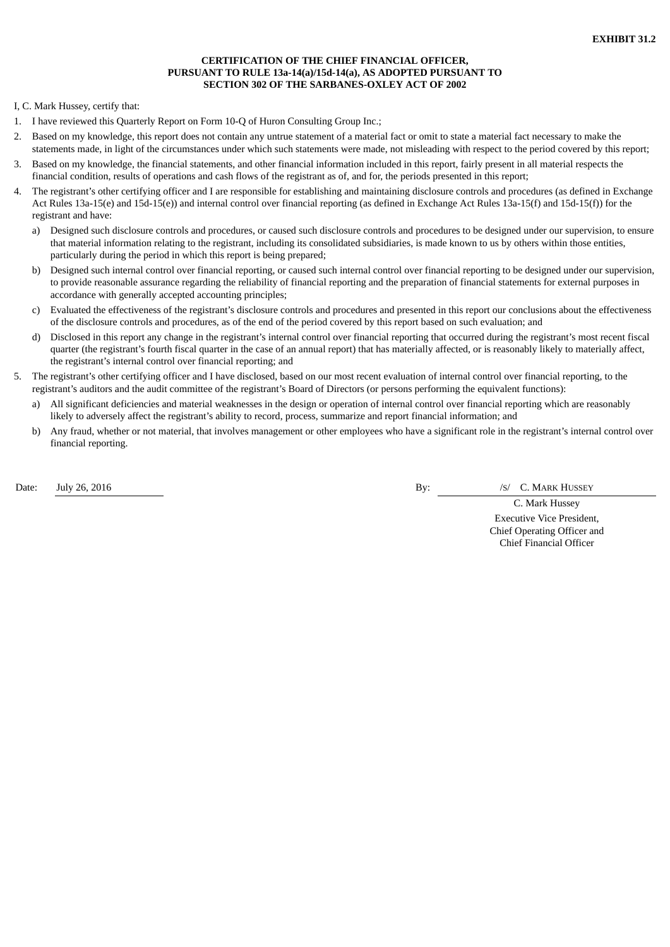## **CERTIFICATION OF THE CHIEF FINANCIAL OFFICER, PURSUANT TO RULE 13a-14(a)/15d-14(a), AS ADOPTED PURSUANT TO SECTION 302 OF THE SARBANES-OXLEY ACT OF 2002**

I, C. Mark Hussey, certify that:

- 1. I have reviewed this Quarterly Report on Form 10-Q of Huron Consulting Group Inc.;
- 2. Based on my knowledge, this report does not contain any untrue statement of a material fact or omit to state a material fact necessary to make the statements made, in light of the circumstances under which such statements were made, not misleading with respect to the period covered by this report;
- 3. Based on my knowledge, the financial statements, and other financial information included in this report, fairly present in all material respects the financial condition, results of operations and cash flows of the registrant as of, and for, the periods presented in this report;
- 4. The registrant's other certifying officer and I are responsible for establishing and maintaining disclosure controls and procedures (as defined in Exchange Act Rules 13a-15(e) and 15d-15(e)) and internal control over financial reporting (as defined in Exchange Act Rules 13a-15(f) and 15d-15(f)) for the registrant and have:
	- a) Designed such disclosure controls and procedures, or caused such disclosure controls and procedures to be designed under our supervision, to ensure that material information relating to the registrant, including its consolidated subsidiaries, is made known to us by others within those entities, particularly during the period in which this report is being prepared;
	- b) Designed such internal control over financial reporting, or caused such internal control over financial reporting to be designed under our supervision, to provide reasonable assurance regarding the reliability of financial reporting and the preparation of financial statements for external purposes in accordance with generally accepted accounting principles;
	- c) Evaluated the effectiveness of the registrant's disclosure controls and procedures and presented in this report our conclusions about the effectiveness of the disclosure controls and procedures, as of the end of the period covered by this report based on such evaluation; and
	- d) Disclosed in this report any change in the registrant's internal control over financial reporting that occurred during the registrant's most recent fiscal quarter (the registrant's fourth fiscal quarter in the case of an annual report) that has materially affected, or is reasonably likely to materially affect, the registrant's internal control over financial reporting; and
- 5. The registrant's other certifying officer and I have disclosed, based on our most recent evaluation of internal control over financial reporting, to the registrant's auditors and the audit committee of the registrant's Board of Directors (or persons performing the equivalent functions):
	- a) All significant deficiencies and material weaknesses in the design or operation of internal control over financial reporting which are reasonably likely to adversely affect the registrant's ability to record, process, summarize and report financial information; and
	- b) Any fraud, whether or not material, that involves management or other employees who have a significant role in the registrant's internal control over financial reporting.

Date: July 26, 2016 **By:** /s/ C. MARK HUSSEY

C. Mark Hussey Executive Vice President, Chief Operating Officer and Chief Financial Officer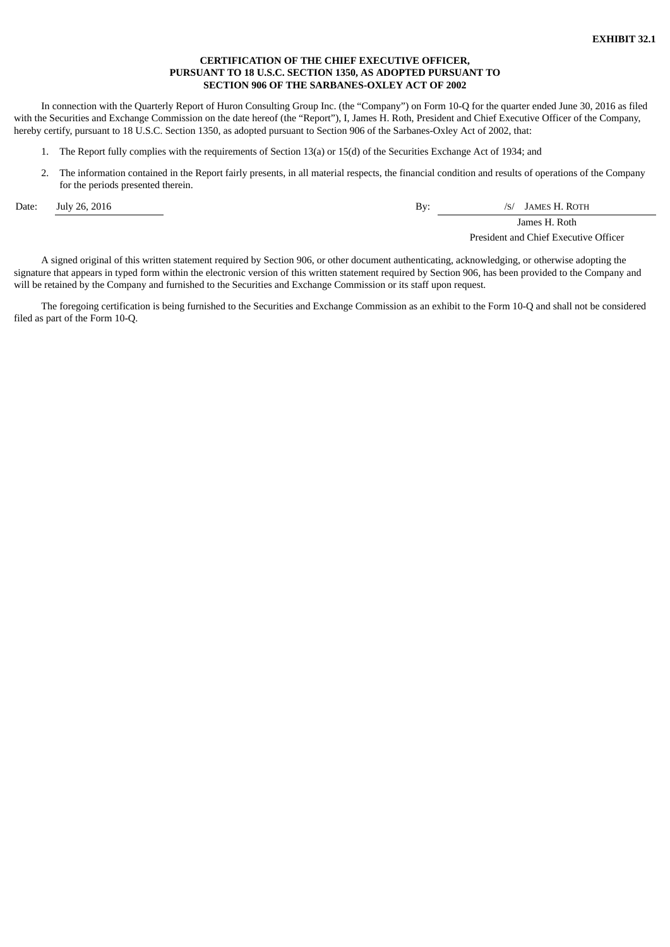## **CERTIFICATION OF THE CHIEF EXECUTIVE OFFICER, PURSUANT TO 18 U.S.C. SECTION 1350, AS ADOPTED PURSUANT TO SECTION 906 OF THE SARBANES-OXLEY ACT OF 2002**

In connection with the Quarterly Report of Huron Consulting Group Inc. (the "Company") on Form 10-Q for the quarter ended June 30, 2016 as filed with the Securities and Exchange Commission on the date hereof (the "Report"), I, James H. Roth, President and Chief Executive Officer of the Company, hereby certify, pursuant to 18 U.S.C. Section 1350, as adopted pursuant to Section 906 of the Sarbanes-Oxley Act of 2002, that:

- 1. The Report fully complies with the requirements of Section 13(a) or 15(d) of the Securities Exchange Act of 1934; and
- 2. The information contained in the Report fairly presents, in all material respects, the financial condition and results of operations of the Company for the periods presented therein.

Date: July 26, 2016 **By:** /S/ JAMES H. ROTH

James H. Roth

President and Chief Executive Officer

A signed original of this written statement required by Section 906, or other document authenticating, acknowledging, or otherwise adopting the signature that appears in typed form within the electronic version of this written statement required by Section 906, has been provided to the Company and will be retained by the Company and furnished to the Securities and Exchange Commission or its staff upon request.

The foregoing certification is being furnished to the Securities and Exchange Commission as an exhibit to the Form 10-Q and shall not be considered filed as part of the Form 10-Q.